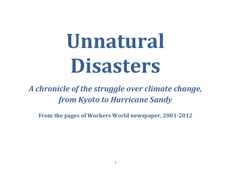# **Unnatural Disasters**

*A chronicle of the struggle over climate change, from Kyoto to Hurricane Sandy*

**From the pages of Workers World newspaper, 2001-2012**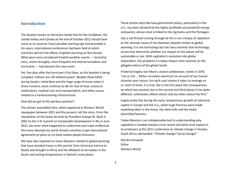## **Introduction**

The disaster known as Hurricane Sandy that hit the Caribbean, the United States and Canada at the end of October 2012 should have come as no surprise. Every possible warning sign had preceded it. For years, international conferences had been held at which scientists laid out the effects of global warming on the climate. What were once considered freakish weather events — torrential rains, severe droughts, more frequent and intense tornadoes and hurricanes — had become the new norm.

Yet, five days after the hurricane's first blast, as this booklet is being compiled, millions are still without power. Besides those killed during Sandy's initial blast and the huge surge of ocean water it drove onshore, more continue to die for lack of heat, access to medications, medical care and transportation, and other causes related to a nonfunctioning infrastructure.

How did we get to this perilous position?

The articles assembled here, which appeared in Workers World newspaper between 2001 and the present, tell the story. From the repudiation of the Kyoto Accords by President George W. Bush in 2001 to the U.N. Summit on Sustainable Development in Rio in June 2012, we cover what happened to undermine and make ineffectual the many attempts by world climate scientists to get international agreement on plans to cut back carbon dioxid emissions.

We have also reported on many disasters related to global warming that have wreaked havoc in this period, from Hurricane Katrina to floods and drought in Africa and the Midwest to tornadoes in the South and sizzling temperatures in Detroit's auto plants.

These articles describe how government policy, particularly in the U.S., has been dictated by the highly profitable and powerful energy companies, whose clout is linked to the big banks and the Pentagon.

Like a red thread running through all this is our critique of capitalism as the ultimate cause of the planetary disaster known as global warming. It is not technology but the class interests that technology serves that determine whether our impact on the planet will be sustainable or not. With capitalism's evolution into global imperialism, the problems it creates impact most severely on the pillaged nations of the global South.

Frederick Engels, Karl Marx's closest collaborator, wrote in 1876: "Let us not ... flatter ourselves overmuch on account of our human victories over nature. For each such victory it takes its revenge on us. Each of them, it is true, has in the first place the consequences on which we counted, but in the second and third places it has quite different, unforeseen effects which only too often cancel the first."

Engels wrote this during the early, tempestuous growth of industrial capital in Europe and the U.S., when huge fortunes were made exploiting labor in the mines, the steel mills and the newly electrified factories.

Today Marxism is an indispensable tool to understanding why capitalism is headed toward a train wreck and what must replace it. As protesters at the 2011 conference on climate change in Durban, South Africa, demanded: "Climate change? Social change!"

Deirdre Griswold Editor Workers World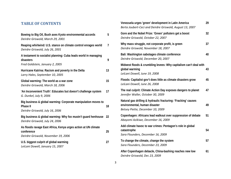## **TABLE OF CONTENTS**

| Bowing to Big Oil, Bush axes Kyoto environmental accords<br>Deirdre Griswold, March 29, 2001                         | 5  |
|----------------------------------------------------------------------------------------------------------------------|----|
| Reaping whirlwind: U.S. stance on climate control enrages world<br>Deirdre Griswold, July 26, 2001                   | 7  |
| A testament to socialist planning: Cuba leads world in managing<br>disasters<br>Fred Goldstein, January 2, 2005      | 9  |
| Hurricane Katrina: Racism and poverty in the Delta<br>Larry Hales, September 10, 2005                                | 13 |
| Global warming: The world as a war zone<br>Deirdre Griswold, March 18, 2006                                          | 15 |
| 'An Inconvenient Truth': Educates but doesn't challenge system<br>G. Dunkel, July 9, 2006                            | 17 |
| Big business & global warming: Corporate manipulation moves to<br><b>Phase II</b><br>Deirdre Griswold, July 16, 2006 | 18 |
| Big business & global warming: Why fox mustn't guard henhouse<br>Deirdre Griswold, July 24, 2006                     | 22 |
| As floods ravage East Africa, Kenya urges action at UN climate<br>conference<br>Deirdre Griswold, November 19, 2006  | 25 |
| U.S. biggest culprit of global warming<br>LeiLani Dowell, January 15, 2007                                           | 27 |

| Venezuela urges 'green' development in Latin America<br>Berta Joubert-Ceci and Deirdre Griswold, August 13, 2007                    | 29 |
|-------------------------------------------------------------------------------------------------------------------------------------|----|
| Gore and the Nobel Prize: 'Green' polluters get a boost<br>Deirdre Griswold, October 22, 2007                                       | 32 |
| Why mass struggle, not corporate profit, is green<br>Deirdre Griswold, November 18, 2007                                            | 37 |
| Bali: Washington sabotages climate conference<br>Deirdre Griswold, December 20, 2007                                                | 40 |
| Midwest floods & crumbling levees: Why capitalism can't deal with<br>global warming<br>LeiLani Dowell, June 19, 2008                | 43 |
| Floods: Capitalist gov't does little as climate disasters grow<br>LeiLani Dowell, June 26, 2008                                     | 45 |
| The real culprit: Climate Action Day exposes dangers to planet<br>Jennifer Waller, October 30, 2009                                 | 47 |
| Natural gas drilling & hydraulic fracturing: 'Fracking' causes<br>environmental, human disaster<br>Betsey Piette, December 10, 2009 | 49 |
| Copenhagen: Africans lead walkout over suppression of debate<br>Abayomi Azikiwe, December 16, 2009                                  | 51 |
| Add climate havoc to war crimes: Pentagon's role in global<br>catastrophe<br>Sara Flounders, December 16, 2009                      | 54 |
| To change the climate, change the system<br>Sara Flounders, December 23, 2009                                                       | 57 |
| After Copenhagen debacle, China-bashing reaches new low<br>Deirdre Griswold, Dec 23, 2009                                           | 61 |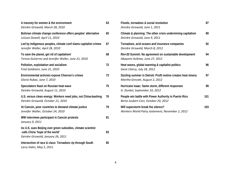| A travesty for women & the environment<br>Deirdre Griswold, March 28, 2010                                                            | 63 | Floods, tornadoes & social revolution<br>Deirdre Griswold, June 1, 2011                         | 87  |
|---------------------------------------------------------------------------------------------------------------------------------------|----|-------------------------------------------------------------------------------------------------|-----|
| Bolivian climate change conference offers peoples' alternative<br>LeiLani Dowell, April 11, 2010                                      | 65 | Climate & planning: The other crisis undermining capitalism<br>Deirdre Griswold, June 9, 2011   | 89  |
| Led by Indigenous peoples, climate conf slams capitalist crimes<br>Jennifer Waller, April 28, 2010                                    | 67 | Tornadoes, acid oceans and insurance companies<br>Deirdre Griswold, March 8, 2012               | 92  |
| To save the planet, get rid of capitalism!<br>Teresa Gutierrez and Jennifer Waller, June 21, 2010                                     | 68 | Rio+20 Summit: No agreement on sustainable development<br>Abayomi Azikiwe, June 27, 2012        | 94  |
| Pollution, exploitation and socialism<br>Fred Goldstein, June 21, 2010                                                                | 72 | Heat waves, global warming & capitalist politics<br>Gene Clancy, July 18, 2012                  | 96  |
| Environmental activists expose Chevron's crimes<br>Gloria Rubac, June 7, 2010                                                         | 73 | Sizzling summer in Detroit: Profit motive creates heat misery<br>Martha Grevatt, August 2, 2012 | 97  |
| Speculators feast on Russian heat wave<br>Deirdre Griswold, August 11, 2010                                                           | 75 | Hurricane Isaac: Same storm, different responses<br>G. Dunkel, September 10, 2012               | 99  |
| U.S. versus clean energy: Workers need jobs, not China-bashing<br>Deirdre Griswold, October 21, 2010                                  | 76 | People win battle with Power Authority in Puerto Rico<br>Berta Joubert-Ceci, October 20, 2012   | 101 |
| At Cancún, poor countries to demand climate justice<br>Jennifer Waller, October 24, 2010                                              | 79 | Will superstorm break the silence?<br>Workers World Party statement, November 2, 2012           | 103 |
| WW interviews participant in Cancún protests<br>January 9, 2011                                                                       | 81 |                                                                                                 |     |
| As U.S. sues Beijing over green subsidies, climate scientist<br>calls China 'hope of the world'<br>Deirdre Griswold, January 26, 2011 | 83 |                                                                                                 |     |
| Intersection of race & class: Tornadoes rip through South<br>Larry Hales, May 5, 2011                                                 | 85 |                                                                                                 |     |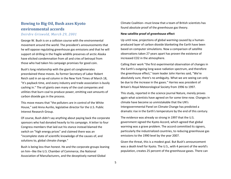# **Bowing to Big Oil, Bush axes Kyoto environmental accords**

*Deirdre Griswold, March 29, 2001*

George W. Bush is on a collision course with the environmental movement around the world. The president's announcements that he will oppose regulating greenhouse gas emissions and that he will support oil drilling in the fragile wildlife preserves of arctic Alaska have elicited condemnation from all and cries of betrayal from those who had taken his campaign promises for good coin.

Bush's long relationship with the giant oil conglomerates preordained these moves. As former Secretary of Labor Robert Reich said in an op-ed column in the New York Times of March 18, "It's payback time, and every industry and trade association is busily cashing in." The oil giants own many of the coal companies and utilities that burn coal to produce power, emitting vast amounts of carbon dioxide gas in the process.

This move means that "the polluters are in control of the White House," said Anna Aurilio, legislative director for the U.S. Public Interest Research Group.

Of course, Bush didn't say anything about paying back the corporate sponsors who had donated heavily to his campaign. A letter to four Congress members that laid out his stance instead blamed the switch on "high energy prices" and claimed there was an "incomplete state of scientific knowledge of the causes of, and solutions to, global climate change."

Bush is being less than honest. He and the corporate groups leaning on him--like the U.S. Chamber of Commerce, the National Association of Manufacturers, and the deceptively named Global

Climate Coalition--must know that a team of British scientists has found absolute proof of the greenhouse gas theory.

#### **New satellite proof of greenhouse effect**

Up until now, projections of global warming caused by a humanproduced layer of carbon dioxide blanketing the Earth have been based on computer simulations. Now a comparison of satellite observations taken 27 years apart has proven the existence of increased CO2 in the atmosphere.

Calling their work "the first experimental observation of changes in the Earth's outgoing long-wave radiation spectrum, and therefore the greenhouse effect," team leader John Harries said, "We're absolutely sure, there's no ambiguity. What we are seeing can only be due to the increase in the gases." Harries was president of Britain's Royal Meteorological Society from 1996 to 1997.

This study, reported in the science journal Nature, merely proves again what scientists have agreed on for some time now. Changes in climate have become so unmistakable that the UN's Intergovernmental Panel on Climate Change has predicted a dramatic rise in the Earth's temperature by the end of this century.

The evidence was already so strong in 1997 that the U.S. government signed the Kyoto Accord, which agreed that global warming was a grave problem. The accord committed its signers, particularly the industrialized countries, to reducing greenhouse gas emissions to the 1990 level by the year 2007.

Given the threat, this is a modest goal. But Bush's announcement was a death knell for Kyoto. The U.S., with 4 percent of the world's population, creates 25 percent of the greenhouse gases. There can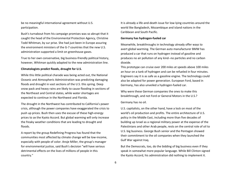be no meaningful international agreement without U.S. participation.

Bush's turnabout from his campaign promises was so abrupt that it caught the head of the Environmental Protection Agency, Christine Todd Whitman, by sur prise. She had just been in Europe assuring the environment ministers of the G-7 countries that the new U.S. administration supported a limit on greenhouse gases.

True to her own conservative, big business-friendly political history, however, Whitman quickly adapted to the new administration line.

#### **Climatologists predict floods, drought for U.S.**

While this little political charade was being acted out, the National Oceanic and Atmospheric Administration was predicting damaging floods and drought in vast sections of the U.S. this spring. Deep snow pack and heavy rains are likely to cause flooding in sections of the Northeast and Central states, while water shortages are expected to continue in the Northwest and Florida.

The drought in the Northwest has contributed to California's power crisis, although the power companies have exaggerated the crisis to push up prices. Bush then uses the excuse of these high-energy prices to ax the Kyoto Accord. But global warming will only increase the freaky weather conditions that are leading to drought and floods.

A report by the group Redefining Progress has found that the communities most affected by climate change will be low-income, especially with people of color. Ansje Miller, the group's manager for environmental justice, said Bush's decision "will have serious detrimental effects on the lives of millions of people in this country."

It is already a life-and-death issue for low-lying countries around the world like Bangladesh, Mozambique and island nations in the Caribbean and South Pacific.

#### **Germany has hydrogen-fueled car**

Meanwhile, breakthroughs in technology already offer ways to avert global warming. The German auto manufacturer BMW has produced a car that runs on hydrogen instead of gasoline and produces no air pollution of any kind--no particles and no carbon dioxide.

This prototype can cruise over 200 miles at speeds above 100 miles an hour on a tank of hydrogen and can be refueled in four minutes. Engineers say it is as safe as a gasoline engine. The technology could also be adapted for power generation. European Ford, based in Germany, has also unveiled a hydrogen-fueled car.

Why were these German companies the ones to make this breakthrough, and not Ford or General Motors in the U.S.?

#### Germany has no oil.

U.S. capitalists, on the other hand, have a lock on most of the world's oil production and profits. The entire architecture of U.S. policy in the Middle East, including more than five decades of building up Israel as a regional military power at the expense of the Palestinians and other Arab people, rests on the central role of oil to U.S. big business. George Bush senior and the Pentagon showed their commitment to the oil companies when they launched the Gulf War against Iraq.

But the Democrats, too, do the bidding of big business even if they speak in somewhat more popular language. While Bill Clinton signed the Kyoto Accord, his administration did nothing to implement it.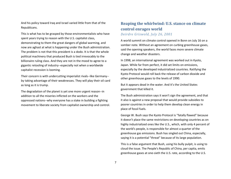And his policy toward Iraq and Israel varied little from that of the Republicans.

This is what has to be grasped by those environmentalists who have spent years trying to reason with the U.S. capitalist class, demonstrating to them the great dangers of global warming, and now are aghast at what is happening under the Bush administration. The problem is not that this president is a dodo. It is that the whole political machinery that produced Bush is tied irrevocably to the billionaire ruling class. And they are not in the mood to agree to a gigantic retooling of industry--especially not when a worldwide capitalist recession is looming.

Their concern is with undercutting imperialist rivals--like Germany- by taking advantage of their weaknesses. They will play their oil card as long as it is trump.

The degradation of the planet is yet one more urgent reason--in addition to all the miseries inflicted on the workers and the oppressed nations--why everyone has a stake in building a fighting movement to liberate society from capitalist ownership and control.

## **Reaping the whirlwind: U.S. stance on climate control enrages world** *Deirdre Griswold, July 26, 2001*

A world summit on climate control opened in Bonn on July 16 on a somber note. Without an agreement on curbing greenhouse gases, said the opening speakers, the world faces more severe climate change and weather disasters.

In 1998, an international agreement was worked out in Kyoto, Japan. While far from perfect, it did set limits on emissions, especially by the developed industrialized countries. Ratifying the Kyoto Protocol would roll back the release of carbon dioxide and other greenhouse gases to the levels of 1990.

But it appears dead in the water. And it's the United States government that killed it.

The Bush administration says it won't sign the agreement, and that it also is against a new proposal that would provide subsidies to poorer countries in order to help them develop clean energy in place of fossil fuels.

George W. Bush says the Kyoto Protocol is "fatally flawed" because it doesn't place the same restrictions on developing countries as on highly industrialized ones like the U.S., which, with only 4 percent of the world's people, is responsible for almost a quarter of the greenhouse gas emissions. Bush has singled out China, especially, saying it is a potential "threat" because of its large population.

This is a false argument that Bush, using his bully pulpit, is using to cloud the issue. The People's Republic of China, per capita, emits greenhouse gases at one-sixth the U.S. rate, according to the U.S.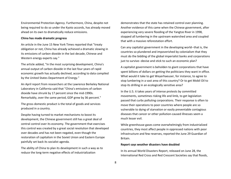Environmental Protection Agency. Furthermore, China, despite not being required to do so under the Kyoto accords, has already moved ahead on its own to dramatically reduce emissions.

#### **China has made dramatic progress**

An article in the June 15 New York Times reported that "treaty obligation or not, China has already achieved a dramatic slowing in its emissions of carbon dioxide in the last decade, Chinese and Western energy experts say."

The article added, "In the most surprising development, China's annual output of carbon dioxide in the last four years of rapid economic growth has actually declined, according to data compiled by the United States Department of Energy."

An April report from researchers at the Lawrence Berkeley National Laboratory in California said that "China's emissions of carbon dioxide have shrunk by 17 percent since the mid-1990s. Remarkably, over the same period, GDP grew by 36 percent."

The gross domestic product is the total of goods and services produced in a country.

Despite having turned to market mechanisms to boost its development, the Chinese government still has a great deal of central control over its economy. The government that exercises this control was created by a great social revolution that developed over decades and has not been negated, even though the restoration of capitalism in the Soviet Union and Eastern Europe painfully set back its socialist agenda.

The ability of China to plan its development in such a way as to reduce the long-term negative effects of industrialization

demonstrates that the state has retained control over planning. Another evidence of this came when the Chinese government, after experiencing very severe flooding of the Yangtze River in 1998, stopped all lumbering in the upstream watershed area and coupled that with a massive reforestation effort.

Can any capitalist government in the developing world--that is, the countries so plundered and impoverished by colonialism that they must do the bidding of the global imperialist banks and corporations just to survive--devise and stick to such an economic plan?

A capitalist government is beholden to giant corporations that have spent billions of dollars on getting the politicians they want in office. What would it take to get Weyerhaeuser, for instance, to agree to stop lumbering in a vast area of this country? Or to get Mobil Oil to stop its drilling in an ecologically sensitive area?

In the U.S. it takes years of intense protests by committed movements, sometimes risking life and limb, to get legislation passed that curbs polluting corporations. Their response is often to move their operations to poor countries where people are so vulnerable to dying of starvation or easily preventable contagious diseases that cancer or other pollution-caused illnesses seem a much lesser evil.

While greenhouse gases come overwhelmingly from industrialized countries, they most affect people in oppressed nations with poor infrastructure and few reserves, reported the June 29 Guardian of Britain.

#### **Report says weather disasters have doubled**

In its annual World Disasters Report, released on June 28, the International Red Cross and Red Crescent Societies say that floods,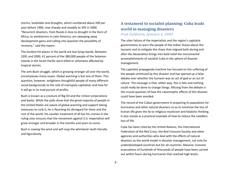storms, landslides and droughts, which numbered about 200 per year before 1996, rose sharply and steadily to 392 in 2000. "Recurrent disasters, from floods in Asia to drought in the Horn of Africa, to windstorms in Latin America, are sweeping away development gains and calling into question the possibility of recovery," said the report.

The hardest-hit places in the world are low-lying islands. Between 1991 and 2000, 41 percent of the 380,000 people of the Solomon Islands in the South Pacific were killed or otherwise affected by tropical storms.

The anti-Bush struggle, which is growing stronger all over the world, encompasses many issues. Global warming is but one of them. This question, however, enlightens thoughtful people of many different social backgrounds to the role of monopoly capitalism and how far it will go in its mad pursuit of profits.

Bush is known as a creature of Big Oil and the richest corporations and banks. While the polls show that the great majority of people in the United States are aware of global warming and support taking measures to curb it, he is flaunting his disregard for them and the rest of the world. His cavalier treatment of all but his cronies in the ruling class ensures that the movement against U.S. imperialism will grow stronger and broader in the months and years to come.

Bush is sowing the wind and will reap the whirlwind--both literally and figuratively.

## **A testament to socialist planning: Cuba leads world in managing disasters** *Fred Goldstein, January 2, 2005*

The utter failure of the imperialists and the region's capitalist governments to warn the people of the Indian Ocean about the tsunami and to mitigate the chaos that reigned both during and after the devastation brings into bold relief the monumental accomplishments of socialist Cuba in the sphere of disaster management.

The capitalist propaganda machine has focused on the suffering of the people victimized by this disaster and has opened up a false debate over whether the tsunami was an act of god or an act of nature. The message is that, either way, this is fate and nothing could really be done to change things. Missing from the debate is the crucial question of how the catastrophic effects of this disaster could have been avoided.

The record of the Cuban government in preparing its population for hurricanes and other natural disasters so as to minimize the loss of human life gives the lie to religious mysticism and fatalistic thinking. It also stands as a practical example of how to reduce the needless loss of life.

Cuba has been cited by the United Nations, the International Federation of the Red Cross, the Red Crescent Society and other agencies and authorities who deal with the effects of natural disasters as the world model in disaster management, not only for underdeveloped countries but for all countries. Massive, humane evacuations of hundreds of thousands of people have been carried out within hours during hurricanes that reached high levels.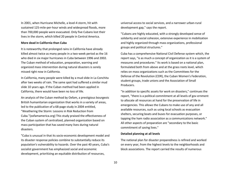In 2001, when Hurricane Michelle, a level-4 storm, hit with sustained 125-mile-per-hour winds and widespread floods, more than 700,000 people were evacuated. Only five Cubans lost their lives in the storm, which killed 20 people in Central America.

#### **More dead in California than Cuba**

It is noteworthy that prolonged rains in California have already killed almost twice as many people in a two-week period as the 16 who died in six major hurricanes in Cuba between 1996 and 2002. The Cuban method of education, preparation, warning and organized mass intervention during natural disasters is sorely missed right now in California.

In California, many people were killed by a mud slide in La Conchita after two weeks of rain. The same spot had suffered a similar mud slide 10 years ago. If the Cuban method had been applied in California, there would have been no loss of life.

An analysis of the Cuban method by Oxfam, a prestigious bourgeois British humanitarian organization that works in a variety of areas, led to the publication of a 68-page study in 2004 entitled, "Weathering the Storm: Lessons in Risk Reduction from Cuba."(oxfamamerica.org) This study praised the effectiveness of the Cuban system of centralized, planned organization based on mass participation that has saved many lives during natural disasters.

"Cuba is unusual in that its socio-economic development model and its disaster response policies combine to substantially reduce its population's vulnerability to hazards. Over the past 40 years, Cuba's socialist government has emphasized social and economic development, prioritizing an equitable distribution of resources,

universal access to social services, and a narrower urban-rural development gap," says the report.

"Cubans are highly educated, with a strongly developed sense of solidarity and social cohesion, extensive experience in mobilization and highly organized through mass organizations, professional groups and political structures."

Cuba has a comprehensive National Civil Defense system which, the report says, "is as much a concept of organization as it is a system of measures and procedures." Its work is based on a national plan, formulated both from above and at the grass roots level, which relies on mass organizations such as the Committees for the Defense of the Revolution (CDR), the Cuban Women's Federation, student groups, trade unions and the Association of Small Producers.

"In addition to specific assets for work on disasters," continues the report, "there is a political commitment at all levels of gov ernment to allocate all resources at hand for the preservation of life in emergencies. This allows the Cubans to make use of any and all available resources, such as using local schools as evacuation shelters, securing boats and buses for evacuation purposes, or tapping the ham radio association as a communications network." All other aspects of preparation are "secondary to the basic commitment of saving lives."

#### **Detailed planning at all levels**

The national plan for disaster preparedness is refined and worked on every year, from the highest levels to the neighborhoods and block associations. The report carried the results of numerous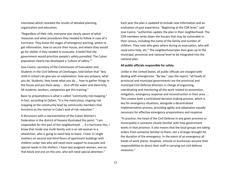interviews which revealed the results of detailed planning, organization and education.

"Regardless of their role, everyone was clearly aware of what measures and what procedures they needed to follow in case of a hurricane. They knew the stages of emergency warning, where to get information, how to secure their house, and where they would go for shelter if they needed to evacuate. A belief that the government would prioritize people's safety prevailed. The Cuban population clearly has developed a 'culture of safety.'"

Jose Castro, secretary of the Commission of Evacuation and Students in the Civil Defense of Cienfuegos, told Oxfam that "Any child in school can give you an explanation: how you prepare, what you do. Students, they know what you do ... how to gather things in the house and put them away ... shut off the water and electricity. All students, workers, campesinos get this training."

Basic to preparedness is what is called "community risk mapping." In fact, according to Oxfam, "it is the meticulous, ongoing risk mapping at the community level by community members that functions as the mortar in Cuba's wall of risk reduction."

A discussion with a representative of the Cuban Women's Federation in the district of Havana illustrated this point: "I am responsible for this part of the neighborhood. ... If a hurricane hits, I know that inside one multi-family unit is an old woman in a wheelchair, who is going to need help to leave. I have 11 single mothers on second and third floors of apartment buildings with children under two who will need more support to evacuate and special needs in the shelters. I have two pregnant women, one on that block and one on this one, who will need special attention."

Each year the plan is updated to include new information and an evaluation of past experience. "Beginning at the CDR level," said Jose Castro, "authorities update the plan in their neighborhood. The CDR members write down the houses that may be vulnerable in their census, including the name of the family and number of children. They note who goes where during an evacuation, who will need extra help, etc." The neighborhood plan then goes up to the municipal, provincial and national level to be integrated into the national plan.

#### **All public officials responsible for safety**

Unlike in the United States, all public officials are charged with dealing with emergencies. "By law," says the report, "all heads of provincial and municipal governments are the provincial and municipal Civil Defense directors in charge of organizing, coordinating and monitoring all the work related to prevention, mitigation, emergency response and reconstruction in their area. ... This creates both a centralized decision-making process, which is key for emergency situations, alongside a decentralized implementation process, providing agility and adaptation equally necessary for effective emergency preparedness and response.

"In practice, the head of the Civil Defense in any given province or municipality is someone closely familiar with how government works in that province. It also means that the local groups are taking orders from someone familiar to them, not a stranger brought for the duration of the emergency. In the event of an emergency all heads of work places, hospitals, schools or businesses assume their responsibilities to direct their staff in carrying out civil defense measures."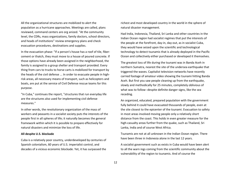All the organizational structures are mobilized to alert the population as a hurricane approaches. Meetings are called, plans reviewed, command centers are org anized. "At the community level, the CDRs, mass organizations, family doctors, school directors, and heads of institutions" review emergency plans and check evacuation procedures, destinations and supplies.

In the evacuation phase: "If a person's house has a roof of tile, fibercement or thatch, they must move to a house of poured concrete. If those options have already been assigned in the neighborhood, the family is assigned to a group shelter and transport provided. Every thing from cars to trucks to horse carts is mobilized for transport by the heads of the civil defense ... In order to evacuate people in highrisk areas, all necessary means of transport, such as helicopters and boats, are put at the service of Civil Defense rescue teams for this purpose.

"In Cuba," continues the report, "structures that run everyday life are the structures also used for implementing civil defense measures."

In other words, the revolutionary organization of the mass of workers and peasants in a socialist society puts the interests of the people first in all spheres of life; it naturally becomes the general framework within which it is possible to prepare effectively for natural disasters and minimize the loss of life.

#### **All despite U.S. blockade**

Cuba is a relatively poor country, underdeveloped by centuries of Spanish colonialism, 60 years of U.S. imperialist control, and decades of a vicious economic blockade. Yet, it has surpassed the

richest and most developed country in the world in the sphere of natural disaster management.

Had India, Indonesia, Thailand, Sri Lanka and other countries in the Indian Ocean region had socialist regimes that put the interests of the people at the forefront, day-in, day-out, as in socialist Cuba, they would have seized upon the scientific and technological technology to detect tsunamis that is already deployed in the Pacific Ocean and collectively either purchased or developed it themselves.

The greatest loss of life during the tsunami was in Banda Aceh in northern Sumatra, nearest the site of the undersea earthquake that triggered the waves. Capitalist television networks have recently carried footage of amateur video showing the tsunami hitting Banda Aceh. But first you saw people cleaning up from the earthquake, slowly and methodically for 25 minutes, completely oblivious of what was to follow--despite definite danger signs, like the sea receding.

An organized, educated, prepared population with the government fully behind it could have evacuated thousands of people, even at the site closest to the epicenter of the tsunami. Evacuation to safety in most areas involved moving people only a relatively short distance from the coast. This holds in even greater measure for the high-casualty areas further from the quake, such as Thailand, Sri Lanka, India and of course West Africa.

Tsunamis are not at all unknown in the Indian Ocean region. There have been three in Indonesia alone in the last 12 years.

A socialist government such as exists in Cuba would have been alert to all the warn ings coming from the scientific community about the vulnerability of the region to tsunamis. And of course the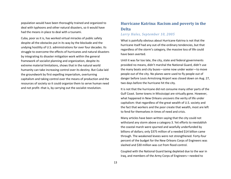population would have been thoroughly trained and organized to deal with typhoons and other natural disasters, so it would have had the means in place to deal with a tsunami.

Cuba, poor as it is, has worked virtual miracles of public safety despite all the obstacles put in its way by the blockade and the undying hostility of U.S. administrations for over four decades. Its struggle to overcome the effects of hurricanes and natural disasters by integrating its disaster mitigation work within the general framework of socialist planning and organization, despite its extreme material limitations, shows that in the natural world humanity can take increasing control over its destiny. But Cuba laid the groundwork by first expelling imperialism, overturning capitalism and taking control over the means of production and the resources of society so it could organize them to serve human need and not profit--that is, by carrying out the socialist revolution.

# **Hurricane Katrina: Racism and poverty in the Delta**

## *Larry Hales, September 10, 2005*

What is painfully obvious about Hurricane Katrina is not that the hurricane itself had any out-of-the-ordinary tendencies, but that regardless of the storm's category, the massive loss of life could have been averted.

Until it was far too late, the city, state and federal governments provided no means, didn't marshal the National Guard, didn't use the many boats and city buses—some now under water—to move people out of the city. No planes were used to fly people out of danger before Louis Armstrong Airport was closed down on Aug. 27, two days before the hurricane hit the city.

It is not that the hurricane did not consume many other parts of the Gulf Coast. Some towns in Mississippi are virtually gone. However, what happened in New Orleans uncovers the verity of life under capitalism: that regardless of the great wealth of U.S. society and the fact that workers and the poor create that wealth, most are left to fend for themselves in times of need and crisis.

Many articles have been written saying that the city could not withstand any storm above a category 3. Yet efforts to reestablish the coastal marsh were spurned and woefully underfunded by billions of dollars; only \$375 million of a needed \$14 billion came through. The weakened levees were not strengthened. Forty-four percent of the budget for the New Orleans Corps of Engineers was slashed and \$30 million was cut from flood control.

Coupled with the National Guard being depleted due to the war in Iraq, and members of the Army Corps of Engineers—needed to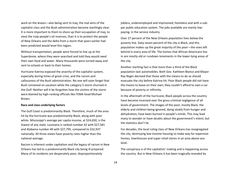work on the levees—also being sent to Iraq, the real aims of the capitalist class and the Bush administration become startlingly clear. It is more important to them to shore up their occupation of Iraq, to steal the Iraqi people's oil reserves, than it is to protect the people of New Orleans and the delta from a storm that years earlier had been predicted would level this region.

Without transportation, people were forced to line up at the Superdome, where they were searched and told they would need their own food and water. Many thousands were turned away and sent to schools or back to their homes.

Hurricane Katrina exposed the anarchy of the capitalist system, especially during times of great crisis, and the racism and callousness of the Bush administration. No one will soon forget that Bush remained on vacation while the category 5 storm churned in the Gulf. Neither will it be forgotten how the victims of the storm were blamed by high-ranking officials like FEMA head Michael Brown.

#### **Race and class underlying factors**

The Gulf Coast is predominantly Black. Therefore, much of the area hit by the hurricane was predominantly Black, along with poor white. Mississippi's average per capita income, at \$24,650, is the lowest of any state. Louisiana is ranked number 42 with \$27,581 and Alabama number 40 with \$27,795, compared to \$32,937 nationally. All three states have poverty rates higher than the national average.

Racism is inherent under capitalism and the legacy of racism in New Orleans has led to a predominantly Black city being ill prepared. Many of its residents are desperately poor; disproportionately

jobless, underemployed and imprisoned; homeless and with a subpar public education system. The jobs available are mainly lowpaying, in the service industry.

Over 27 percent of the New Orleans population lives below the poverty line. Sixty-seven percent of the city is Black, and this population makes up the great majority of the poor—the ones left behind in every area of life. The homes that African Americans live in are mostly old or rundown tenements in the lower-lying areas of the city.

Another startling fact is that more than a third of the Black population lack automobiles. Both Gov. Kathleen Blanco and Mayor Ray Nagin decreed that those with the means to do so should evacuate the city before Katrina hit. Poor Black people did not have the means to leave on their own; they couldn't afford to own a car because of poverty or infirmity.

In the aftermath of the hurricane, Black people across the country have become incensed over the gross criminal negligence of all levels of government. The images of the poor, mostly Black, the elderly and children being ignored, dying slowly from hunger and dehydration, have been burned in people's minds. This may lead many to wonder or have doubts about the government's intent, but the statistics don't lie.

For decades, the local ruling class of New Orleans has resegregated the city, destroying low-income housing to make way for expensive homes, townhouses and super retail stores in an area above sealevel.

The conspiracy is of the capitalists' making and is happening across the country. But in New Orleans it has been tragically revealed by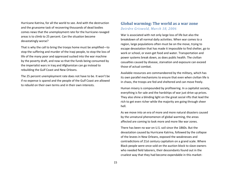Hurricane Katrina, for all the world to see. And with the destruction and the gruesome task of recovering thousands of dead bodies comes news that the unemployment rate for the hurricane-ravaged areas is to climb to 25 percent. Can the situation become devastatingly worse?

That is why the call to bring the troops home must be amplified—to stop the suffering and murder of the Iraqi people, to stop the loss of life of the many poor and oppressed sucked into the war machine by the poverty draft, and now so that the funds being consumed by the imperialist wars in Iraq and Afghanistan can go instead to rebuilding the Gulf Coast and New Orleans.

The 25 percent unemployment rate does not have to be. It won't be if no expense is spared and the people of the Gulf Coast are allowed to rebuild on their own terms and in their own interests.

## **Global warming: The world as a war zone** *Deirdre Griswold, March 18, 2006*

War is associated with not only large loss of life but also the breakdown of all normal daily activities. When war comes to a region, large populations often must be on the move, trying to escape devastation that has made it impossible to find shelter, go to work or school, or even get food and water. Transportation and power systems break down, as does public health. The civilian casualties caused by disease, starvation and exposure can exceed those of actual combat.

Available resources are commandeered by the military, which has its own parallel mechanisms to ensure that even when civilian life is in chaos, the troops are fed and sheltered and can move freely.

Human misery is compounded by profiteering. In a capitalist society, everything is for sale and the hardships of war just drive up prices. They also shine a blinding light on the great social rifts that lead the rich to get even richer while the majority are going through sheer hell.

As we move into an era of more and more natural disasters caused by the unnatural phenomenon of global warming, the areas affected are coming to look more and more like war zones.

There has been no war on U.S. soil since the 1860s. But the devastation caused by Hurricane Katrina, followed by the collapse of the levees in New Orleans, exposed the weaknesses and contradictions of 21st century capitalism on a grand scale. Where Black people were once sold on the auction block to slave owners who needed field laborers, their descendants found out in the cruelest way that they had become expendable in this market-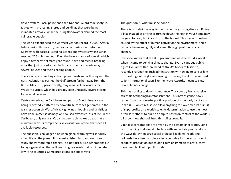driven system. Local police and then National Guard rode shotgun, tasked with protecting stores and buildings that were being inundated anyway, while the rising floodwaters claimed the most vulnerable people.

The world experienced the warmest year on record in 2005. After a balmy period this month, cold air came roaring back into the Midwest with baseball-sized hailstones and twisters whose winds reached 206 miles an hour. Even the lovely islands of Hawaii, which enjoy a temperate climate year round, have had record-breaking rains that just caused a dam in Kauai to burst and wash away several houses and their sleeping people.

The ice is rapidly melting at both poles. Fresh water flowing into the north Atlantic has pushed the Gulf Stream farther away from the British Isles. This, paradoxically, may mean colder winters for Western Europe, which has already seen unusually severe storms for several decades.

Central America, the Caribbean and parts of South America are being repeatedly battered by powerful hurricanes generated in the warmer ocean off West Africa. High winds, flooding and landslides have done immense damage and caused extensive loss of life. In the Caribbean, only socialist Cuba has been able to keep deaths at a minimum with its comprehensive evacuation system that uses all available resources.

The question is no longer if or when global warming will seriously affect life on the planet. It is an established fact, and each new study shows more rapid change. It is not just future generations but today's generation that will see rising sea levels that can inundate low-lying countries. Some predictions are apocalyptic.

The question is, what must be done?

There is no individual way to overcome this growing disaster. Riding a bike instead of driving or turning down the heat in your home may be good for you, but it's a drop in the bucket. This is a vast problem caused by the effect of human activity on the environment, and it can only be meaningfully addressed through profound social change.

Everyone knows that the U.S. government was the world's worst when it came to denying climate change. Even a cautious public figure like James Hansen, head of NASA's Goddard Institute, recently charged the Bush administration with trying to censor him for speaking out on global warming. For years, the U.S. has refused to join international pacts like the Kyoto Accords, meant to slow down climate change.

This has nothing to do with ignorance. This country has a massive scientific-technological establishment. This intransigence flows rather from the powerful political position of monopoly capitalism in the U.S., which refuses to allow anything to slow down its pursuit of superprofits on a world scale. Its determination to use the most ruthless methods to build an empire based on control of the world's oil shows how short-sighted this ruling group is.

Capitalist corporations are driven by the bottom line: profits. Longterm planning that would interfere with immediate profits falls by the wayside. When large social projects like dams, roads and railroads have been absolutely indispensable for the expansion of capitalist production but couldn't turn an immediate profit, they have been built with public funds.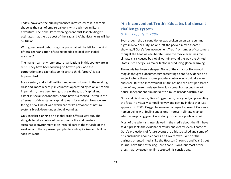Today, however, the publicly financed infrastructure is in terrible shape as the cost of empire balloons with each new military adventure. The Nobel Prize-winning economist Joseph Stieglitz estimates that the true cost of the Iraq and Afghanistan wars will be \$2 trillion.

With government debt rising sharply, what will be left for the kind of total reorganization of society needed to deal with global warming?

The mainstream environmental organizations in this country are in crisis. They have been focusing on how to persuade the corporations and capitalist politicians to think "green." It is a hopeless task.

For a century and a half, militant movements based in the working class and, more recently, in countries oppressed by colonialism and imperialism, have been trying to break the grip of capital and establish socialist economies. Some have succeeded—often in the aftermath of devastating capitalist wars for markets. Now we are facing a new kind of war, which can strike anywhere as natural systems break down under global warming.

Only socialist planning on a global scale offers a way out. The struggle to take control of our economic life and create a sustainable environment is an integral part of the struggle of the workers and the oppressed peoples to end capitalism and build a socialist world.

## **'An Inconvenient Truth': Educates but doesn't challenge system** *G. Dunkel, July 9, 2006*

Even though the air conditioner was broken on an early summer night in New York City, no one left the packed movie theater showing Al Gore's "An Inconvenient Truth." A number of customers thought the heat was deliberate, since the movie examines the climate crisis caused by global warming—and the way the United States uses energy is a major factor in producing global warming.

The movie has been a sleeper. None of the critics or Hollywood moguls thought a documentary presenting scientific evidence on a subject where there is some popular controversy would draw an audience. But "An Inconvenient Truth" has had the best per-screen draw of any current release. Now it is spreading beyond the art house, independent film market to a much broader distribution.

Gore and his director, Davis Guggenheim, do a good job presenting the facts in a visually compelling way and getting in data that just appeared in 2005. Guggenheim even manages to present Gore as a human being with feeling and a long interest in climate change, which is surprising given Gore's long history as a political wonk.

Most of the scientists interviewed in the media about the film have said it presents the evidence carefully and clearly, even if some of Gore's projections of future events are a bit stretched and some of his conclusions about ice cores a bit overdrawn. Some of the business-oriented media like the Houston Chronicle and Wall Street Journal have tried attacking Gore's conclusions, but most of the press that reviewed the film accepted his conclusions.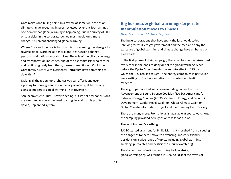Gore makes one telling point. In a review of some 900 articles on climate change appearing in peer-reviewed, scientific journals, not one denied that global warming is happening. But in a survey of 600 or so articles in the corporate-owned mass media on climate change, 53 percent challenged global warming.

Where Gore and the movie fall down is in presenting the struggle to reverse global warming as a moral one, a struggle to change personal and national moral choices. The role of the oil, coal, energy and transportation industries, and of the big capitalists who control and profit so grossly from them, passes unmentioned. Could the Gore family history with Occidental Petroleum have something to do with it?

Making all the green moral choices you can afford, and even agitating for more greenness in the larger society, at best is only going to moderate global warming—not reverse it.

"An Inconvenient Truth" is worth seeing, but its political conclusions are weak and obscure the need to struggle against this profitdriven, unplanned system.

## **Big business & global warming: Corporate manipulation moves to Phase II**  *Deirdre Griswold, July 16, 2006*

The huge corporations that have spent the last two decades lobbying forcefully to get government and the media to deny the existence of global warming and climate change have embarked on a new tack.

In the first phase of their campaign, these capitalist enterprises used every trick in the book to deny or belittle global warming. Since before the Kyoto Accords—which went into effect in 1994 and which the U.S. refused to sign—the energy companies in particular were setting up front organizations to dispute the scientific evidence.

These groups have had innocuous-sounding names like The Advancement of Sound Science Coalition (TASSC), Americans for Balanced Energy Sources (ABEC), Center for Energy and Economic Development, Cooler Heads Coalition, Global Climate Coalition, Global Climate Information Project and the Greening Earth Society.

There are many more. From a long list available at sourcewatch.org, the sampling provided here goes only as far as the Gs.

#### **The wolf in sheep's clothing**

TASSC started as a front for Philip Morris. It morphed from disputing the danger of tobacco smoke to advancing "industry-friendly positions on a wide range of topics, including global warming, smoking, phthalates and pesticides." (sourcewatch.org)

The Cooler Heads Coalition, according to its website, globalwarming.org, was formed in 1997 to "dispel the myths of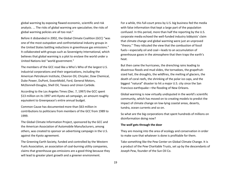global warming by exposing flawed economic, scientific and risk analysis. ... The risks of global warming are speculative; the risks of global warming policies are all too real."

Before it disbanded in 2002, the Global Climate Coalition (GCC) "was one of the most outspoken and confrontational industry groups in the United States battling reductions in greenhouse gas emissions." It collaborated with groups such as Sovereignty International, which believes that global warming is a plot to enslave the world under a United Nations-led "world government."

The members of the GCC read like a Who's Who of the largest U.S. industrial corporations and their organizations, including the American Petroleum Institute, Chevron Oil, Chrysler, Dow Chemical, Duke Power, DuPont, ExxonMobil, Ford, General Motors, McDonnell-Douglas, Shell Oil, Texaco and Union Carbide.

According to the Los Angeles Times (Dec. 7, 1997) the GCC spent \$13 million on its 1997 anti-Kyoto ad campaign, an amount roughly equivalent to Greenpeace's entire annual budget.

Common Cause has documented more than \$63 million in contributions to politicians from members of the GCC from 1989 to 1999.

The Global Climate Information Project, sponsored by the GCC and the American Association of Automobile Manufacturers, among others, was created to sponsor an advertising campaign in the U.S. against the Kyoto agreement.

The Greening Earth Society, funded and controlled by the Western Fuels Association, an association of coal-burning utility companies, claims that greenhouse gas emissions are a good thing because they will lead to greater plant growth and a greener environment.

For a while, this full-court press by U.S. big business fed the media with false information that kept a large part of the population confused. In this period, more than half the reporting by the U.S. corporate media echoed the well-funded industry lobbyists' claim that climate change and global warming were just an unproved "theory." They ridiculed the view that the combustion of fossil fuels—especially oil and coal—leads to an accumulation of greenhouse gases in the atmosphere that then traps the earth's heat.

But then came the hurricanes, the drenching rains leading to disastrous floods and mud slides, the tornadoes, the grapefruitsized hail, the droughts, the wildfires, the melting of glaciers, the death of coral reefs, the shrinking of the polar ice caps, and the biggest "natural" disaster to hit a major U.S. city since the San Francisco earthquake—the flooding of New Orleans.

Global warming is now virtually undisputed in the world's scientific community, which has moved on to creating models to predict the impact of climate change on low-lying coastal areas, deserts, tundra, ocean currents and so on.

So what are the big corporations that spent hundreds of millions on disinformation doing now?

#### **The wolf gets through the door**

They are moving into the area of ecology and conservation in order to make sure that whatever is done is profitable for them.

Take something like the Pew Center on Global Climate Change. It is a product of the Pew Charitable Trusts, set up by the descendants of Joseph Pew, founder of the Sun Oil Co.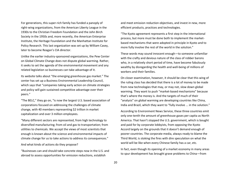For generations, this super-rich family has funded a panoply of right-wing organizations, from the American Liberty League in the 1930s to the Christian Freedom Foundation and the John Birch Society in the 1950s and, more recently, the American Enterprise Institute, the Heritage Foundation and the Manhattan Institute for Policy Research. This last organization was set up by William Casey, later to become Reagan's CIA director.

Unlike the earlier industry-sponsored organizations, the Pew Center on Global Climate Change does not dispute global warming. Rather, it seeks to set the agenda of the environmental movement and any related legislation so businesses can take advantage of it.

Its website talks about "the emerging greenhouse gas market." The center has set up a Business Environmental Leadership Council, which says that "companies taking early action on climate strategies and policy will gain sustained competitive advantage over their peers."

"The BELC," they go on, "is now the largest U.S. based association of corporations focused on addressing the challenges of climate change, with 40 members representing \$2 trillion in market capitalization and over 3 million employees.

"Many different sectors are represented, from high technology to diversified manufacturing; from oil and gas to transportation; from utilities to chemicals. We accept the views of most scientists that enough is known about the science and environmental impacts of climate change for us to take actions to address its consequences."

And what kinds of actions do they propose?

"Businesses can and should take concrete steps now in the U.S. and abroad to assess opportunities for emission reductions, establish

and meet emission reduction objectives, and invest in new, more efficient products, practices and technologies.

"The Kyoto agreement represents a first step in the international process, but more must be done both to implement the marketbased mechanisms that were adopted in principle in Kyoto and to more fully involve the rest of the world in the solution."

These words may sound innocent enough—to someone unfamiliar with the crafty and devious nature of the class of robber barons who, in a relatively short period of time, have become fabulously wealthy by disregarding the health and well-being of millions of workers and their families.

On closer examination, however, it should be clear that this wing of the ruling class has decided that there is a lot of money to be made from new technologies that may, or may not, slow down global warming. They want to push "market-based mechanisms" because that's where the money is. And the targets of much of their "analysis" on global warming are developing countries like China, India and Brazil, which they want to "fully involve ... in the solution."

According to Environment News Service, these three countries emit only one-tenth the amount of greenhouse gases per capita as North America. That hasn't stopped the U.S. government, which is bought and paid for by corporate lobbyists, from opposing the Kyoto Accord largely on the grounds that it doesn't demand enough of poorer countries. The corporate media, always ready to blame the Third World, is stoking the fires with dire speculation on what the world will be like when every Chinese family has a car, etc.

In fact, even though its opening of a market economy in many areas to spur development has brought grave problems to China—from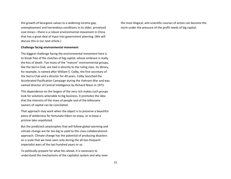the growth of bourgeois values to a widening income gap, unemployment and horrendous conditions in its older, privatized coal mines—there is a robust environmental movement in China that has a great deal of input into government planning. (We will discuss this in our next article.)

#### **Challenge facing environmental movement**

The biggest challenge facing the environmental movement here is to break free of the clutches of big capital, whose embrace is really the kiss of death. Too many of the "mature" environmental groups, like the Sierra Club, are tied in directly to the ruling class. Its library, for example, is named after William E. Colby, the first secretary of the Sierra Club and a director for 49 years. Colby launched the Accelerated Pacification Campaign during the Vietnam War and was named director of Central Intelligence by Richard Nixon in 1973.

This dependence on the largess of the very rich makes such groups look for solutions amenable to big business. It promotes the idea that the interests of the mass of people and of the billionaire owners of capital can be conciliated.

That approach may work when the object is to preserve a beautiful piece of wilderness for fortunate hikers to enjoy, or to keep a pristine lake unpolluted.

But the predicted catastrophes that will follow global warming and climate change are far too big to yield to this class-collaborationist approach. Climate change has the potential of producing disasters on a scale that we have seen only during the all-too-frequent imperialist wars of the last hundred years or so.

To politically prepare for what lies ahead, it is necessary to understand the mechanisms of the capitalist system and why even the most illogical, anti-scientific courses of action can become the norm under the pressure of the profit needs of big capital.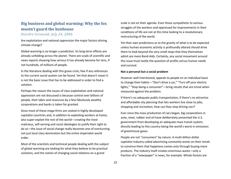# **Big business and global warming: Why the fox mustn't guard the henhouse**

*Deirdre Griswold, July 24, 2006*

Are exploitation and national oppression the major factors driving climate change?

Global warming is no longer a prediction. Its long-term effects are already unfolding across the planet. There are scads of scientific and news reports showing how serious it has already become for tens, if not hundreds, of millions of people.

In the literature dealing with this grave crisis, few if any references to the current social system can be found. Yet that doesn't mean it is not the basic issue that has to be addressed in order to find a solution.

Perhaps the reason the issues of class exploitation and national oppression are not discussed is because control over billions of people, their labor and resources by a few fabulously wealthy corporations and banks is taken for granted.

Since most of these mega-firms are rooted in highly developed capitalist countries and, in addition to exploiting workers at home, also super-exploit the rest of the world—creating the most malicious, self-serving and racist ideologies to justify their right to do so—the issue of social change really becomes one of overturning not just local class domination but the entire imperialist world order.

Most of the scientists and technical people dealing with the subject of global warming are looking for what they believe to be practical solutions, and the notion of changing social relations on a grand

scale is not on their agenda. Even those sympathetic to various struggles of the workers and oppressed for improvements in their conditions of life are not at this time looking to a revolutionary restructuring of the world.

Yet their own predictions as to the gravity of what is to be expected unless human economic activity is profoundly altered should drive them to look beyond the very small steps that they themselves admit are mere Band-Aids. Certainly, any social movement around this issue must tackle the question of profits versus human needs and survival.

#### **Not a personal but a social problem**

However well intentioned, appeals to people on an individual basis to change their habits—"Don't drive a car," "Turn off your electric lights," "Stop being a consumer"—bring results that are trivial when measured against the problem.

If there's no adequate public transportation, if there's no attractive and affordable city planning that lets workers live close to jobs, shopping and recreation, how can they stop driving cars?

Ever since the mass production of cars began, big corporations in auto, steel, rubber and oil have deliberately prevented the U.S. government from developing an adequate mass transit system, directly leading to this country being the world's worst in emissions of greenhouse gases.

People are not "consumers" by nature. A multi-billion-dollar capitalist industry called advertising constantly works on their minds to convince them that happiness comes only through buying more products. The industry itself creates enormous waste—only a fraction of a "newspaper" is news, for example. Whole forests are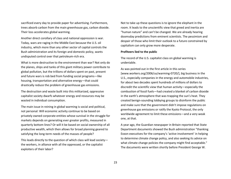sacrificed every day to provide paper for advertising. Furthermore, trees absorb carbon from the main greenhouse gas, carbon dioxide. Their loss accelerates global warming.

Another direct corollary of class and national oppression is war. Today, wars are raging in the Middle East because the U.S. oil industry, which more than any other sector of capital controls the Bush administration and its foreign and domestic policy, wants undisputed control over that petroleum-rich era.

What is more destructive to the environment than war? Not only do the planes, ships and tanks of this giant military power contribute to global pollution, but the trillions of dollars spent on past, present and future wars is rob bed from funding social programs—like housing, transportation and alternative energy—that could drastically reduce the problem of greenhouse gas emissions.

The destruction and waste built into this militarized, oppressive capitalist society dwarfs whatever energy and resources may be wasted in individual consumption.

The main issue in reining in global warming is social and political, not personal: Will economic activity continue to be based on privately owned corporate entities whose survival in the struggle for markets depends on generating ever greater profits, measured in quarterly bottom lines? Or will it be based on social ownership of all productive wealth, which then allows for broad planning geared to satisfying the long-term needs of the masses of people?

This leads directly to the question of which class will lead society the workers, in alliance with all the oppressed, or the capitalist exploiters of their labor?

Not to take up these questions is to ignore the elephant in the room. It leads to the unscientific view that greed and inertia are "human nature" and can't be changed. We are already hearing doomsday predictions from eminent scientists. The pessimism and despair of those who limit their outlook to a future constrained by capitalism can only grow more desperate.

#### **Profiteers lied to the public**

The record of the U.S. capitalist class on global warming is undeniable.

As was pointed out in the first article in this series [www.workers.org/2006/us/warming-0720/], big business in the U.S., especially companies in the energy and automobile industries, for about two decades spent hundreds of millions of dollars to discredit the scientific view that human activity—especially the combustion of fossil fuels—had created a blanket of carbon dioxide in the earth's atmosphere that was trapping the sun's heat. They created benign-sounding lobbying groups to disinform the public and make sure that the government didn't impose regulations on greenhouse gas emissions or ratify the Kyoto Protocol, the only worldwide agreement to limit these emissions—and a very weak one, at that.

A year ago, the Guardian newspaper in Britain reported that State Department documents showed the Bush administration "thanking Exxon executives for the company's 'active involvement' in helping to determine climate change policy, and also seeking its advice on what climate change policies the company might find acceptable." The documents were written shortly before President George W.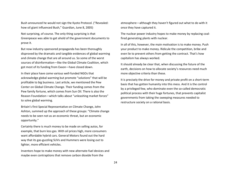Bush announced he would not sign the Kyoto Protocol. ("Revealed: how oil giant influenced Bush," Guardian, June 8, 2005)

Not surprising, of course. The only thing surprising is that Greenpeace was able to get ahold of the government documents to prove it.

But now industry-sponsored propaganda has been thoroughly disproved by the dramatic and tangible evidences of global warming and climate change that are all around us. So some of the worst sources of disinformation—like the Global Climate Coalition, which got most of its funding from Exxon—have closed down.

In their place have come various well-funded NGOs that acknowledge global warming but promote "solutions" that will be profitable to big business. Last article, we mentioned the Pew Center on Global Climate Change. Their funding comes from the Pew family fortune, which comes from Sun Oil. There is also the Reason Foundation—which talks about "unleashing market forces" to solve global warming.

Britain's first Special Representative on Climate Change, John Ashton, summed up the approach of these groups: "Climate change needs to be seen not as an economic threat, but an economic opportunity."

Certainly there is much money to be made on selling autos, for example, that burn less gas. With oil prices high, more consumers want affordable hybrid cars. General Motors found out the hard way that its gas-guzzling SUVs and Hummers were losing out to lighter, more efficient vehicles.

Inventors hope to make money with new alternate-fuel devices and maybe even contraptions that remove carbon dioxide from the

atmosphere—although they haven't figured out what to do with it once they have captured it.

The nuclear power industry hopes to make money by replacing coalfired generating plants with nuclear.

In all of this, however, the main motivation is to make money. Push your product to make money. Ridicule the competition, bribe and even lie to prevent others from getting the contract. That's how capitalism has always worked.

It should already be clear that, when discussing the future of the earth, decisions on how to allocate society's resources need much more objective criteria than these.

It is precisely the drive for money and private profit on a short-term basis that has gotten humanity into this mess. And it is the control by a privileged few, who dominate even the so-called democratic political process with their huge fortunes, that prevents capitalist governments from taking the sweeping measures needed to restructure society on a rational basis.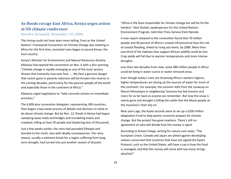# **As floods ravage East Africa, Kenya urges action at UN climate conference**

### *Deirdre Griswold, November 19, 2006*

The timing could not have been more telling. Even as the United Nations' Framework Convention on Climate Change was meeting in Africa for the first time, torrential rains began to pound Kenya, the host country.

Kenya's Minister for Environment and Natural Resources Kivutha Kibwana had opened the convention on Nov. 6 with a dire warning: "Climate change is rapidly emerging as one of the most serious threats that humanity may ever face. ... We face a genuine danger that recent gains in poverty reduction will be thrown into reverse in the coming decades, particularly for the poorest people of the world and especially those in the continent of Africa."

Kibwana urged negotiators to "take concrete actions on immediate priorities."

The 6,000-plus convention delegates, representing 189 countries, then began a two-week process of debate and decision on what to do about climate change. But by Nov. 12, floods in Kenya had begun sweeping away roads and bridges and inundating towns and cropland, killing at least 20 people and displacing tens of thousands.

Just a few weeks earlier, the rains had pounded Ethiopia and Somalia to the north, also with deadly consequences. The rainy season, usually a welcome break for a region suffering from longterm drought, had turned into just another season of disaster.

"Africa is the least responsible for climate change but will be hit the hardest," Nick Nuttall, spokesperson for the United Nations Environment Program, told Inter Press Service from Nairobi.

A new report released to the convention found that 70 million people and 30 percent of Africa's coastal infrastructure face the risk of coastal flooding, linked to rising sea levels, by 2080. More than one-third of the habitats that support African wildlife could be lost. Crop yields will fall due to warmer temperatures and more intense droughts.

Less than two decades from now, some 480 million people in Africa could be living in water-scarce or water-stressed areas.

Even though today's rains are drowning Africa's eastern regions, higher temperatures are drying up the sources of water for much of the continent. For example, the summer melt from the snowcap on Mount Kilimanjaro in neighboring Tanzania has fed streams and rivers for as far back as anyone can remember. But now the snow is nearly gone and drought is killing the cattle that the Masai people at the mountain's foot rely on.

Nine years ago, the Kyoto accords were to set up a \$100 million Adaptation Fund to help poorer countries prepare for climate change. But the project has gone nowhere. There's still no agreement on who will decide how the money is spent.

According to Kimani Chege, writing for nature.com news, "The European Union, Canada and Japan are pitted against developing nations concerned that countries that have not signed the Kyoto Protocol, such as the United States, will have a say in how the fund is managed, and that the money will come with too many strings attached."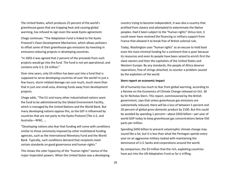The United States, which produces 25 percent of the world's greenhouse gases that are trapping heat and causing global warming, has refused to sign even the weak Kyoto agreement.

Chege continues: "The Adaptation Fund is linked to the Kyoto Protocol's Clean Development Mechanism, which allows polluters to offset some of their greenhouse-gas emissions by investing in emissions-reducing projects in developing countries.

"In 2003 it was agreed that 2 percent of the proceeds from such projects would go into the fund. The fund is not yet operational, and contains only U.S. \$3 million."

Over nine years, only \$3 million has been put into a fund that is supposed to serve developing countries all over the world! In just a few hours, storm-related damage can cost much, much more than that in just one small area, draining funds away from development projects.

Chege adds, "The EU and many other industrialized nations want the fund to be administered by the Global Environment Facility, which is managed by the United Nations and the World Bank. But many developing nations oppose this, as the GEF is influenced by countries that are not party to the Kyoto Protocol [The U.S. and Australia—WW]. ...

"Developing nations also fear that funding will come with conditions similar to those commonly imposed by other multilateral funding agencies, such as the International Monetary Fund and the World Bank. Typically, such conditions demand that recipients meet certain standards on good governance and human rights."

This shows the utter hypocrisy of the "human rights" stance of the major imperialist powers. When the United States was a developing country trying to become independent, it was also a country that profited from slavery and attempted to exterminate the Native peoples. Had it been subject to the "human rights" litmus test, it could never have received the financing or military support from France that allowed it to break free of British colonial rule.

Today, Washington uses "human rights" as an excuse to hold back even the most minimal funding for a continent that is poor because its resources and even its people have been seized to enrich first the slave owners and then the capitalists of the United States and Western Europe. By any standards, the people of Africa deserve reparations, free of strings attached, to counter a problem caused by the exploiters of the world.

#### **Stern report on economic impact**

All of humanity has much to fear from global warming, according to a Review on the Economics of Climate Change released on Oct. 30 by Sir Nicholas Stern. This report, commissioned by the British government, says that unless greenhouse gas emissions are substantially reduced, there will be a loss of between 5 percent and 20 percent of global gross domestic product by 2100. But this could be avoided by spending 1 percent—about \$450 billion—per year of world GDP today to keep greenhouse gas concentrations below 550 parts per million.

Spending \$450 billion to prevent catastrophic climate change may sound like a lot, but it is less than what the Pentagon spends every year on an aggressive military tasked with maintaining the dominance of U.S. banks and corporations around the world.

By comparison, the \$3 million that the rich, exploiting countries have put into the UN Adaptation Fund so far is trifling.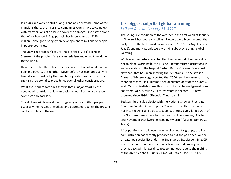If a hurricane were to strike Long Island and devastate some of the mansions there, the insurance companies would have to come up with many billions of dollars to cover the damage. One estate alone, that of Ira Rennert in Sagaponack, has been valued at \$185 million—enough to bring green development to millions of people in poorer countries.

The Stern report doesn't say it—he is, after all, "Sir" Nicholas Stern—but the problem is really imperialism and what it has done to the world.

Never before has there been such a concentration of wealth at one pole and poverty at the other. Never before has economic activity been driven so wildly by the search for greater profits, which in a capitalist society takes precedence over all other considerations.

What the Stern report does show is that a major effort by the developed countries could turn back the looming mega-disasters scientists now foresee.

To get there will take a global struggle by all committed people, especially the masses of workers and oppressed, against the present capitalist rulers of the earth.

## **U.S. biggest culprit of global warming** *LeiLani Dowell, January 15, 2007*

The spring-like condition of the weather in the first week of January in New York had everyone talking. Flowers were blooming months early. It was the first snowless winter since 1877 (Los Angeles Times, Jan. 6), and many people were worrying about one thing: global warming.

While weathercasters reported that the recent oddities were due not to global warming but to El Niño—temperature fluctuations in surface waters of the tropical Eastern Pacific Ocean—it's not just New York that has been showing the symptoms. The Australian Bureau of Meteorology reported that 2006 saw the warmest spring there on record. Neil Plummer, senior climatologist of the bureau, said, "Most scientists agree this is part of an enhanced greenhouse gas effect. Of Australia's 20 hottest years [on record], 15 have occurred since 1980." (Financial Times, Jan. 3)

Ted Scambos, a glaciologist with the National Snow and Ice Data Center in Boulder, Colo., reports, "From Europe, the East Coast, north to the Artic and across to Siberia, there's a very large swath of the Northern Hemisphere for the months of September, October and November that [were] exceedingly warm." (Washington Post, Jan. 7)

After petitions and a lawsuit from environmental groups, the Bush administration has recently proposed to put the polar bear on the threatened species list under the Endangered Species Act. In 2005, scientists found evidence that polar bears were drowning because they had to swim longer distances to find food, due to the melting of the Arctic ice shelf. (Sunday Times of Britain, Dec. 18, 2005)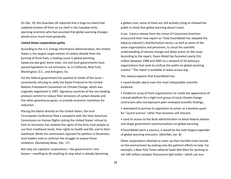On Dec. 29, the Guardian UK reported that a huge ice island had suddenly broken off from an ice shelf in the Canadian Artic, alarming scientists who had assumed that global warming changes would occur much more gradually.

#### **United States corporations guilty**

According to the U.S. Energy Information Administration, the United States is the largest single emitter of carbon dioxide from the burning of fossil fuels, a leading cause in global warming. (www.eia.doe.gov) Some state, city and local governments have passed legislation to cut emissions, as in California, New York, Washington, D.C., and Arlington, Va.

Yet the federal government has washed its hands of the issue consistently refusing to ratify the Kyoto Protocol to the United Nations Framework Convention on Climate Change, which was originally negotiated in 1997. Signatory countries of the non-binding protocol commit to reduce their emissions of carbon dioxide and five other greenhouse gases, or provide economic incentives for reduction.

Placing the blame directly on the United States, the Inuit Circumpolar Conference filed a complaint with the Inter-American Commission on Human Rights stating the United States' refusal to limit its emissions has violated the rights of the Artic Inuit people to use their traditional lands, their rights to health and life, and to their livelihood. While the commission rejected the petition in December, Inuit leaders vow to continue the struggle to expose these violations. (Nunatsiaq News, Dec. 17)

Not only are capitalist corporations—the government's real bosses—unwilling to do anything to stop what is already becoming a global crisis; some of them are still actively trying to mislead the public to think that global warming doesn't exist.

A Jan. 3 press release from the Union of Concerned Scientists announced their new report on "how ExxonMobil has adopted the tobacco industry's disinformation tactics, as well as some of the same organizations and personnel, to cloud the scientific understanding of climate change and delay action on the issue. According to the report, Exxon Mobil has funneled nearly \$16 million between 1998 and 2005 to a network of 43 advocacy organizations that seek to confuse the public on global warming science." The report is available at www.ucsusa.org.

The release explains that ExxonMobil has:

• raised doubts about even the most indisputable scientific evidence;

- funded an array of front organizations to create the appearance of a broad platform for a tight-knit group of vocal climate change contrarians who misrepresent peer-reviewed scientific findings;
- attempted to portray its opposition to action as a positive quest for "sound science" rather than business self-interest;
- used its access to the Bush administration to block federal policies and shape government communications on global warming.

If ExxonMobil were a country, it would be the sixth-largest expender of global warming emissions. (AlterNet, Jan. 8)

Other corporations attempt to cover up their horrible track records on the environment by making only the paltriest efforts to help. For example, a New York Times editorial lauds Wal-Mart for pushing to sell 100 million compact fluorescent light bulbs—which use less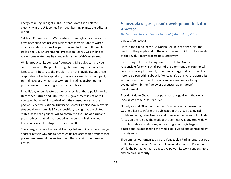energy than regular light bulbs—a year. More than half the electricity in the U.S. comes from coal-burning plants, the editorial reports.

Yet from Connecticut to Washington to Pennsylvania, complaints have been filed against Wal-Mart stores for violations of water quality standards, as well as pesticide and fertilizer pollution. In Dallas, the U.S. Environmental Protection Agency was willing to waive some water quality standards just for Wal-Mart stores.

While products like compact fluorescent light bulbs can provide some reprieve to the problem of global warming emissions, the largest contributors to the problem are not individuals, but these corporations. Under capitalism, they are allowed to run rampant, trampling over any rights of workers, including environmental protection, unless a struggle forces them back.

In addition, when disasters occur as a result of these policies—like Hurricanes Katrina and Rita—the U.S. government is not only illequipped but unwilling to deal with the consequences to the people. Recently, National Hurricane Center Director Max Mayfield stepped down from his 34-year position, saying that the United States lacked the political will to commit to the kind of hurricane preparedness that will be needed in the current highly active hurricane cycle. (Los Angeles Times, Jan. 3)

The struggle to save the planet from global warming is therefore yet another reason why capitalism must be replaced with a system that places people—and the environment that sustains them—over profits.

# **Venezuela urges 'green' development in Latin America**

## *Berta Joubert-Ceci, Deirdre Griswold, August 13, 2007*

#### Caracas, Venezuela

Here in the capital of the Bolivarian Republic of Venezuela, the health of the people and of the environment is high on the agenda of the revolutionary process now underway.

Even though the developing countries of Latin America are responsible for only a small part of the enormous environmental crisis now facing the planet, there is an energy and determination here to do something about it. Venezuela's plans to restructure its economy in order to end poverty and oppression are being evaluated within the framework of sustainable, "green" development.

President Hugo Chávez has popularized this goal with the slogan "Socialism of the 21st Century."

On July 27 and 28, an International Seminar on the Environment was held here to inform the public about the grave ecological problems facing Latin America and to review the impact of outside forces on the region. The work of the seminar was covered widely on public television stations, whose programming is largely educational as opposed to the media still owned and controlled by the oligarchy.

The seminar was organized by the Venezuelan Parliamentary Group in the Latin American Parliament, known informally as Parlatino. While the Parlatino has no executive power, its work conveys moral and political authority.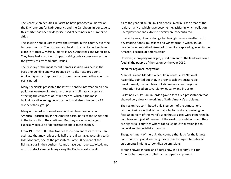The Venezuelan deputies in Parlatino have proposed a Charter on the Environment for Latin America and the Caribbean. In Venezuela, this charter has been widely discussed at seminars in a number of cities.

The session here in Caracas was the seventh in this country over the last four months. The first was also held in the capital; others took place in Maracay, Mérida, Puerto la Cruz, Amazonas and Maracaibo. They have had a profound impact, raising public consciousness on the gravity of environmental issues.

The first day of the most recent Caracas session was held in the Parlatino building and was opened by its alternate president, Amilcar Figueroa. Deputies from more than a dozen other countries participated.

Many specialists presented the latest scientific information on how pollution, overuse of natural resources and climate change are affecting the countries of Latin America, which is the most biologically diverse region in the world and also is home to 472 distinct ethnic groups.

Many of the last unspoiled areas on the planet are in Latin America—particularly in the Amazon basin, parts of the Andes and in the far south of the continent. But they are now in danger, especially because of deforestation and climate change.

From 1980 to 1990, Latin America lost 6 percent of its forests—an estimate that may reflect only half the real damage, according to Dr. José Monente, one of the presenters. Some 80 percent of the fishing areas in the southern Atlantic have been overexploited, and now fish stocks are declining along the Pacific coast as well.

As of the year 2000, 380 million people lived in urban areas of the region, many of which have become megacities in which pollution, unemployment and extreme poverty are concentrated.

In recent years, climate change has brought severe weather with devastating floods, mudslides and windstorms in which 45,000 people have been killed. Areas of drought are spreading, even in the Amazon, because of deforestation.

However, if properly managed, just 4 percent of the land area could feed all the people of the region by the year 2030.

#### **Need for regional integration**

Manuel Briceño Méndez, a deputy in Venezuela's National Assembly, pointed out that, in order to achieve sustainable development, the countries of Latin America need regional integration based on sovereignty, equality and inclusion.

Parlatino Deputy Hamlin Jordan gave a fact-filled presentation that showed very clearly the origins of Latin America's problems.

The region has contributed only 5 percent of the atmospheric carbon dioxide gas that is the major factor in global warming. In fact, 88 percent of the world's greenhouse gases were generated by countries with just 20 percent of the world's population—and they are almost all countries where capitalist industrialization led to colonial and imperialist expansion.

The government of the U.S., the country that is by far the largest contributor to global warming, has refused to sign international agreements limiting carbon dioxide emissions.

Jordan showed in facts and figures how the economy of Latin America has been controlled by the imperialist powers.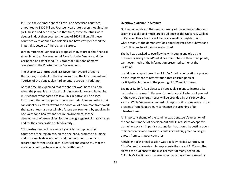In 1982, the external debt of all the Latin American countries amounted to \$300 billion. Fourteen years later, even though some \$739 billion had been repaid in that time, these countries were deeper in debt than ever, to the tune of \$607 billion. All these countries were at one time colonies and have vastly enriched the imperialist powers of the U.S. and Europe.

Jordan reiterated Venezuela's proposal that, to break this financial stranglehold, an Environmental Bank for Latin America and the Caribbean be established. This proposal is but one of many contained in the Charter on the Environment.

The charter was introduced last November by José Gregorio Hernández, president of the Commission on the Environment and Tourism of the Venezuelan Parliamentary Group in Parlatino.

At that time, he explained that the charter was "born at a time when the planet is at a critical point in its evolution and humanity must choose what path to follow. This initiative will be a legal instrument that encompasses the values, principles and ethics that can orient our efforts toward the adoption of a common framework that guarantees us a sustainable future environment, by speaking in one voice for a healthy and secure environment, for the development of green cities, for the struggle against climate change and for the conservation of biodiversity. ...

"This instrument will be a reply by which the impoverished countries of the region can, on the one hand, promote a humane and sustainable development, and, on the other, ... demand reparations for the social debt, historical and ecological, that the enriched countries have contracted with them."

#### **Overflow audience in Altamira**

On the second day of the seminar, many of the same deputies and scientists spoke to a much larger audience at the University College of Caracas. This school is in Altamira, a wealthy neighborhood where many of the demonstrations opposing President Chávez and the Bolivarian Revolution have occurred.

The hall was packed to overflowing with young and old as the presenters, using PowerPoint slides to emphasize their main points, went over much of the information presented earlier at the Parlatino.

In addition, a report described Misión Árbol, an educational project on the importance of reforestation that enlisted popular participation last year in the planting of 4.26 million trees.

Engineer Rodolfo Roa discussed Venezuela's plans to increase its hydroelectric power in the near future to a point where 71 percent of the country's energy needs will be provided by this renewable source. While Venezuela has vast oil deposits, it is using some of the proceeds from its petroleum to finance the greening of its infrastructure.

An important theme of the seminar was Venezuela's rejection of the capitalist model of development and its refusal to accept the plan whereby rich imperialist countries that should be cutting down their carbon dioxide emissions could instead buy greenhouse gas quotas from cash-poor countries.

A highlight of this final session was a talk by Piedad Córdoba, an Afro-Colombian senator who represents the area of El Choco. She alerted the audience to the displacement of many people on Colombia's Pacific coast, where large tracts have been cleared by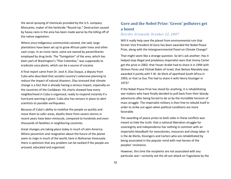the aerial spraying of chemicals provided by the U.S. company Monsanto, maker of the herbicide "Round-Up." Destruction caused by heavy rains in the area has been made worse by the killing off of the native vegetation.

Where once Indigenous communities existed, she said, large plantations have been set up to grow African palm trees and other cash crops. In an ironic twist, some are owned by paramilitaries employed by drug lords. The "fumigation" of the area, which has been part of Washington's "Plan Colombia," was supposedly to eradicate coca plants, which can be a source of cocaine.

A final report came from Dr. José A. Díaz Duque, a deputy from Cuba who described that socialist country's extensive planning to reduce the impact of natural disasters. Díaz stressed that climate change is a fact that is already having a serious impact, especially on the countries of the Caribbean. His charts showed how every neighborhood in Cuba is organized, ready to respond instantly if a hurricane warning is given. Cuba also has sensors in place to alert scientists to possible earthquakes.

Because of Cuba's ability to mobilize the people so quickly and move them to safer areas, deaths there from severe storms in recent years have been miniscule, compared to hundreds and even thousands of fatalities in neighboring countries.

Great changes are taking place today in much of Latin America. Where pessimism and resignation about the future of the planet seem to reign in much of the world, here in Bolivarian Venezuela there is optimism that any problem can be tackled if the people are aroused, educated and organized.

# **Gore and the Nobel Prize: 'Green' polluters get a boost**

## *Deirdre Griswold, October 22, 2007*

Will it really help save the planet from environmental ruin that former Vice President Al Gore has been awarded the Nobel Peace Prize, along with the Intergovernmental Panel on Climate Change?

That might seem like a strange question. So let's ask another: Has it helped stop illegal and predatory imperialist wars that Jimmy Carter got the prize in 2002; that Yasser Arafat had to share it in 1994 with Shimon Peres and Yitzhak Rabin of Israel; that Nelson Mandela was awarded it jointly with F.W. de Klerk of apartheid South Africa in 1993; or that Le Duc Tho had to share it with Henry Kissinger in 1973?

If the Nobel Peace Prize has stood for anything, it is rehabilitating war makers who have finally decided to pull back from their bloody adventures after being forced to do so by the incredible heroism of mass struggle. The imperialist military is then free to rebuild itself in order to strike out again when political conditions are more favorable.

The awarding of peace prizes to both sides in these conflicts was meant to hide the truth: that a national liberation struggle for sovereignty and independence has nothing in common with an imperialist bloodbath for neocolonies, resources and cheap labor. It is the de Klerks, Kissingers and Carters who are rehabilitated by being associated in the popular mind with real heroes of the peoples' resistance.

However, this time the recipients are not associated with any particular war—certainly not the all-out attack on Yugoslavia by the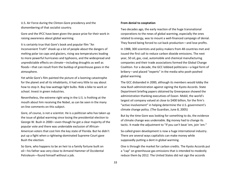U.S. Air Force during the Clinton-Gore presidency and the dismembering of that socialist country.

Gore and the IPCC have been given the peace prize for their work in raising awareness about global warming.

It is certainly true that Gore's book and popular film "An Inconvenient Truth" shook up a lot of people about the dangers of melting polar ice caps and glaciers, rising sea temperatures leading to more powerful hurricanes and typhoons, and the widespread and unpredictable effects on climate—including droughts as well as floods—that can result from the buildup of greenhouse gases in the atmosphere.

Yet while Gore's film painted the picture of a looming catastrophe for the planet and all its inhabitants, it had very little to say about how to stop it. Buy low-wattage light bulbs. Ride a bike to work or school. Invest in green industries.

Nevertheless, the extreme right wing in the U.S. is frothing at the mouth about him receiving the Nobel, as can be seen in the many on-line comments on this subject.

Gore, of course, is not a scientist. He is a politician who has taken up the issue of global warming since losing the presidential election to George W. Bush in 2000—even though he got a clear majority of the popular vote and there was undeniable exclusion of African-American voters that cost him the key state of Florida. But he didn't put up a fight when a rightwing-dominated Supreme Court gave Bush the election.

So Gore, who happens to be an heir to a family fortune built on oil—his father was very close to Armand Hammer of Occidental Petroleum—found himself without a job.

#### **From denial to cooptation**

Two decades ago, the early reaction of the huge transnational corporations to the news of global warming, especially the ones related to energy, was to mount a well-financed campaign of denial. They feared being forced to cut back production—and lose profits.

In 1988, 300 scientists and policy makers from 48 countries met and issued the first call to reduce carbon dioxide emissions. The next year, 50 oil, gas, coal, automobile and chemical manufacturing companies and their trade associations formed the Global Change Coalition. For a decade, the GCC lobbied politicians—a legal form of bribery—and placed "experts" in the media who pooh-poohed global warming.

The GCC disbanded in 2000, although its members would lobby the new Bush administration against signing the Kyoto Accords. State Department briefing papers obtained by Greenpeace showed the administration thanking executives of Exxon- Mobil, the world's largest oil company valued at close to \$400 billion, for the firm's "active involvement" in helping determine the U.S. government's climate change policy. (The Guardian, June 8, 2005)

But by the time Gore was looking for something to do, the evidence of climate change was undeniable. Big money had to change its tactic. It made the adjustment to "If you can't beat 'em, join 'em."

So-called green development is now a huge international industry. There are several ways capitalists can make money while supposedly putting a dent in global warming.

One is through the market for carbon credits. The Kyoto Accords put a "cap" on greenhouse gas emissions that is intended to modestly reduce them by 2012. The United States did not sign the accords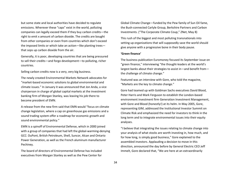but some state and local authorities have decided to regulate emissions. Wherever these "caps" exist in the world, polluting companies can legally exceed them if they buy carbon credits—the right to emit x amount of carbon dioxide. The credits are bought from other companies or even from countries which don't exceed the imposed limits or which take an action—like planting trees that sops up carbon dioxide from the air.

Generally, it is poor, developing countries that are being pressured to sell their credits—and forgo development—to polluting, richer countries.

Selling carbon credits now is a very, very big business.

The newly created Environmental Markets Network advocates for "market-based economic solutions to global environmental and climate issues." In January it was announced that Jon Anda, a vice chairperson in charge of global capital markets at the investment banking firm of Morgan Stanley, was leaving his job there to become president of EMN.

A release from the new firm said that EMN would "focus on climate change legislation, where a cap on greenhouse gas emissions and a sound trading system offer a roadmap for economic growth and sound environmental policy."

EMN is a spinoff of Environmental Defense, which in 2000 joined with a group of companies that had left the global-warming-denying GCC: DuPont, British Petroleum, Shell, Suncor, Alcan and Ontario Power Generation, as well as the French aluminum manufacturer Pechiney.

The board of directors of Environmental Defense has included executives from Morgan Stanley as well as the Pew Center for Global Climate Change—funded by the Pew family of Sun Oil fame, the Bush-connected Carlyle Group, Berkshire Partners and Carbon Investments. ("The Corporate Climate Coup," ZNet, May 8)

This rush of the biggest and most polluting transnationals into setting up organizations that will supposedly save the world should give anyone with a progressive bone in their body pause.

#### **'Green finance'**

The business publication Euromoney focused its September issue on "green finance," interviewing "the thought-leaders at the world's largest banks about their strategies to assist in—and benefit from the challenge of climate change."

Featured was an interview with Gore, who told the magazine, "Markets are the key to climate change."

Gore had teamed up with Goldman Sachs executives David Blood, Peter Harris and Mark Ferguson to establish the London-based environment investment firm Generation Investment Management, with Gore and Blood (honestly!) at its helm. In May 2005, Gore, representing GIM, addressed the Institutional Investor Summit on Climate Risk and emphasized the need for investors to think in the long term and to integrate environmental issues into their equity analyses.

"I believe that integrating the issues relating to climate change into your analysis of what stocks are worth investing in, how much, and for how long, is simply good business," Gore explained to the assembled investors. Applauding a decision to move in this direction, announced the day before by General Electric CEO Jeff Immelt, Gore declared that, "We are here at an extraordinarily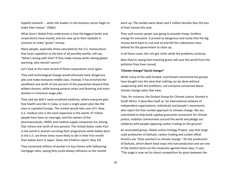hopeful moment ... when the leaders in the business sector begin to make their moves." (ZNet)

What Gore's Nobel Prize underscores is that the biggest banks and corporations have moved, and are now up to their eyeballs in schemes to make "green" money.

Many people, especially those saturated by the U.S. monoculture that touts capitalism as the best of all possible worlds, will say, "What's wrong with that? If they make money while solving global warming, why should I worry?"

Let's look at the track record of these corporations once again.

They said technological change would eliminate hard, dangerous jobs and make everyone middle class. Instead, it has enriched the wealthiest one-tenth of one percent of the population beyond their wildest dreams, while leaving poverty intact and festering and more workers in minimum-wage jobs.

They said we didn't need socialized medicine, where everyone gets free health care like in Cuba, or even a single-payer plan like the ones in capitalist Europe. The market would take care of it. Now U.S. medical care is the most expensive in the world, 47 million people here have no coverage, and the owners of the pharmaceuticals, HMOs and medical supply companies are among that richest one-tenth of one percent. The United States ranks 41st in the world in women surviving their pregnancies while babies born in the U.S. are three times more likely to die in their first month than babies born in Japan. (Save the Children report, May 10)

They convinced millions of workers to buy homes with ballooning mortgage rates, saying they could always refinance as the market went up. The market went down and 2 million families face the loss of their homes this year.

They said nuclear power was going to provide cheap, limitless energy for everyone. It proved so dangerous and costly that the big money went back to coal and oil and left the radioactive mess behind for the government to clean up.

In all these cases, the rich get richer while the problems continue.

Now they're saying that investing green will save the world from the pollution they have caused.

#### **'Climate change? Social change!'**

While many of the well-funded, mainstream environmental groups have bought into the view that nothing can be done without cooperating with the profiteers, not everyone concerned about climate change takes that view.

Take, for instance, the Durban Group for Climate Justice, formed in South Africa. It describes itself as "an international network of independent organizations, individuals and people's movements who reject the free market approach to climate change. We are committed to help build a global grassroots movement for climate justice, mobilize communities around the world and pledge our solidarity with people opposing carbon trading on the ground."

An associated group, Global Justice Ecology Project, says that largescale production of biofuels, carbon trading and carbon offset forestry are "false solutions to climate change." On the production of biofuels, which divert food crops into fuel production and are one of the hottest items on the corporate agenda these days, it says: "The stage is now set for direct competition for grain between the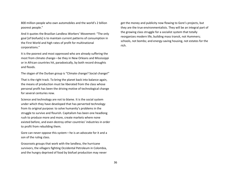800 million people who own automobiles and the world's 2 billion poorest people."

And it quotes the Brazilian Landless Workers' Movement: "The only goal [of biofuels] is to maintain current patterns of consumption in the First World and high rates of profit for multinational corporations."

It is the poorest and most oppressed who are already suffering the most from climate change—be they in New Orleans and Mississippi or in African countries hit, paradoxically, by both record droughts and floods.

The slogan of the Durban group is "Climate change? Social change!"

That is the right track. To bring the planet back into balance again, the means of production must be liberated from the class whose personal profit has been the driving motive of technological change for several centuries now.

Science and technology are not to blame. It is the social system under which they have developed that has perverted technology from its original purpose: to solve humanity's problems in the struggle to survive and flourish. Capitalism has been one headlong rush to produce more and more, create markets where none existed before, and even destroy other countries' industries in order to profit from rebuilding them.

Gore can never oppose this system—he is an advocate for it and a son of the ruling class.

Grassroots groups that work with the landless, the hurricane survivors, the villagers fighting Occidental Petroleum in Colombia, and the hungry deprived of food by biofuel production may never

get the money and publicity now flowing to Gore's projects, but they are the true environmentalists. They will be an integral part of the growing class struggle for a socialist system that totally reorganizes modern life, building mass transit, not Hummers; schools, not bombs; and energy-saving housing, not estates for the rich.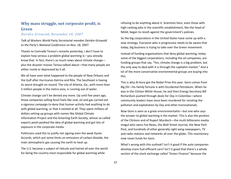## **Why mass struggle, not corporate profit, is Green**

### *Deirdre Griswold, November 18, 2007*

*Talk of Workers World Party Secretariat member Deirdre Griswold to the Party's National Conference on Nov. 18, 2007.*

Thanks to Comrade Teresa's remarks yesterday, I don't have to explain how serious a problem global warming is—you already know that. In fact, there's so much news about climate change plus the disaster movies Teresa talked about—that many people are either numb or depressed by it all.

We all have seen what happened to the people of New Orleans and the Gulf after Hurricanes Katrina and Rita. The Southeast is having its worst drought on record. The city of Atlanta, Ga., with more than 5 million people in the metro area, is running out of water.

Climate change can't be denied any more. Up until five years ago, those companies selling fossil fuels like coal, oil and gas carried out a vigorous campaign to deny that human activity had anything to do with global warming, or that it existed at all. They spent millions of dollars setting up groups with names like Global Climate Information Project and the Greening Earth Society, whose so-called experts pooh-poohed the idea of global warming and got lots of exposure in the corporate media.

Politicians used this to justify not signing even the weak Kyoto Accords, which put some limits on emissions of carbon dioxide, the main atmospheric gas causing the earth to heat up.

The U.S. became a subject of ridicule and hatred all over the world for being the country most responsible for global warming while

refusing to do anything about it. Scientists here, even those with high-ranking jobs in the scientific establishment, like the head of NASA, began to revolt against the government's policies.

So the big corporations in the United States have come up with a new strategy. Everyone who is progressive needs to be aware that today, big business is trying to take over the Green movement.

Instead of funding organizations that deny global warming, today some of the biggest corporations, including the oil companies, are funding groups that say, "Yes, climate change is a big problem, but the only way to deal with it is through the capitalist market." And a lot of the more conservative environmental groups are buying into this.

This is why Al Gore got the Nobel Prize this year. Gore comes from Big Oil—his family fortune is with Occidental Petroleum. When he was in the Clinton White House, he and then Energy Secretary Bill Richardson pushed through deals for Oxy in Colombia—where community leaders have since been murdered for resisting the pollution and exploitation by Oxy and other transnationals.

Now Gore is seen as a great environmentalist—but one who says the answer to global warming is the market. This is also the position of the Clintons and of Rupert Murdoch—the multi-billionaire media mogul who owns Fox News, the Wall Street Journal, the New York Post, and hundreds of other generally right-wing newspapers, TV and radio stations and networks all over the globe. This reactionary now raises funds for Gore.

What's wrong with this outlook? Isn't it good if the auto companies develop more fuel-efficient cars? Isn't it good that there's a whole section of the stock exchange called "Green Finance" because the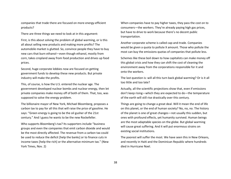companies that trade there are focused on more energy-efficient products?

There are three things we need to look at in this argument:

First, is this about solving the problem of global warming, or is this all about selling new products and making more profits? The automobile market is glutted. So, convince people they have to buy new cars that burn ethanol—even though ethanol, mostly from corn, takes cropland away from food production and drives up food prices.

Second, huge corporate lobbies now are focused on getting government funds to develop these new products. But private industry will make the profits.

This, of course, is how the U.S. entered the nuclear age. The government developed nuclear bombs and nuclear energy, then let private companies make money off of both of them. That, too, was supposed to solve the energy problem.

The billionaire mayor of New York, Michael Bloomberg, proposes a carbon tax to pay for all this that will raise the price of gasoline. He says: "Green energy is going to be the oil gusher of the 21st century." And I guess he wants to be the new Rockefeller.

Who supports Bloomberg's tax? Its supporters include "business groups and even the companies that emit carbon dioxide and would be the most directly affected. The revenue from a carbon tax could be used to reduce the deficit [help the banks] or to finance cuts in income taxes [help the rich] or the alternative minimum tax." (New York Times, Nov. 2)

When companies have to pay higher taxes, they pass the cost on to consumers—the workers. They're already paying high gas prices, but have to drive to work because there's no decent public transportation.

Another corporate scheme is called cap-and-trade. Companies would be given a quota to pollute X amount. Those who pollute the most can buy the emissions quotas of companies that pollute less.

Schemes like these boil down to how capitalists can make money off this global crisis and how they can shift the cost of cleaning the environment away from the corporations responsible for it and onto the workers.

The last question is: will all this turn back global warming? Or is it all too little and too late?

Actually, all the scientific projections show that, even if emissions don't keep rising—which they are expected to do—the temperature of the earth will still rise drastically over this century.

Things are going to change a great deal. Will it mean the end of life on this planet, or the end of human society? No, no, no. The history of the planet is one of great changes—not usually this sudden, but ones with profound effects, yet humanity survived. Human beings are the most adaptable species on the globe. But global warming will cause great suffering. And it will put enormous strains on existing social institutions.

The poorest will suffer the most. We have seen this in New Orleans, and recently in Haiti and the Dominican Republic where hundreds died in Hurricane Noel.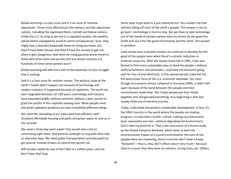Global warming is a class issue and it is an issue of national oppression. Those most affected are the workers and the oppressed nations, including the oppressed Black, Latin@ and Native nations inside the U.S. As long as we live in a capitalist society, the wealthy will be better equipped to avoid its worst consequences. Sure, they might lose a beautiful beachside home to rising sea levels, but they'll have other houses and they'll have the money to get out when it gets dangerous. And what do rising gasoline prices mean to those who drive limos and private jets and whose incomes are hundreds of times what workers earn?

Global warming will add more fuel to the explosion of class struggle that is coming.

And it's a class issue for another reason. The perilous state of the earth's health didn't happen just because of technology and modern industry. It happened because of capitalism. The earth has been degraded because, for 200 years, technology and industry have expanded wildly, without restraint, without a plan, purely to grow the profits of the capitalist owning class. What people need and what capitalism produces are two completely different things.

We need the rebuilding of our cities with fuel-efficient, wellinsulated affordable housing and parks and green space to cool us in the summer.

We need a three-day work week! That would save a lot on commuting right there. And parents could get to stay with their kids on alternate days. We need public transportation and bike paths to get around, instead of wars to control the world's oil.

Will private capital do any of this? Not in a million years, and we don't have that long.

Some want to go back to a pre-industrial era. You couldn't do that without killing off most of the earth's people. The answer is not to go back—technology is here to stay. But we have to take technology out of the hands of private owners who are driven by the greed for profit and use it for the good of humanity and the earth. The answer is socialism.

Cuba shows how a socialist society can continue to develop for the good of the people even when there's a drastic reduction in material resources. After the Soviet Union fell in 1991, Cuba was forced to find more sustainable ways to feed the people—without artificial fertilizers and pesticides—and keep the economy going with far less oil and electricity. In this special period, Cuba felt the full destructive force of the U.S. economic blockade. Yet, even though its economy almost collapsed in the early 1990s, it didn't fall apart because of the bond between the people and their revolutionary leadership. The Cuban people put their heads together and reorganized everything, thus beginning a slow but steady climb out of extreme scarcity.

Today, Cuba leads the world in sustainable development. In fact, it's the ONLY country in the world where the people are making progress—in education, health, culture, making sure everyone's basic necessities are met—without degrading the environment. Don't take my word for it. That is the conclusion of a recent study by the Global Footprint Network, which looks at both the environmental impact of a country and whether the lives of the people there are improving. Some countries don't have a heavy "footprint"—that is, they don't affect nature very much—because they're so poor that they have no industry, no big cities, etc. Others,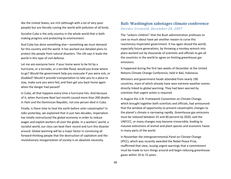like the United States, are rich (although with a lot of very poor people) but are literally ruining the world with pollution of all kinds.

Socialist Cuba is the only country in the whole world that is both making progress and protecting its environment.

And Cuba has done something else—something we must demand for this country and the world. It has worked out detailed plans to protect the people from natural disasters. The UN says it leads the world in this type of civil defense.

Let me ask everyone here: if your home were to be hit by a hurricane, or a tornado, or a terrible flood, would you know where to go? Would the government help you evacuate if you were sick, or disabled? Would it provide transportation to take you to a place to stay, make sure you were fed, and then get you back home again when the danger had passed?

In Cuba, all that happens every time a hurricane hits. And because of it, when Hurricane Noel last month caused more than 200 deaths in Haiti and the Dominican Republic, not one person died in Cuba.

Finally, is there time to heal the earth before utter catastrophe? In talks yesterday, we explained that in just two decades, imperialism has totally restructured the global economy in order to reduce wages and exploit workers all over the globe. In a workers' world, a socialist world, our class can beat their record and turn this disaster around. Global warming will be a major factor in convincing all forward-thinking people that the destruction of capitalism and the revolutionary reorganization of society is an absolute necessity.

## **Bali: Washington sabotages climate conference** *Deirdre Griswold, December 20, 2007*

The "unborn children" that the Bush administration professes to care so much about have yet another reason to curse this reactionary imperialist government. It has again dissed the world, especially future generations, by throwing a monkey wrench into plans worked out by thousands of scientists and officials to get all the countries in the world to agree on limiting greenhouse gas emissions.

It happened during the first two weeks of December at the United Nations Climate Change Conference, held in Bali, Indonesia.

Ministers and government heads attended from nearly 190 countries, most of which already have seen extreme weather events directly linked to global warming. They had been warned by scientists that urgent action is required.

In August the U.N. Framework Convention on Climate Change, which brought together both scientists and officials, had announced that the window of opportunity to prevent catastrophic changes to the planet's climate is narrowing rapidly. Greenhouse gas emissions must be reduced between 25 and 40 percent by 2020, said the UNFCCC, or many changes may become irreversible, leading to massive extinctions of animal and plant species and economic havoc in many parts of the world.

In November the Intergovernmental Panel on Climate Change (IPCC), which was recently awarded the Nobel Peace Prize, reaffirmed that view, issuing urgent warnings that a commitment must be made to turn things around and begin reducing greenhouse gases within 10 to 15 years.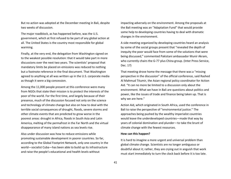But no action was adopted at the December meeting in Bali, despite two weeks of discussion.

The major roadblock, as has happened before, was the U.S. government, which at first refused to be part of any global action at all. The United States is the country most responsible for global warming.

Finally, at the very end, the delegation from Washington signed on to the weakest possible resolution: that it would take part in more discussions over the next two years. The scientists' proposal that mandatory limits be placed on emissions was reduced to nothing but a footnote reference in the final document. That Washington agreed to anything at all was written up in the U.S. corporate media as though it were a big concession.

Among the 11,000 people present at this conference were many from NGOs that state their mission is to protect the interests of the poor of the world. For the first time, and largely because of their presence, much of the discussion focused not only on the science and technology of climate change but also on how to deal with the terrible social consequences of drought, floods, severe storms and other climate events that are predicted to grow worse in the poorest areas: drought in Africa, floods in South Asia and Latin America, melting of the permafrost in the Far North and the virtual disappearance of many island nations as sea levels rise.

Also under discussion was how to reduce emissions while promoting sustainable development in poorer countries. So far, according to the Global Footprint Network, only one country in the world—socialist Cuba—has been able to build up its infrastructure and raise the people's educational and health levels without

impacting adversely on the environment. Among the proposals at the Bali meeting was an "Adaptation Fund" that would provide some help to developing countries having to deal with dramatic changes in the environment.

A side meeting organized by developing countries heard an analysis by some of the social groups present that "revealed the depth of inequity the poor would face from some of the solutions that were being discussed," commented Pakistani ambassador Munir Akram, who currently chairs the G-77 plus China group. (Inter Press Service, Dec. 17)

That meeting drove home the message that there was a "missing perspective in the discussion" of the official conference, said Rashed Al Mahmud Titumir, the Asian regional policy coordinator for Action Aid. "It can no more be limited to a discussion only about the environment. What we have in Bali are questions about politics and power, like the issues of trade and finance being taken up. That is why we are here."

Action Aid, which originated in South Africa, used the conference in Bali to raise the perspective of "environmental justice." The approaches being pushed by the wealthy imperialist countries would leave the underdeveloped countries—made that way by years of colonial domination and plunder—to take the brunt of climate change with the fewest resources.

#### **How can this happen?**

It is hard to imagine a more urgent and universal problem than global climate change. Scientists are no longer ambiguous or doubtful about it; rather, they are crying out in anguish that work must start immediately to turn the clock back before it is too late.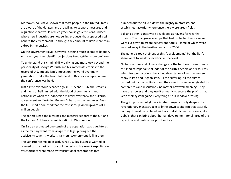Moreover, polls have shown that most people in the United States are aware of the dangers and are willing to support measures and regulations that would reduce greenhouse gas emissions. Indeed, whole new industries are now selling products that supposedly will benefit the environment—although they amount to little more than a drop in the bucket.

On the government level, however, nothing much seems to happen. And each year the scientific projections keep getting more ominous.

To understand this criminal dilly-dallying one must look beyond the personality of George W. Bush and his immediate cronies to the record of U.S. imperialism's impact on the world over many generations. Take the beautiful island of Bali, for example, where the conference was held.

Just a little over four decades ago, in 1965 and 1966, the streams and rivers of Bali ran red with the blood of communists and nationalists when the Indonesian military overthrew the Sukarno government and installed General Suharto as the new ruler. Even the U.S. media admitted that the fascist coup killed upwards of 1 million people.

The generals had the blessings and material support of the CIA and the Lyndon B. Johnson administration in Washington.

On Bali, an estimated one-tenth of the population was slaughtered as the military went from village to village, picking out the activists—students, workers, farmers, women—and killing them.

The Suharto regime did exactly what U.S. big business wanted. It opened up the vast territory of Indonesia to breakneck exploitation. Vast fortunes were made by transnational corporations that

pumped out the oil, cut down the mighty rainforests, and established factories where once there were green fields.

Bali and other islands were developed as havens for wealthy tourists. The mangrove swamps that had protected the shoreline were cut down to create beachfront hotels—some of which were washed away in the terrible tsunami of 2004.

The generals took their cut of this "development," but the lion's share went to wealthy investors in the West.

Global warming and climate change are the heritage of centuries of this kind of imperialist plunder of the earth's people and resources, which frequently brings the added devastation of war, as we see today in Iraq and Afghanistan. All the suffering, all the crimes carried out by the capitalists and their agents have never yielded to conferences and discussions, no matter how well meaning. They have the power and they use it primarily to secure the profits that keep their system going. Everything else is window dressing.

The grim prospect of global climate change can only deepen the revolutionary mass struggle to bring down capitalism that is surely coming. It must be replaced with a socialist planned economy, like Cuba's, that can bring about human development for all, free of the rapacious and destructive profit motive.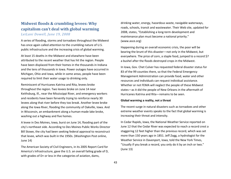## **Midwest floods & crumbling levees: Why capitalism can't deal with global warming** *LeiLani Dowell, June 19, 2008*

A series of flooding, storms and tornadoes throughout the Midwest has once again called attention to the crumbling nature of U.S. public infrastructure and the increasing crisis of global warming.

At least 15 deaths in the Midwest and elsewhere have been attributed to the recent weather that has hit the region. People have been displaced from their homes in the thousands in Indiana and the tens of thousands in Iowa. Power outages have occurred in Michigan, Ohio and Iowa, while in some areas, people have been required to limit their water usage to drinking only.

Reminiscent of Hurricanes Katrina and Rita, levees broke throughout the region. Two levees broke on June 14 near Keithsburg, Ill., near the Mississippi River, and emergency workers and residents have been fervently trying to reinforce nearly 30 levees along that river before they too break. Another levee broke along the Iowa River, flooding the community of Oakville, Iowa. And in Wisconsin, an embankment along a human-made lake broke, washing out a highway and five homes.

A levee in Des Moines, Iowa, burst on June 14, flooding part of the city's northeast side. According to Des Moines Public Works Director Bill Stowe, the city had been seeking federal approval to reconstruct that levee, which was built in the 1950s. (Washington Post online, June 14)

The American Society of Civil Engineers, in its 2005 Report Card for America's Infrastructure, gave the U.S. an overall failing grade of D, with grades of D+ or less in the categories of aviation, dams,

drinking water, energy, hazardous waste, navigable waterways, roads, schools, transit and wastewater. Their Web site, updated for 2008, states, "Establishing a long-term development and maintenance plan must become a national priority." (www.asce.org)

Happening during an overall economic crisis, the poor will be bearing the brunt of this disaster—not only in the Midwest, but everywhere. The price of corn, a staple food, jumped to a record \$7 a bushel after the floods destroyed crops in the Midwest.

In Iowa, Gov. Chet Culver has requested federal disaster status for 83 of the 99 counties there, so that the Federal Emergency Management Administration can provide food, water and other resources and individuals can request individual assistance. Whether or not FEMA will neglect the people of these Midwest states—as it did the people of New Orleans in the aftermath of Hurricanes Katrina and Rita—remains to be seen.

#### **Global warming a reality, not a threat**

The recent surge in natural disasters such as tornadoes and other extreme weather events speaks to the fact that global warming is increasing their threat and intensity.

In Cedar Rapids, Iowa, the National Weather Service reported on June 12 that the Cedar River was expected to reach a record crest a staggering 12 feet higher than the previous record, which was set more than 150 years ago in 1851. Jeff Zogg, a hydrologist for the Weather Service in Davenport, Iowa, told the New York Times, "Usually if you break a record, you only do it by an inch or two." (June 13)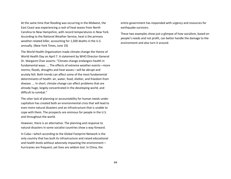At the same time that flooding was occurring in the Midwest, the East Coast was experiencing a rash of heat waves from North Carolina to New Hampshire, with record temperatures in New York. According to the National Weather Service, heat is the primary weather-related killer, accounting for 1,500 deaths in the U.S. annually. (New York Times, June 10)

The World Health Organization made climate change the theme of World Health Day on April 7. A statement by WHO Director-General Dr. Margaret Chan asserts: "Climate change endangers health in fundamental ways. ... The effects of extreme weather events—more storms, floods, droughts and heat waves—will be abrupt and acutely felt. Both trends can affect some of the most fundamental determinants of health: air, water, food, shelter, and freedom from disease. ... In short, climate change can affect problems that are already huge, largely concentrated in the developing world, and difficult to combat."

The utter lack of planning or accountability for human needs under capitalism has created both an environmental crisis that will lead to even more natural disasters and an infrastructure that is unable to cope with them. The prospects are ominous for people in the U.S. and throughout the world.

However, there is an alternative. The planning and response to natural disasters in some socialist countries show a way forward.

In Cuba—which according to the Global Footprint Network is the only country that has built its infrastructure and raised educational and health levels without adversely impacting the environment hurricanes are frequent, yet lives are seldom lost. In China, the

entire government has responded with urgency and resources for earthquake survivors.

These two examples show just a glimpse of how socialism, based on people's needs and not profit, can better handle the damage to the environment and also turn it around.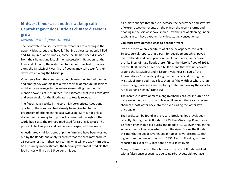## **Midwest floods are another wakeup call: Capitalist gov't does little as climate disasters grow**

### *LeiLani Dowell, June 26, 2008*

The floodwaters caused by extreme weather are receding in the upper Midwest, but they have left behind at least 24 people killed and 148 injured. As of June 24, some 35,000 had been displaced from their homes and lost all their possessions. Between southern Iowa and St. Louis, the water had topped or breached 31 levees along the Mississippi River. More flooding may still occur further downstream along the Mississippi.

Volunteers from the community, people returning to their homes and emergency workers face a toxic cocktail of manure, pesticides, mold and raw sewage in the waters surrounding them, not to mention swarms of mosquitoes. It is estimated that it will take days and even weeks for the floodwaters to totally recede.

The floods have resulted in record-high corn prices. About one quarter of the corn crop had already been diverted to the production of ethanol in the past two years. Corn is not only a staple found in many food products consumed throughout the world but is also the primary feed used for raising livestock. The prices of chicken, pork and beef are also expected to increase.

An estimated 4 million acres of prime farmland have been washed out by the floods, and analysts predict that the area may produce 15 percent less corn than last year. In what will probably turn out to be a stunning underestimate, the federal government predicts that food prices will rise by 5.5 percent this year.

As climate change threatens to increase the occurrence and severity of extreme weather events on the planet, the recent storms and flooding in the Midwest have shown how the lack of planning under capitalism can have exponentially devastating consequences.

### **Capitalist development leads to deadlier rivers**

Even the most openly capitalist of all the newspapers, the Wall Street Journal, reports that a push for development which paved over wetlands and flood plains in the St. Louis area has increased the likeliness of huge floods there. "Since the historic flood of 1993, nearly 30,000 homes have been built on land that was underwater around the Mississippi and Missouri rivers near St. Louis," the Journal states. "By building along the riverbanks and forcing the Mississippi into a bed that is less than half the width of where it ran a century ago, residents are displacing water and forcing the river to run faster and higher." (June 19)

The increase in development along riverbanks has led, in turn, to an increase in the construction of levees. However, these same levees channel runoff water back into the river, raising the water level once again.

The results can be found in the record-breaking flood levels seen recently. During the big floods of 1993, the Mississippi River crested 12 feet higher than it did during the floods of 1903, even though the same amount of water washed down the river. During the floods this month, the Cedar River in Cedar Rapids, Iowa, crested 12 feet higher than the previous record in 1851. Record flooding has been reported this year at 12 locations on four Iowa rivers.

Many of those who lost their homes in the recent floods, instilled with a false sense of security due to nearby levees, did not have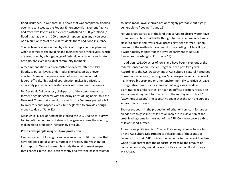flood insurance. In Gulfport, Ill., a town that was completely flooded over in recent weeks, the Federal Emergency Management Agency had rated two levees as sufficient to withstand a 100-year flood (a flood that has a one in 100 chance of happening in any given year). As a result, only 28 of the 200 residents there had flood insurance.

The problem is compounded by a lack of comprehensive planning when it comes to the building and maintenance of the levees, which are controlled by a hodgepodge of federal, local, county and state officials, and even individual community members.

A recommendation by a committee of experts, after the 1993 floods, to put all levees under federal jurisdiction was never enacted. Some of the levees have not even been recorded by federal officials. This lack of coordination makes it difficult to accurately predict where water levels will break over the levees.

Dr. Gerald G. Galloway, Jr., chairperson of the committee and a former brigadier general with the Army Corps of Engineers, told the New York Times that after Hurricane Katrina Congress passed a bill to inventory and inspect levees, but neglected to provide enough money to do so. (June 22)

Meanwhile, a lack of funding has forced the U.S. Geological Survey to discontinue hundreds of stream flow gauges across the country, making flood prediction increasingly difficult.

### **Profits over people in agricultural production**

Even more lack of foresight can be seen in the profit pressures that have shaped capitalist agriculture in the region. The Washington Post reports, "Some Iowans who study the environment suspect that changes in the land, both recently and over the past century or

so, have made Iowa's terrain not only highly profitable but highly vulnerable to flooding." (June 19)

Natural characteristics of the land that served to absorb water have often been replaced with little thought to the repercussions. Lands closer to creeks and rivers have increasingly been farmed. Ninety percent of the wetlands have been lost, according to Mary Skopec, a water quality monitor for the Iowa Department of Natural Resources. (Washington Post, June 19)

In addition, 106,000 acres of Iowa land have been taken out of the federal Conservation Reserve Program in the past two years. According to the U.S. Department of Agriculture's Natural Resources Conservation Service, the program "encourages farmers to convert highly erodible cropland or other environmentally sensitive acreage to vegetative cover, such as tame or native grasses, wildlife plantings, trees, filter strips, or riparian buffers. Farmers receive an annual rental payment for the term of the multi-year contract." (www.nrcs.usda.gov) The vegetative cover that the CRP encourages serves to absorb water.

The recent boom in the production of ethanol from corn for use as an additive to gasoline has led to an increase in cultivation of the crop, leading some farmers out of the CRP. Corn now covers a third of Iowa's land surface.

At least one politician, Sen. Charles E. Grassley of Iowa, has called on the Agriculture Department to release tens of thousands of farmers from their CRP contracts in response to the recent floods when it's apparent that the opposite, increasing the amount of conservation lands, would have a positive effect on flood threats in the future.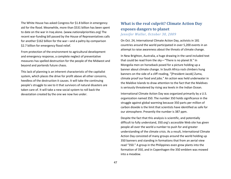The White House has asked Congress for \$1.8 billion in emergency aid for the flood. Meanwhile, more than \$531 billion has been spent to date on the war in Iraq alone. (www.nationalpriorities.org) The recent war-funding bill passed by the House of Representatives calls for another \$162 billion for the war—and a paltry-by-comparison \$2.7 billion for emergency flood relief.

From protection of the environment to agricultural development and emergency response, a complete neglect of preventative measures has spelled destruction for the people of the Midwest and beyond and portends future chaos.

This lack of planning is an inherent characteristic of the capitalist system, which places the drive for profit above all other concerns, heedless of the destruction it causes. It will take the continuing people's struggle to see to it that survivors of natural disasters are taken care of. It will take a new social system to roll back the devastation created by the one we now live under.

## **What is the real culprit? Climate Action Day exposes dangers to planet** *Jennifer Waller, October 30, 2009*

On Oct. 24, International Climate Action Day, activists in 181 countries around the world participated in over 5,200 events in an attempt to raise awareness about the threats of climate change.

In New Brighton, Australia, a huge drawing in the sand included text that could be read from the sky—"There is no planet B." In Mongolia men on horseback posed for a picture holding up a banner about climate change. In South Africa rock climbers hung banners on the side of a cliff reading, "[President Jacob] Zuma, climate proof our food and jobs." An action was held underwater in the Maldive Islands to draw attention to the fact that the Maldives is seriously threatened by rising sea levels in the Indian Ocean.

International Climate Action Day was organized primarily by a U.S. organization named 350. The number 350 holds significance in the struggle against global warming because 350 parts per million of carbon dioxide is the limit that scientists have identified as safe for our atmosphere. Presently the number is 387 ppm.

Despite the fact that this analysis is scientific, and potentially difficult to fully understand, 350.org's accessible Web site has given people all over the world a number to push for and greater understanding of the climate crisis. As a result, International Climate Action Day consisted of many groups around the world holding up 350 banners and standing in formations that from an aerial view read "350." A group in the Philippines even grew plants into the formation of 350, and in Copenhagen the 350 emblem was mowed into a meadow.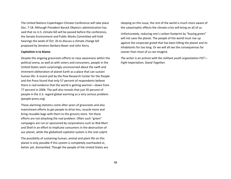The United Nations Copenhagen Climate Conference will take place Dec. 7-18. Although President Barack Obama's administration has said that no U.S. climate bill will be passed before the conference, the Senate Environment and Public Works Committee will hold hearings the week of Oct. 26 to discuss a climate change bill proposed by Senators Barbara Boxer and John Kerry.

### **Capitalism is to blame**

Despite the ongoing grassroots efforts to raise awareness within the political arena, as well as with voters and consumers, people in the United States seem surprisingly unconcerned about the swift and imminent obliteration of planet Earth as a place that can sustain human life. A recent poll by the Pew Research Center for the People and the Press found that only 57 percent of respondents believe there is real evidence that the world is getting warmer—down from 77 percent in 2006. The poll also reveals that just 35 percent of people in the U.S. regard global warming as a very serious problem. (people-press.org)

These alarming statistics come after years of grassroots and also mainstream efforts to get people to drive less, recycle more and bring reusable bags with them to the grocery store. Yet these efforts are not attacking the real problem. Often such "green" campaigns are run or sponsored by corporations such as Wal-Mart and Shell in an effort to implicate consumers in the destruction of our planet, while the globalized capitalist system is the real culprit.

The possibility of sustaining human, animal and plant life on this planet is only possible if this system is completely overhauled or, better yet, dismantled. Though the people of the United States are sleeping on this issue, the rest of the world is much more aware of the catastrophic effects the climate crisis will bring on all of us.

Unfortunately, reducing one's carbon footprint by "buying green" will not save the planet. The people of the world must rise up against the corporate greed that has been killing the planet and its inhabitants for too long. Or we will all see the consequences far sooner than most of us can imagine.

*The writer is an activist with the militant youth organization FIST— Fight Imperialism, Stand Together.*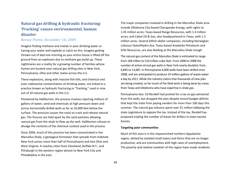## **Natural gas drilling & hydraulic fracturing: 'Fracking' causes environmental, human disaster**

### *Betsey Piette, December 10, 2009*

Imagine finding methane and metals in your drinking water or having your water well explode or catch on fire. Imagine getting thrown out of bed one morning as your entire house is lifted off the ground from an explosion due to methane gas build-up. These nightmares are a reality for a growing number of families whose homes are located near natural gas drilling sites in New York, Pennsylvania, Ohio and other states across the U.S.

These explosions, along with massive fish kills, and chemical and even radioactive contamination of drinking water, are linked to a practice known as hydraulic fracturing or "fracking," used in nine out of 10 natural gas wells in the U.S.

Pioneered by Halliburton, the process involves injecting millions of gallons of water, sand and chemicals at high pressure down and across horizontally drilled wells as far as 10,000 feet below the surface. The pressure causes the rocks to crack and release natural gas. The fissures are held apart by the sand particles allowing natural gas from the shale to flow up the well. Halliburton refuses to divulge the contents of the chemical cocktail used in the process.

Since 2004, much of this practice has been concentrated in the Marcellus Shale, a geological formation that spreads from midstate New York across more than half of Pennsylvania and into Ohio and West Virginia. It reaches cities from Cleveland, Buffalo N.Y., and Pittsburgh in the western region almost to New York City and Philadelphia in the east.

The major companies involved in drilling in the Marcellus Shale area include Oklahoma City-based Chesapeake Energy, with rights to 1.45 million acres; Texas-based Range Resources, with 1.4 million acres; and Cabot Oil & Gas, also headquartered in Texas, with 1.2 million acres. Several billion-dollar companies, including Norwegian colossus StatoilHydro Asa, Texas-based Anadarko Petroleum and EOG Resources, are also feeding at the Marcellus Shale trough.

The natural gas content of the Marcellus Shale is estimated to range from 168 trillion to 516 trillion cubic feet. From 2000 to 2008 the number of active oil and gas wells in New York nearly doubled, from 6,845 to 13,687. In Pennsylvania 4,000 wells have been drilled since 2008, and are anticipated to produce 19 million gallons of waste water a day by 2011. While the industry claims that thousands of new jobs are being created, so far much of the field work is being done by crews from Texas and Oklahoma who have expertise in shale gas.

Pennsylvania Gov. Ed Rendell had pushed for a tax on gas extracted from the wells, but dropped the plan despite record budget deficits that kept the state from paying vendors for more than 100 days this summer. The natural gas industry spent over \$1 million lobbying the state Legislature to oppose the tax. Instead of the tax, Rendell has proposed tripling the number of leases for drillers in state-owned forests.

#### **Targeting poor communities**

Much of this area is in the impoverished northern Appalachia region, dotted by isolated small towns and farms that are no longer productive, and are communities with high rates of unemployment. The poverty and relative isolation of the region have made residents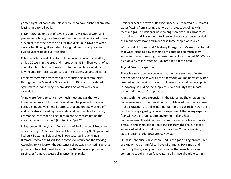prime targets of corporate salespeople, who have pushed them into leasing land for oil wells.

In Dimrock, Pa., one out of seven residents was out of work and people were facing foreclosure of their homes. When Cabot offered \$25 an acre for the right to drill for five years, plus royalties when gas started flowing, it sounded like a good deal to people who owned vacant fields but little else.

Cabot, which earned close to a billion dollars in revenue in 2008, drilled 20 wells in the area and is producing \$58 million worth of gas annually. The subsequent water contamination has forced many low-income Dimrock residents to turn to expensive bottled water.

Problems stemming from fracking are surfacing in communities throughout the Marcellus Shale region. In Dimrock, considered "ground zero" for drilling, several drinking-water wells have exploded.

"Nine were found to contain so much methane gas that one homeowner was told to open a window if he planned to take a bath. Dishes showed metallic streaks that couldn't be washed off, and tests also showed high amounts of aluminum, lead and iron, prompting fears that drilling fluids might be contaminating the water along with the gas." (ProPublica, April 26).

In September, Pennsylvania Department of Environmental Protection officials charged Cabot with five violations after nearly 8,000 gallons of hydraulic fracturing fluids spilled in two separate incidents near Dimrock. It took a third spill for Cabot to voluntarily halt the fracking. According to Halliburton the substance spilled was a lubricating gel that poses "a substantial threat to human health" and was a "potential carcinogen" that has caused skin cancer in animals.

Residents near the town of Roaring Branch, Pa., reported rust-colored water flowing from a spring and two small creeks bubbling with methane gas. The incidents were among more than 50 similar cases related to gas drilling in the state. In several instances houses exploded as a result of gas leaks and in one case three people were killed.

Workers at U.S. Steel and Allegheny Energy near McKeesport found that water used to power their plant contained so much salty sediment it was corroding their machinery. An estimated 10,000 fish died on a 33-mile stretch of Dunkard Creek in this area.

#### **A giant 'science experiment'**

There is also a growing concern that the huge amount of water needed for drilling as well as the enormous volume of waste water created in the fracking process could eventually put water supplies in jeopardy, including the supply to New York City that, in fact, serves half the state's population.

Along with the rapid expansion in the Marcellus Shale region has come growing environmental concerns. Many of the practices used in the extraction are still experimental. "In this gas rush, New York is fast becoming a geological science experiment that many experts fear will have profound, dire environmental and health consequences. The drilling companies use a witch's brew of water, pressure and chemicals to force the gas from the shale. It is the secrecy of what is in that brew that has New Yorkers worried," stated Allison Sickle. (DCBureau, Nov. 30)

Oil-based chemicals have been used in the gas drilling process, but are known to be harmful to the environment. Toxic mud and fracturing fluids, along with waste water that resurfaces, can contaminate soil and surface water. Spills have already resulted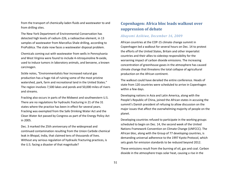from the transport of chemically-laden fluids and wastewater to and from drilling sites.

The New York Department of Environmental Conservation has detected high levels of radium-226, a radioactive element, in 13 samples of wastewater from Marcellus Shale drilling, according to ProPublica. The state now faces a wastewater disposal problem.

Chemicals coming out with wastewater from wells in Pennsylvania and West Virginia were found to include 4-nitroquinoline N-oxide, used to induce tumors in laboratory animals, and benzene, a known carcinogen.

Sickle notes, "Environmentalists fear increased natural gas production has a huge risk of ruining some of the most pristine watershed, park, farm and recreational land in the United States." The region involves 7,500 lakes and ponds and 50,000 miles of rivers and streams.

Fracking also occurs in parts of the Midwest and southwestern U.S. There are no regulations for hydraulic fracturing in 21 of the 31 states where the practice has been in effect for several years. Fracking was exempted from the Safe Drinking Water Act and the Clean Water Act passed by Congress as part of the Energy Policy Act in 2005.

Dec. 3 marked the 25th anniversary of the widespread and continued contamination resulting from the Union Carbide chemical leak in Bhopal, India, that claimed tens of thousands of lives. Without any serious regulation of hydraulic fracturing practices, is the U.S. facing a disaster of that magnitude?

## **Copenhagen: Africa bloc leads walkout over suppression of debate**

### *Abayomi Azikiwe, December 16, 2009*

African countries at the COP-15 climate change summit in Copenhagen led a walkout for several hours on Dec. 14 to protest the efforts of the United States, Britain and other imperialist countries and their allies to sidestep responsibility for the worsening impact of carbon dioxide emissions. The increasing concentration of greenhouse gases in the atmosphere has caused climate change that threatens the total collapse of agricultural production on the African continent.

The walkout could have derailed the entire conference. Heads of state from 120 countries were scheduled to arrive in Copenhagen within a few days.

Developing nations in Asia and Latin America, along with the People's Republic of China, joined the African states in accusing the summit's Danish president of refusing to allow discussion on the major issues that affect the overwhelming majority of people on the planet.

Developing countries refused to participate in the working groups scheduled to begin on Dec. 14, the second week of the United Nations Framework Convention on Climate Change (UNFCCC). The African bloc, along with the Group of 77 developing countries, is demanding universal adherence to the 1997 Kyoto Protocol, which sets goals for emission standards to be reduced beyond 2012.

These emissions result from the burning of oil, gas and coal. Carbon dioxide in the atmosphere traps solar heat, causing a rise in the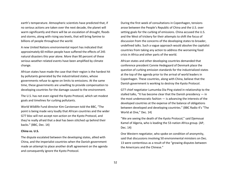earth's temperature. Atmospheric scientists have predicted that, if no serious actions are taken over the next decade, the planet will warm significantly and there will be an escalation of drought, floods and storms, along with rising sea levels, that will bring famine to billions of people throughout the world.

A new United Nations environmental report has indicated that approximately 60 million people have suffered the effects of 245 natural disasters this year alone. More than 90 percent of these serious weather-related events have been amplified by climate change.

African states have made the case that their region is the hardest hit by pollutants generated by the industrialized states, whose governments refuse to agree on limits to emissions. At the same time, these governments are unwilling to provide compensation to developing countries for the damage caused to the environment.

The U.S. has not even signed the Kyoto Protocol, which set modest goals and timelines for curbing pollutants.

World Wildlife Fund director Kim Carstensen told the BBC, "The point is being made very loudly that African countries and the wider G77 bloc will not accept non-action on the Kyoto Protocol, and they're really afraid that a deal has been stitched up behind their backs." (BBC, Dec. 14)

### **China vs. U.S.**

The dispute escalated between the developing states, allied with China, and the imperialist countries when the Danish government made an attempt to place another draft agreement on the agenda and consequently ignore the Kyoto Protocol.

During the first week of consultations in Copenhagen, tensions arose between the People's Republic of China and the U.S. over setting goals for the curbing of emissions. China accused the U.S. and the West of trickery for their attempts to shift the focus of discussion from the concerns of the developing states to broader, undefined talks. Such a vague approach would absolve the capitalist countries from taking any action to address the worsening food crisis in Africa and other parts of the world.

African states and other developing countries demanded that conference president Connie Hedegaard of Denmark place the question of curbing emission standards for the industrialized states at the top of the agenda prior to the arrival of world leaders in Copenhagen. These countries, along with China, believe that the Danish government is working to destroy the Kyoto Protocol.

G77 chief negotiator Lumumba Dia Ping stated in relationship to the stalled talks, "It has become clear that the Danish presidency — in the most undemocratic fashion  $-$  is advancing the interests of the developed countries at the expense of the balance of obligations between developed and developing countries." (BBC Radio 4's "The World at One," Dec. 14)

"We are seeing the death of the Kyoto Protocol," said Djemouai Kamel of Algeria, who is leading the 53-nation Africa group. (AP, Dec. 14)

One Western negotiator, who spoke on condition of anonymity, said that discussions involving 50 environmental ministers on Dec. 13 were contentious as a result of the "growing disputes between the Americans and the Chinese."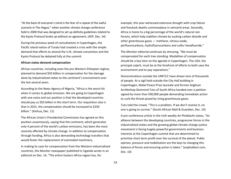"At the back of everyone's mind is the fear of a repeat of the awful scenario in The Hague," when another climate change conference held in 2000 that was designed to set up definite guidelines related to the Kyoto Protocol broke up without an agreement. (AFP, Dec. 14)

During the previous week of consultations in Copenhagen, the Pacific island nation of Tuvalu had created a crisis with the simple demand that efforts to amend the U.N. climate convention and the Kyoto Protocol be debated fully at the summit.

#### **African states demand compensation**

African countries, including even the pro-Western Ethiopian regime, planned to demand \$50 billion in compensation for the damage done by industrialized states to the continent's environment over the last several years.

According to the News Agency of Nigeria, "Africa is the worst hit when it comes to global emission. We are going to Copenhagen with one voice and our position is that the developed countries should pay us \$50 billion in the short term. Our requisition also is that in 2015, the compensation should be increased to \$250 billion." (Xinhua, Dec. 11)

The African Union's Presidential Commission has agreed on this position unanimously, saying that the continent, which generates only 4 percent of the world's carbon emissions, has been the most severely affected by climate change. In addition to compensation through funding, Africa is also demanding technology transfers that would foster the replacement of outmoded machinery.

In making its case for compensation from the Western industrialized countries, the Monitor newspaper published in Uganda wrote in an editorial on Dec. 14, "The entire Eastern Africa region has, for

example, this year witnessed extensive drought with crop failure and livestock deaths commonplace in semiarid areas. Secondly, Africa is home to a big percentage of the world's natural rain forests, which help stabilize climate by sucking carbon dioxide and other greenhouse gases — methane, nitrous oxide, perfluorocarbons, hydrofluorocarbons and sulfur hexafluoride."

The Monitor editorial continues by stressing, "We must be compensated for each tree standing. Modalities of compensation should be a key item on the agenda in Copenhagen. The USA, the principal culprit, must be at the forefront of efforts to both save the environment and to pay reparations."

Demonstrations outside the UNFCCC have drawn tens of thousands of people. At a vigil held outside the City Hall building in Copenhagen, Nobel Peace Prize laureate and former Anglican Archbishop Desmond Tutu of South Africa handed over a petition signed by more than 500,000 people demanding immediate action to curb the threat posed by rising greenhouse gases.

Tutu told the crowd, "This is a problem. If we don't resolve it, no one is going to survive." (South African Mail & Guardian, Dec. 14)

A pre-conference article in the Irish weekly An Phoblacht states, "An alliance between the developing countries, progressive forces in the industrialized states and the growing global climate change justice movement is facing hugely powerful governments and business interests at the Copenhagen summit that are determined to prioritize short-term profit over the survival of the planet. Public opinion, pressure and mobilization are the keys to changing this balance of forces and ensuring action is taken." (anphoblact.com, Dec. 10)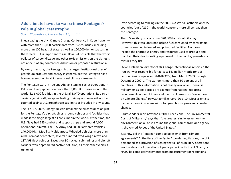## **Add climate havoc to war crimes: Pentagon's role in global catastrophe**

### *Sara Flounders, December 16, 2009*

In evaluating the U.N. Climate Change Conference in Copenhagen with more than 15,000 participants from 192 countries, including more than 100 heads of state, as well as 100,000 demonstrators in the streets — it is important to ask: How is it possible that the worst polluter of carbon dioxide and other toxic emissions on the planet is not a focus of any conference discussion or proposed restrictions?

By every measure, the Pentagon is the largest institutional user of petroleum products and energy in general. Yet the Pentagon has a blanket exemption in all international climate agreements.

The Pentagon wars in Iraq and Afghanistan; its secret operations in Pakistan; its equipment on more than 1,000 U.S. bases around the world; its 6,000 facilities in the U.S.; all NATO operations; its aircraft carriers, jet aircraft, weapons testing, training and sales will not be counted against U.S. greenhouse gas limits or included in any count.

The Feb. 17, 2007, Energy Bulletin detailed the oil consumption just for the Pentagon's aircraft, ships, ground vehicles and facilities that made it the single-largest oil consumer in the world. At the time, the U.S. Navy had 285 combat and support ships and around 4,000 operational aircraft. The U.S. Army had 28,000 armored vehicles, 140,000 High-Mobility Multipurpose Wheeled Vehicles, more than 4,000 combat helicopters, several hundred fixed-wing aircraft and 187,493 fleet vehicles. Except for 80 nuclear submarines and aircraft carriers, which spread radioactive pollution, all their other vehicles run on oil.

Even according to rankings in the 2006 CIA World Factbook, only 35 countries (out of 210 in the world) consume more oil per day than the Pentagon.

The U.S. military officially uses 320,000 barrels of oil a day. However, this total does not include fuel consumed by contractors or fuel consumed in leased and privatized facilities. Nor does it include the enormous energy and resources used to produce and maintain their death-dealing equipment or the bombs, grenades or missiles they fire.

Steve Kretzmann, director of Oil Change International, reports: "The Iraq war was responsible for at least 141 million metric tons of carbon dioxide equivalent (MMTCO2e) from March 2003 through December 2007. ... The war emits more than 60 percent of all countries. ... This information is not readily available ... because military emissions abroad are exempt from national reporting requirements under U.S. law and the U.N. Framework Convention on Climate Change." (www.naomiklein.org, Dec. 10) Most scientists blame carbon dioxide emissions for greenhouse gases and climate change.

Barry Sanders in his new book, "The Green Zone: The Environmental Costs of Militarism," says that "the greatest single assault on the environment, on all of us around the globe, comes from one agency ... the Armed Forces of the United States."

Just how did the Pentagon come to be exempt from climate agreements? At the time of the Kyoto Accords negotiations, the U.S. demanded as a provision of signing that all of its military operations worldwide and all operations it participates in with the U.N. and/or NATO be completely exempted from measurement or reductions.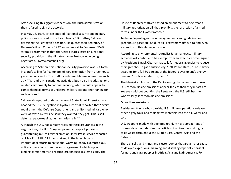After securing this gigantic concession, the Bush administration then refused to sign the accords.

In a May 18, 1998, article entitled "National security and military policy issues involved in the Kyoto treaty," Dr. Jeffrey Salmon described the Pentagon's position. He quotes then-Secretary of Defense William Cohen's 1997 annual report to Congress: "DoD strongly recommends that the United States insist on a national security provision in the climate change Protocol now being negotiated." (www.marshall.org)

According to Salmon, this national security provision was put forth in a draft calling for "complete military exemption from greenhouse gas emissions limits. The draft includes multilateral operations such as NATO- and U.N.-sanctioned activities, but it also includes actions related very broadly to national security, which would appear to comprehend all forms of unilateral military actions and training for such actions."

Salmon also quoted Undersecretary of State Stuart Eizenstat, who headed the U.S. delegation in Kyoto. Eizenstat reported that "every requirement the Defense Department and uniformed military who were at Kyoto by my side said they wanted, they got. This is selfdefense, peacekeeping, humanitarian relief."

Although the U.S. had already received these assurances in the negotiations, the U.S. Congress passed an explicit provision guaranteeing U.S. military exemption. Inter Press Service reported on May 21, 1998: "U.S. law makers, in the latest blow to international efforts to halt global warming, today exempted U.S. military operations from the Kyoto agreement which lays out binding commitments to reduce 'greenhouse gas' emissions. The

House of Representatives passed an amendment to next year's military authorization bill that 'prohibits the restriction of armed forces under the Kyoto Protocol.'"

Today in Copenhagen the same agreements and guidelines on greenhouse gases still hold. Yet it is extremely difficult to find even a mention of this glaring omission.

According to environmental journalist Johanna Peace, military activities will continue to be exempt from an executive order signed by President Barack Obama that calls for federal agencies to reduce their greenhouse gas emissions by 2020. Peace states, "The military accounts for a full 80 percent of the federal government's energy demand." (solveclimate.com, Sept. 1)

The blanket exclusion of the Pentagon's global operations makes U.S. carbon dioxide emissions appear far less than they in fact are. Yet even without counting the Pentagon, the U.S. still has the world's largest carbon dioxide emissions.

#### **More than emissions**

Besides emitting carbon dioxide, U.S. military operations release other highly toxic and radioactive materials into the air, water and soil.

U.S. weapons made with depleted uranium have spread tens of thousands of pounds of microparticles of radioactive and highly toxic waste throughout the Middle East, Central Asia and the Balkans.

The U.S. sells land mines and cluster bombs that are a major cause of delayed explosions, maiming and disabling especially peasant farmers and rural peoples in Africa, Asia and Latin America. For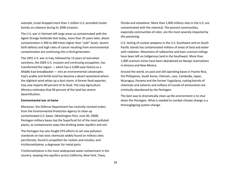example, Israel dropped more than 1 million U.S.-provided cluster bombs on Lebanon during its 2006 invasion.

The U.S. war in Vietnam left large areas so contaminated with the Agent Orange herbicide that today, more than 35 years later, dioxin contamination is 300 to 400 times higher than "safe" levels. Severe birth defects and high rates of cancer resulting from environmental contamination are continuing into a third generation.

The 1991 U.S. war in Iraq, followed by 13 years of starvation sanctions, the 2003 U.S. invasion and continuing occupation, has transformed the region — which has a 5,000-year history as a Middle East breadbasket — into an environmental catastrophe. Iraq's arable and fertile land has become a desert wasteland where the slightest wind whips up a dust storm. A former food exporter, Iraq now imports 80 percent of its food. The Iraqi Agriculture Ministry estimates that 90 percent of the land has severe desertification.

### **Environmental war at home**

Moreover, the Defense Department has routinely resisted orders from the Environmental Protection Agency to clean up contaminated U.S. bases. (Washington Post, June 30, 2008) Pentagon military bases top the Superfund list of the most polluted places, as contaminants seep into drinking water aquifers and soil.

The Pentagon has also fought EPA efforts to set new pollution standards on two toxic chemicals widely found on military sites: perchlorate, found in propellant for rockets and missiles; and trichloroethylene, a degreaser for metal parts.

Trichloroethylene is the most widespread water contaminant in the country, seeping into aquifers across California, New York, Texas,

Florida and elsewhere. More than 1,000 military sites in the U.S. are contaminated with the chemical. The poorest communities, especially communities of color, are the most severely impacted by this poisoning.

U.S. testing of nuclear weapons in the U.S. Southwest and on South Pacific islands has contaminated millions of areas of land and water with radiation. Mountains of radioactive and toxic uranium tailings have been left on Indigenous land in the Southwest. More than 1,000 uranium mines have been abandoned on Navajo reservations in Arizona and New Mexico.

Around the world, on past and still operating bases in Puerto Rico, the Philippines, South Korea, Vietnam, Laos, Cambodia, Japan, Nicaragua, Panama and the former Yugoslavia, rusting barrels of chemicals and solvents and millions of rounds of ammunition are criminally abandoned by the Pentagon.

The best way to dramatically clean up the environment is to shut down the Pentagon. What is needed to combat climate change is a thoroughgoing system change.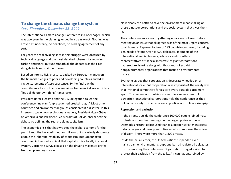### **To change the climate, change the system**

### *Sara Flounders, December 23, 2009*

The International Climate Change Conference in Copenhagen, which was two years in the planning, ended in a train wreck. Nothing was arrived at: no treaty, no deadlines, no binding agreement of any sort.

For years the real dividing lines in this struggle were obscured by technical language and the most detailed schemes for reducing carbon emissions. But underneath all the debate was the class struggle in its most virulent form.

Based on intense U.S. pressure, backed by European maneuvers, the financial pledges to poor and developing countries ended as vague statements of zero substance. By the final day the commitments to strict carbon emissions framework dissolved into a "let's all do our own thing" handshake.

President Barack Obama and the U.S. delegation called the conference finale an "unprecedented breakthrough." Most other countries and environmental groups considered it a disaster. In this intense struggle two revolutionary leaders, President Hugo Chávez of Venezuela and President Evo Morales of Bolivia, sharpened the debate by defining the real problem: capitalism.

The economic crisis that has wracked the global economy for the past 18 months has confirmed for millions of increasingly desperate people the inherent instability of capitalism. But Copenhagen confirmed in the starkest light that capitalism is a totally irrational system. Corporate survival based on the drive to maximize profits trumped planetary survival.

Now clearly the battle to save the environment means taking on these dinosaur corporations and the social system that gives them life.

The conference was a world gathering on a scale not seen before, meeting on an issue that all agreed was of the most urgent concern to all humans. Representatives of 193 countries gathered, including 128 heads of state. Over 45,000 delegates, members of the international media, lawyers, lobbyists and countless representatives of "special interests" of giant corporations gathered, registering along with thousands of activist nongovernmental organizations that focus on environmental justice.

Everyone agrees that cooperation is desperately needed on an international scale. But cooperation was impossible! The reality was that irrational competitive forces tore every possible agreement apart. The leaders of countries whose rulers serve a handful of powerful transnational corporations held the conference as they hold all of society — in an economic, political and military vise-grip.

### **Repression and exclusion**

In the streets outside the conference 100,000 people joined mass protests and counter meetings. In the largest police action in Denmark's history, police used tear gas, pepper spray, mass cages, baton charges and mass preemptive arrests to suppress the voices of dissent. There were more than 1,800 arrests.

Inside the Bella Center, the United Nations suspended even mainstream environmental groups and barred registered delegates from re-entering the conference. Organizations staged a sit-in to protest their exclusion from the talks. African nations, joined by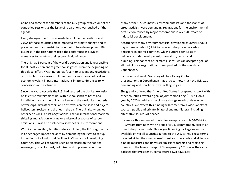China and some other members of the G77 group, walked out of the controlled sessions as the issue of reparations was pushed off the agenda.

Every strong-arm effort was made to exclude the positions and views of those countries most impacted by climate change and to place demands and restrictions on their future development. Big business in the rich nations used the conference as a cynical maneuver to maintain their economic dominance.

The U.S. has 5 percent of the world's population and is responsible for at least 25 percent of greenhouse gases. From the beginning of this global effort, Washington has fought to prevent any restrictions or controls on its emissions. It has used its enormous political and economic weight in past international climate conferences to win concessions and exclusions.

Since the Kyoto Accords the U.S. had secured the blanket exclusion of its entire military machine, with its thousands of bases and installations across the U.S. and all around the world, its hundreds of warships, aircraft carriers and destroyers on the seas and its jets, helicopters, rockets and drones in the air. The U.S. also wrangled other set-asides in past negotiations. That all international maritime shipping and aviation — a major and growing source of carbon emissions — was also excluded also benefits U.S. corporations.

With its own military facilities safely excluded, the U.S. negotiators in Copenhagen upped the ante by demanding the right to set up inspections of all industrial facilities in China and all developing countries. This was of course seen as an attack on the national sovereignty of all formerly colonized and oppressed countries.

Many of the G77 countries, environmentalists and thousands of street activists were demanding reparations for the environmental destruction caused by major corporations in over 200 years of industrial development.

According to many environmentalists, developed countries should pay a climate debt of \$1 trillion a year to help reverse carbon emissions in poorer countries, which suffered centuries of deliberate underdevelopment, colonialism, racism and toxic dumping. This concept of "climate justice" was an accepted goal of all past climate negotiations. It was pushed off the agenda at Copenhagen.

By the second week, Secretary of State Hillary Clinton's presentations in Copenhagen made it clear how much the U.S. was demanding and how little it was willing to give.

She grandly offered that "the United States is prepared to work with other countries toward a goal of jointly mobilizing \$100 billion a year by 2020 to address the climate change needs of developing countries. We expect this funding will come from a wide variety of sources, public and private, bilateral and multilateral, including alternative sources of finance."

In essence this amounted to nothing except a possible \$100 billion — 10 years from now, with no specific U.S. commitment, except an offer to help raise funds. This vague financing package would be available only if all countries agreed to the U.S. terms. These terms included killing the already insufficient Kyoto Accords and all legally binding measures and universal emissions targets and replacing them with the fuzzy concept of "transparency." This was the same package that President Obama offered two days later.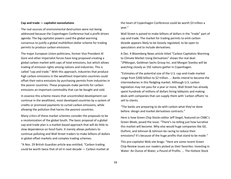### **Cap and trade — capitalist nonsolutions**

The real sources of environmental destruction were not being addressed because the Copenhagen Conference had a profit-driven agenda. The big capitalist powers used the global warming consensus to justify a global multibillion-dollar scheme for trading permits to produce carbon emissions.

The major European Union politicians, former Vice President Al Gore and other imperialist forces have long proposed creating a global carbon market with caps of total emissions, but which allows trading of emission rights among nations and industries. This is called "cap and trade." With this approach, industries that produce high carbon emissions in the wealthiest imperialist countries could offset their extra emissions by purchasing permits from industries in the poorer countries. These proposals make permits for carbon emissions an important commodity that can be bought and sold.

In essence this scheme means that uncontrolled development can continue in the wealthiest, most developed countries by a system of credits or promised payments to curtail carbon emissions, while allowing the pollution that harms the poorest countries.

Many critics of these market schemes consider the proposals to be a recolonization of the global South. The basic proposal of a global cap-and-trade plan is a market-based approach that will do little to slow dependence on fossil fuels. It merely allows polluters to continue polluting and Wall Street traders to make billions of dollars in global offset markets and complex trading schemes.

"A Nov. 29 British Guardian article was entitled, "Carbon trading could be worth twice that of oil in next decade — Carbon market at the heart of Copenhagen Conference could be worth \$3 trillion a year."

Wall Street is poised to make billions of dollars in the "trade" part of cap and trade. The market for trading permits to emit carbon dioxide appears likely to be loosely regulated, to be open to speculators and to include derivatives.

A Dec. 4 Bloomberg News article titled "Carbon Capitalists Warming to Climate Market Using Derivatives" shows the real deal: "JPMorgan, Goldman Sachs Group Inc. and Morgan Stanley will be watching closely as 192 nations gather in Copenhagen.

"Estimates of the potential size of the U.S. cap-and-trade market range from \$300 billion to \$2 trillion. ... Banks intend to become the intermediaries in this fledgling market. Although U.S. carbon legislation may not pass for a year or more, Wall Street has already spent hundreds of millions of dollars hiring lobbyists and making deals with companies that can supply them with 'carbon offsets' to sell to clients.

"The banks are preparing to do with carbon what they've done before: design and market derivatives contracts."

Here is how Green Chip Stocks editor Jeff Siegel, featured on CNBC's Green Week, posed the issue: "There's no telling just how lucrative this market will become. Why else would huge companies like GE, DuPont, and Johnson & Johnson be racing to reduce their emissions? It's because of the huge profits that stand to be made."

This pro-capitalist Web site brags: "Here are some recent Green Chip Review issues our readers picked as their favorites: Investing in Water: An Ounce of Water, a Pound of Profits. ... The Hottest Stock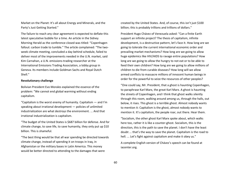Market on the Planet: It's all about Energy and Minerals, and the Party's Just Getting Started."

The failure to reach any clear agreement is expected to deflate this latest speculative bubble for a time. An article in the Sidney Morning Herald as the conference closed was titled: "Copenhagen fallout: carbon trade to tumble." The article complained: "The twoweek climate meeting, concluded a day behind schedule, failed to deliver most of the improvements needed in the U.N. market, said Kim Carnahan, a U.N. emissions-trading researcher at the International Emissions Trading Association, a lobby group in Geneva. Its members include Goldman Sachs and Royal Dutch Shell."

#### **Revolutionary challenge**

Bolivian President Evo Morales explained the essence of the problem: "We cannot end global warming without ending capitalism.

"Capitalism is the worst enemy of humanity. Capitalism — and I'm speaking about irrational development — policies of unlimited industrialization are what destroys the environment. ... And that irrational industrialization is capitalism.

"The budget of the United States is \$687 billion for defense. And for climate change, to save life, to save humanity, they only put up \$10 billion. This is shameful.

"The best thing would be that all war spending be directed towards climate change, instead of spending it on troops in Iraq, in Afghanistan or the military bases in Latin America. This money would be better directed to attending to the damages that were

created by the United States. And, of course, this isn't just \$100 billion; this is probably trillions and trillions of dollars."

President Hugo Chávez of Venezuela asked: "Can a finite Earth support an infinite project? The thesis of capitalism, infinite development, is a destructive pattern, let's face it. How long are we going to tolerate the current international economic order and prevailing market mechanisms? How long are we going to allow huge epidemics like HIV/AIDS to ravage entire populations? How long are we going to allow the hungry to not eat or to be able to feed their own children? How long are we going to allow millions of children to die from curable diseases? How long will we allow armed conflicts to massacre millions of innocent human beings in order for the powerful to seize the resources of other peoples?

"One could say, Mr. President, that a ghost is haunting Copenhagen, to paraphrase Karl Marx, the great Karl Marx. A ghost is haunting the streets of Copenhagen, and I think that ghost walks silently through this room, walking around among us, through the halls, out below, it rises. This ghost is a terrible ghost. Almost nobody wants to mention it: Capitalism is the ghost, almost nobody wants to mention it. It's capitalism, the people roar, out there. Hear them.

"Socialism, the other ghost Karl Marx spoke about, which walks here too, rather it is like a counter-ghost. Socialism, this is the direction, this is the path to save the planet. I don't have the least doubt ... that's the way to save the planet. Capitalism is the road to hell. ... Let's fight against capitalism and make it obey us."

A complete English version of Chávez's speech can be found at iacenter.org.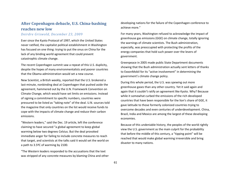## **After Copenhagen debacle, U.S. China-bashing reaches new low**

### *Deirdre Griswold, December 23, 2009*

Ever since the Kyoto Protocol of 1997, which the United States never ratified, the capitalist political establishment in Washington has focused on one thing: trying to put the onus on China for the lack of any binding world agreement that could prevent catastrophic climate change.

The recent Copenhagen summit saw a repeat of this U.S. duplicity, despite the hopes of many environmentalists and poorer countries that the Obama administration would set a new course.

New Scientist, a British weekly, reported that the U.S. brokered a last-minute, nonbinding deal at Copenhagen that pushed aside the agreement, hammered out by the U.N. Framework Convention on Climate Change, which would have set limits on emissions. Instead of signing a commitment to specific numbers, countries were pressured to be listed as "taking note" of the deal. U.N. sources told the magazine that only countries on the list would receive funds to cope with the impacts of climate change and reduce their carbon emissions.

"Western leaders," said the Dec. 19 article, left the conference claiming to have secured "a global agreement to keep global warming below two degrees Celsius. But the deal provoked immediate anger for failing to include concrete measures to reach that target, and scientists at the talks said it would set the world on a path to 3.5ºC of warming by 2100.

"The Western leaders responded to the accusations that the text was stripped of any concrete measures by blaming China and other developing nations for the failure of the Copenhagen conference to achieve more."

For many years, Washington refused to acknowledge the impact of greenhouse gas emissions (GGE) on climate change, totally ignoring the warnings of climate scientists. The Bush administration, especially, was preoccupied with protecting the profits of the energy companies that hold such power over the levers of government.

Greenpeace in 2005 made public State Department documents showing that the Bush administration actually sent letters of thanks to ExxonMobil for its "active involvement" in determining the government's climate change policy.

During this whole period, the U.S. was spewing out more greenhouse gases than any other country. Yet it said again and again that it couldn't ratify an agreement like Kyoto. Why? Because while it somewhat curbed the emissions of the rich developed countries that have been responsible for the lion's share of GGE, it gave latitude to those formerly colonized countries trying to overcome decades and even centuries of underdevelopment. China, Brazil, India and Mexico are among the largest of these developing economies.

Because of this undeniable history, the peoples of the world rightly view the U.S. government as the main culprit for the probability that before the middle of this century, a "tipping point" will be reached that would make global warming irreversible and bring disaster to many nations.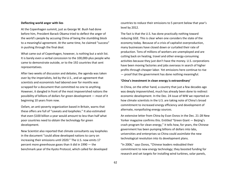### **Deflecting world anger with lies**

At the Copenhagen summit, just as George W. Bush had done before him, President Barack Obama tried to deflect the anger of the world's people by accusing China of being the stumbling block to a meaningful agreement. At the same time, he claimed "success" in pushing through the final deal.

What came out of Copenhagen, however, is nothing but a wish list. It is barely even a verbal concession to the 100,000-plus people who came to demonstrate outside, or to the 192 countries that sent representatives.

After two weeks of discussion and debates, the agenda was taken over by the imperialists, led by the U.S., and an agreement that scientists and economists had labored over for months was scrapped for a document that committed no one to anything. However, it dangled in front of the most impoverished nations the possibility of billions of dollars for green development — most of it beginning 10 years from now.

Oxfam, an anti-poverty organization based in Britain, warns that these offers are full of "caveats and loopholes." It also estimated that even \$100 billion a year would amount to less than half what poor countries need to obtain the technology for green development.

New Scientist also reported that climate consultants say loopholes in the document "could allow developed nations to carry on increasing their emissions until 2020." The U.S. now emits 17 percent more greenhouse gases than it did in 1990 — the benchmark year of the Kyoto Protocol, which called for developed

countries to reduce their emissions to 5 percent below that year's level by 2012.

The fact is that the U.S. has done practically nothing toward reducing GGE. This is clear when one considers the state of the economy today. Because of a crisis of capitalist overproduction, many businesses have closed down or curtailed their rate of production. Tens of millions of workers are unemployed and are cutting back on heating, travel and other energy-consuming activities because they just don't have the money. U.S. corporations have been moving factories and jobs overseas in search of higher profits through cheaper labor. Yet emissions here continue to rise — proof that the government has done nothing meaningful.

#### **'China's investment in clean energy is extraordinary'**

In China, on the other hand, a country that just a few decades ago was deeply impoverished, much has already been done to redirect economic development. In the Dec. 24 issue of WW we reported on how climate scientists in the U.S. are taking note of China's broad commitment to increased energy efficiency and development of alternate, nonpolluting energy sources.

An extensive letter from China by Evan Osnos in the Dec. 21-28 New Yorker magazine confirms this. Entitled "Green Giant — Beijing's crash program for clean energy," it tells how, for years, the Chinese government has been pumping billions of dollars into labs, universities and enterprises so China could assimilate the new technological revolution into its development plans.

"In 2006," says Osnos, "Chinese leaders redoubled their commitment to new energy technology; they boosted funding for research and set targets for installing wind turbines, solar panels,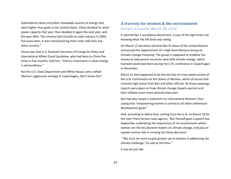hydroelectric dams and other renewable sources of energy that were higher than goals in the United States. China doubled its windpower capacity that year, then doubled it again the next year, and the year after. The country had virtually no solar industry in 2003; five years later, it was manufacturing more solar cells than any other country."

Osnos says that U.S. Assistant Secretary of Energy for Policy and International Affairs David Sandalow, who had been to China five times in five months, told him, "China's investment in clean energy is extraordinary."

But the U.S. State Department and White House, who crafted Obama's aggressive strategy in Copenhagen, don't know this?

### **A travesty for women & the environment** *Deirdre Griswold, March 28, 2010*

It seemed like a scandalous disconnect, a case of the right brain not knowing what the left brain was doing.

On March 12 Secretary-General Ban Ki-moon of the United Nations announced the appointment of a High-level Advisory Group on Climate Change Financing. The group is supposed to mobilize the money to help poorer countries deal with climate change, which had been promised them during the U.N. conference in Copenhagen in December.

March 12 also happened to be the last day of a two-week session of the U.N. Commission on the Status of Women, which of course had received high praise from Ban and other officials. At those meetings, reports were given on how climate change impacts women and their children even more severely than men.

Ban had also issued a statement on International Women's Day saying that "empowering women is central to all other millennium development goals."

And, according to Selina Rust, writing from the U.N. on March 18 for the Inter Press Service news agency, "Ban himself gave a speech last September underlining the importance of 'an environment where women are the key decision makers on climate change, and play an equally central role in carrying out these decisions.'

"'We must do more to give greater say to women in addressing the climate challenge,' he said at the time."

It was all just talk.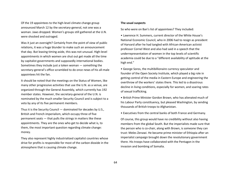Of the 19 appointees to the high-level climate change group announced March 12 by the secretary-general, not one was a woman. Jaws dropped. Women's groups still gathered at the U.N. were shocked and outraged.

Was it just an oversight? Certainly from the point of view of public relations, it was a huge blunder to make such an announcement that day. But leaving timing aside, this was not unusual. High-level appointments in which women are shut out get made all the time by capitalist governments and supposedly international bodies. Sometimes they include just a token woman — something the secretary-general's office scrambled to do once news of his all-male appointees hit the fan.

It should be noted that the meetings on the Status of Women, like many other progressive activities that use the U.N. as a venue, are organized through the General Assembly, which currently has 192 member states. However, the secretary-general of the U.N. is nominated by the much smaller Security Council and is subject to a veto by any of its five permanent members.

Thus it is the Security Council — dominated for decades by U.S., British and French imperialism, which occupy three of five permanent seats — that pulls the strings in matters like these appointments. They are the ones who get to decide what is, to them, the most important question regarding climate change: money.

They also represent highly industrialized capitalist countries whose drive for profits is responsible for most of the carbon dioxide in the atmosphere that is causing climate change.

### **The usual suspects**

So who were on Ban's list of appointees? They included:

• Lawrence H. Summers, current director of the White House's National Economic Council, who in 2006 had to resign as president of Harvard after he had tangled with African-American activist professor Cornel West and also had said in a speech that the underrepresentation of women in the top levels of scientific academia could be due to a "different availability of aptitude at the high end."

• George Soros, the multibillionaire currency speculator and founder of the Open Society Institute, which played a big role in getting control of the media in Eastern Europe and engineering the overthrow of the workers' states there. This led to a disastrous decline in living conditions, especially for women, and soaring rates of sexual trafficking.

• British Prime Minister Gordon Brown, who has alienated much of his Labour Party constituency, but pleased Washington, by sending thousands of British troops to Afghanistan.

• Executives from the central banks of both France and Germany.

Of course, this group would have no credibility without also having members from the global South. But the imperialists made sure that the person who is co-chair, along with Brown, is someone they can trust: Meles Zenawi. He became prime minister of Ethiopia after an imperialist campaign brought down the revolutionary government there. His troops have collaborated with the Pentagon in the invasion and bombing of Somalia.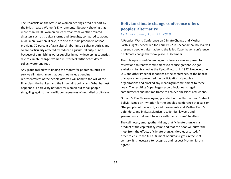The IPS article on the Status of Women hearings cited a report by the British-based Women's Environmental Network showing that more than 10,000 women die each year from weather-related disasters such as tropical storms and droughts, compared to about 4,500 men. Women, it says, are also the main producers of food, providing 70 percent of agricultural labor in sub-Saharan Africa, and so are particularly affected by reduced agricultural output. And because of diminishing water supplies in many developing countries due to climate change, women must travel farther each day to collect water and fuel.

Any group tasked with finding the money for poorer countries to survive climate change that does not include genuine representatives of the people affected will bend to the will of the financiers, the bankers and the imperialist politicians. What has just happened is a travesty not only for women but for all people struggling against the horrific consequences of unbridled capitalism.

## **Bolivian climate change conference offers peoples' alternative** *LeiLani Dowell, April 11, 2010*

A Peoples' World Conference on Climate Change and Mother Earth's Rights, scheduled for April 19-22 in Cochabamba, Bolivia, will present a people's alternative to the failed Copenhagen conference on climate change that took place in December.

The U.N.-sponsored Copenhagen conference was supposed to review and to renew commitments to reduce greenhouse gas emissions first framed as the Kyoto Protocol in 1997. However, the U.S. and other imperialist nations at the conference, at the behest of corporations, prevented the participation of people's organizations and blocked any meaningful commitment to these goals. The resulting Copenhagen accord includes no legal commitments and no time frame to achieve emissions reductions.

On Jan. 5, Evo Morales Ayma, president of the Plurinational State of Bolivia, issued an invitation for the peoples' conference that calls on "the peoples of the world, social movements and Mother Earth's defenders, and invites scientists, academics, lawyers and governments that want to work with their citizens" to attend.

The call noted, among other things, that "climate change is a product of the capitalist system" and that the poor will suffer the most from the effects of climate change. Morales asserted, "In order to ensure the full fulfillment of human rights in the 21st century, it is necessary to recognize and respect Mother Earth's rights."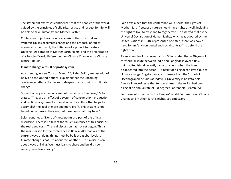The statement expresses confidence "that the peoples of the world, guided by the principles of solidarity, justice and respect for life, will be able to save humanity and Mother Earth."

Conference objectives include analysis of the structural and systemic causes of climate change and the proposal of radical measures to combat it; the initiation of a project to create a Universal Declaration of Mother Earth Rights; and the organization of a Peoples' World Referendum on Climate Change and a Climate Justice Tribunal.

#### **Climate change a result of profit system**

At a meeting in New York on March 24, Pablo Solón, ambassador of Bolivia to the United Nations, explained that the upcoming conference reflects the desire to deepen the discussion on climate change.

"Greenhouse gas emissions are not the cause of this crisis," Solón stated. "They are an effect of a system of consumption, production and profit — a system of exploitation and a culture that helps to accomplish the goal of more and more profit. This system is not based on humans as they are, but based on what they have."

Solón continued: "None of these points are part of the official discussion. There is no talk of the structural causes of this crisis, or the real deep costs. The real discussion has not yet begun. This is the main reason for the conference in Bolivia. Alternatives to the current ways of doing things must be built at a global level. ... Climate change is not just about the weather  $-$  it is a discussion about ways of living. We must learn to share and build a new society based on sharing."

Solón explained that the conference will discuss "the rights of Mother Earth" because nature should have rights as well, including the right to live, to exist and to regenerate. He asserted that as the Universal Declaration of Human Rights, which was adopted by the United Nations in 1948, represented one step, there was now a need for an "environmental and social contract" to defend the rights of all.

As an example of the current crisis, Solón stated that a 30-year-old territorial dispute between India and Bangladesh over a tiny, uninhabited island recently came to an end when the island disappeared into the ocean — a result of rising ocean levels due to climate change. Sugata Hazra, a professor from the School of Oceanographic Studies at Jadavpur University in Kolkata, told Agence France-Presse that temperatures in the region had been rising at an annual rate of 0.8 degrees Fahrenheit. (March 25)

For more information on the Peoples' World Conference on Climate Change and Mother Earth's Rights, see cmpcc.org.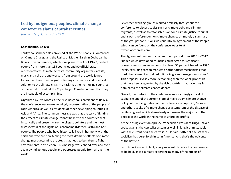# **Led by Indigenous peoples, climate change conference slams capitalist crimes**

*Jen Waller, April 28, 2010*

#### **Cochabamba, Bolivia**

Thirty thousand people convened at the World People's Conference on Climate Change and the Rights of Mother Earth in Cochabamba, Bolivia. The conference, which took place from April 19-22, hosted people from more than 135 countries and 90 official state representatives. Climate activists, community organizers, artists, musicians, scholars and workers from around the world joined forces over the common goal of finding an effective and practical solution to the climate crisis  $-$  a task that the rich, ruling countries of the world proved, at the Copenhagen Climate Summit, that they are incapable of accomplishing.

Organized by Evo Morales, the first Indigenous president of Bolivia, the conference was overwhelmingly representative of the people of Latin America, as well as residents of other developing countries in Asia and Africa. The common message was that the task of fighting the effects of climate change cannot be left to the countries that historically and presently are the biggest polluters and the most disrespectful of the rights of Pachamama (Mother Earth) and her people. The people who have historically lived in harmony with the earth and who are now feeling the most dramatic effects of climate change must determine the steps that need to be taken to fight environmental destruction. This message was echoed over and over again by Indigenous people and oppressed people from all over the world.

Seventeen working groups worked tirelessly throughout the conference to discuss topics such as climate debt and climate migrants, as well as to establish a plan for a climate justice tribunal and a world referendum on climate change. Ultimately a summary of the groups' conclusions was put into an Agreement of the People, which can be found on the conference website at pwccc.wordpress.com.

The Agreement demands a commitment period from 2010 to 2017 "under which developed countries must agree to significant domestic emissions reductions of at least 50 percent based on 1990 levels, excluding carbon markets or other offset mechanisms that mask the failure of actual reductions in greenhouse gas emissions." This proposal is vastly more demanding than the weak proposals that have been suggested by the rich countries that have thus far dominated the climate change debate.

Overall, the rhetoric of the conference was scathingly critical of capitalism and of the current state of mainstream climate change policy. At the inauguration of the conference on April 20, Morales and others spoke of climate change as a symptom of the disease of capitalist greed, which shamelessly oppresses the majority of the people of the world in the name of unbridled profits.

At the closing event on April 22, Venezuelan President Hugo Chávez spoke against the capitalist system as well, linking it unmistakably with the current peril the earth is in. He said: "After all the setbacks, socialism has burst forth in Latin America. And that's the epicenter of the battle."

Latin America was, in fact, a very relevant place for the conference to be held, as it is already experiencing many of the effects of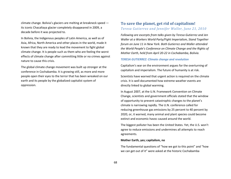climate change. Bolivia's glaciers are melting at breakneck speed its iconic Chacaltaya glacier completely disappeared in 2009, a decade before it was projected to.

In Bolivia, the Indigenous peoples of Latin America, as well as of Asia, Africa, North America and other places in the world, made it known that they are ready to lead the movement to fight global climate change. It is people such as them who are feeling the worst effects of climate change after committing little or no crimes against nature to cause this crisis.

The global climate change movement was built up stronger at the conference in Cochabamba. It is growing still, as more and more people open their eyes to the terror that has been wreaked on our earth and its people by the globalized capitalist system of oppression.

### **To save the planet, get rid of capitalism!** *Teresa Gutierrez and Jennifer Waller, June 21, 2010*

*Following are excerpts from talks given by Teresa Gutierrez and Jen Waller at a Workers World Party/Fight Imperialism, Stand Together forum on June 11 in New York. Both Gutierrez and Waller attended the World People's Conference on Climate Change and the Rights of Mother Earth, held from April 20-22 in Cochabamba, Bolivia.*

### *TERESA GUTIERREZ: Climate change and revolution*

Capitalism's war on the environment argues for the overturning of capitalism and imperialism. The future of humanity is at risk.

Scientists have warned that urgent action is required on the climate crisis. It is well documented how extreme weather events are directly linked to global warming.

In August 2007, at the U.N. Framework Convention on Climate Change, scientists and government officials stated that the window of opportunity to prevent catastrophic changes to the planet's climate is narrowing rapidly. The U.N. conference called for reducing greenhouse gas emissions by 25 percent to 40 percent by 2020, or, it warned, many animal and plant species could become extinct and economic havoc caused around the world.

The biggest polluter has been the United States. Yet, the U.S. won't agree to reduce emissions and undermines all attempts to reach agreements.

### **Mother Earth, yes; capitalism, no**

The fundamental questions of "how we got to this point" and "how we can get out of it" were asked at the historic Cochabamba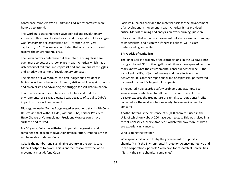conference. Workers World Party and FIST representatives were honored to attend.

This working-class conference gave political and revolutionary answers to this crisis; it called for an end to capitalism. A key slogan was "Pachamama si, capitalismo no" ("Mother Earth, yes; capitalism, no"). The leaders concluded that only socialism could resolve the environmental crisis.

The Cochabamba conference put fear into the ruling class here, even more so because it took place in Latin America, which has a rich history of militant, anti-capitalist and anti-imperialist struggles and is today the center of revolutionary upheaval.

The election of Evo Morales, the first Indigenous president in Bolivia, was itself a huge step forward, striking a blow against racism and colonialism and advancing the struggle for self-determination.

That the Cochabamba conference took place and that the environmental crisis was elevated was because of socialist Cuba's impact on the world movement.

Nicaraguan leader Tomas Borge urged everyone to stand with Cuba. He stressed that without Fidel, without Cuba, neither President Hugo Chávez of Venezuela nor President Morales could have surfaced and thrived.

For 50 years, Cuba has withstood imperialist aggression and remained the beacon of revolutionary inspiration. Imperialism has not been able to defeat Cuba.

Cuba is the number-one sustainable country in the world, says Global Footprint Network. This is another reason why the world movement must defend Cuba.

Socialist Cuba has provided the material basis for the advancement of a revolutionary movement in Latin America. It has provided critical Marxist thinking and analysis on every burning question.

It has shown that not only a movement but also a class can stand up to imperialism, and it can win if there is political will, a class understanding and unity.

#### **BP: A crisis of capitalism**

The BP oil spill is a tragedy of epic proportions. In the 53 days since its rig exploded, 90.1 million gallons of oil may have spewed. No one really knows what the environmental consequences will be — the loss of animal life, of jobs, of income and the effects on the ecosystem. It is another rapacious crime of capitalism, perpetrated by one of the world's largest oil companies.

BP repeatedly disregarded safety problems and attempted to silence anyone who tried to tell the truth about the spill. This disaster exposes the true nature of capitalist corporations: Profits come before the workers, before safety, before environmental concerns.

Another hazard is the existence of 80,000 chemicals used in the U.S., of which only about 200 have been tested. This was raised in a recent CNN series, "Toxic America," which told how more children are experiencing cancers.

### Who is doing the testing?

Who spends millions to lobby the government to support a chemical? Isn't the Environmental Protection Agency ineffective and in the corporations' pockets? Who pays for research at universities if it isn't the same chemical companies?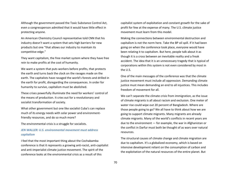Although the government passed the Toxic Substance Control Act, even a congressperson admitted that it would have little effect in protecting anyone.

An American Chemistry Council representative told CNN that his industry doesn't want a system that sets high barriers for new products but one "that allows our industry to maintain its competitive edge."

They want capitalism, the free market system where they have free rein to make profits at the cost of humanity.

We want a system that puts workers before profits, that protects the earth and turns back the clock on the ravages made on the earth. The capitalists have ravaged the world's forests and drilled in the earth for profit, disregarding the consequences. In order for humanity to survive, capitalism must be abolished.

These crises powerfully illuminate the need for workers' control of the means of production. It cries out for a revolutionary and socialist transformation of society.

What other government but one like socialist Cuba's can replace much of its energy needs with solar power and environmentfriendly resources, and do so much more?

The environmental crisis is a struggle for socialists.

### *JEN WALLER: U.S. environmental movement must address capitalism*

I feel that the most important thing about the Cochabamba conference is that it represents a growing anti-racist, anti-capitalist and anti-imperialist climate justice movement. The spirit of the conference looks at the environmental crisis as a result of this

capitalist system of exploitation and constant growth for the sake of profit for few at the expense of many. The U.S. climate justice movement must learn from this model.

Making the connections between environmental destruction and capitalism is not the norm here. Take the BP oil spill. If it had been going on when the conference took place, everyone would have been relating it to capitalism. But here, people talk about it as though it is a cross between an inevitable reality and a freak accident. The idea that it is an unnecessary tragedy that is typical of corporations within this system is not even considered by most in the U.S.

One of the main messages of the conference was that the climate justice movement must include all oppression. Demanding climate justice must mean demanding an end to all injustices. This includes freedom of movement for all.

We can't separate the climate crisis from immigration, as the issue of climate migrants is all about racism and exclusion. One meter of water rise could wipe out 20 percent of Bangladesh. Where are those people going to go? We all have to think about how we are going to support climate migrants. Many migrants are already climate migrants. Many of the world's conflicts in recent years are due to the environment — for example, the war in Afghanistan or the conflict in Darfur must both be thought of as wars over natural resources.

The structural causes of climate change and climate migration are due to capitalism. It's a globalized economy, which is based on intensive development reliant on the consumption of carbon and the exploitation of the natural resources of the entire planet. But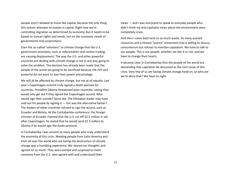people aren't allowed to move like capital, because the only thing this system attempts to sustain is capital. Right now we're controlling migration as determined by economy, but it needs to be based on human rights and needs, not on the economic needs of governments and corporations.

Even the so-called "solutions" to climate change that the U.S. government promotes, such as reforestation and carbon trading, are causing displacement. The way the U.S. and other powerful countries are dealing with climate change is not in any way going to solve the problem. The decision has already been made that the people of the world are going to be sacrificed because the rich and powerful do not want to lose their power and privilege.

We will all be affected by climate change, but not at all equally. Last year's Copenhagen summit truly signed a death warrant for countries. President Obama threatened poor countries, saying they would only get aid if they signed the Copenhagen accord. Who would sign their suicide? Some did. The Ethiopian leader may have sold out his people by signing it  $-$  but was the alternative better? The leaders of other countries refused to sign the accord, such as Ecuador and Bolivia. At the Cochabamba conference, the foreign minister of Ecuador claimed that the U.S. cut off \$2.5 million in aid after Copenhagen; he stated that he would send \$2.5 million to Obama if he would sign the Kyoto protocol.

In Cochabamba I was around so many people who truly understand the enormity of this crisis. Meeting people from Latin America and from all over the world who are facing the destruction of climate change was a humbling experience. We shared our thoughts and agreed on so much. They were excited and surprised to meet someone from the U.S. who agreed with and understood their

views — and I was overjoyed to speak to everyday people who didn't think my anti-capitalist views about the environment were completely crazy.

And then I came back here to so much waste. So many wasted resources and a climate "justice" movement that is willing to discuss consumerism but refuses to mention capitalism. We have to talk to our people. This is our people, whether we like it or not, and we have to change their hearts.

It became clear in Cochabamba that the people of the world are demanding that capitalism be discussed as the root cause of this crisis. Very few of us are facing climate change head on, so who are we to deny that? We have no right.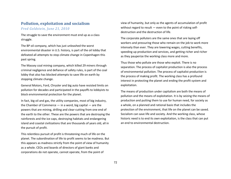### **Pollution, exploitation and socialism**

*Fred Goldstein, June 21, 2010*

The struggle to save the environment must end up as a class struggle.

The BP oil company, which has just unleashed the worst environmental disaster in U.S. history, is part of the oil lobby that defeated all attempts to stop climate change in Copenhagen this past spring.

The Massey coal mining company, which killed 29 miners through criminal negligence and defiance of safety rules, is part of the coal lobby that also has blocked attempts to save life on earth by stopping climate change.

General Motors, Ford, Chrysler and big auto have resisted limits on pollution for decades and participated in the payoffs to lobbyists to block environmental protection for the planet.

In fact, big oil and gas, the utility companies, most of big industry, the Chamber of Commerce  $-$  in a word, big capital  $-$  are the powers that are mining, drilling and clear-cutting from one end of the earth to the other. These are the powers that are destroying the rainforests and the ice caps, destroying habitats and endangering island and coastal civilizations that are thousands of years old, all in the pursuit of profit.

This relentless pursuit of profit is threatening much of life on the planet. The subordination of life to profit seems to be madness. But this appears as madness strictly from the point of view of humanity as a whole. CEOs and boards of directors of giant banks and corporations do not operate, cannot operate, from the point of

view of humanity, but only as the agents of accumulation of profit without regard to result  $-$  even to the point of risking selfdestruction and the destruction of life.

The corporate polluters are the same ones that are laying off workers and pressuring those who remain on the job to work more intensely than ever. They are lowering wages, cutting benefits, speeding up production and services, and getting richer and richer as they pauperize the working class more and more.

Thus those who pollute are those who exploit. There is no separation. The process of capitalist production is also the process of environmental pollution. The process of capitalist production is the process of making profit. The working class has a profound interest in protecting the planet and ending the profit system and exploitation.

The means of production under capitalism are both the means of pollution and the means of exploitation. It is by seizing the means of production and putting them to use for human need, for society as a whole, on a planned and rational basis that includes the protection of the environment, that life on the planet can be saved. Socialism can save life and society. And the working class, whose historic need is to end its own exploitation, is the class that can put an end to environmental destruction.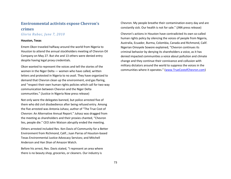### **Environmental activists expose Chevron's crimes** *Gloria Rubac, June 7, 2010*

#### **Houston, Texas**

Emem Okon traveled halfway around the world from Nigeria to Houston to attend the annual stockholders meeting of Chevron Oil Company on May 27. But she and 13 others were denied entry despite having legal proxy credentials.

Okon wanted to represent the voices and tell the stories of the women in the Niger Delta — women who have called, written letters and protested in Nigeria to no avail. They have organized to demand that Chevron clean up the environment, end gas flaring, and "respect their own human rights policies which call for two-way communication between Chevron and the Niger Delta communities." (Justice in Nigeria Now press release)

Not only were the delegates banned, but police arrested five of them who did civil disobedience after being refused entry. Among the five arrested was Antonia Juhasz, author of "The True Cost of Chevron: An Alternative Annual Report." Juhasz was dragged from the meeting as shareholders and their proxies chanted, "Chevron lies, people die." CEO John Watson abruptly ended the meeting.

Others arrested included Rev. Ken Davis of Community for a Better Environment from Richmond, Calif.; Juan Parras of Houston-based Texas Environmental Justice Advocacy Services; and Mitchell Anderson and Han Shan of Amazon Watch.

Before his arrest, Rev. Davis stated, "I represent an area where there is no beauty shop, groceries, or cleaners. Our industry is

Chevron. My people breathe their contamination every day and are constantly sick. Our health is not for sale." (JNN press release)

Chevron's actions in Houston have contradicted its own so-called human rights policy by silencing the voices of people from Nigeria, Australia, Ecuador, Burma, Colombia, Canada and Richmond, Calif. Nigerian Omoyele Sowore explained, "Chevron continues its criminal behavior by denying its shareholders a voice, as it has denied impacted communities a voice about pollution and climate change and they continue their connivance and collusion with military dictators around the world to suppress the voices in the communities where it operates." (www.TrueCostofChevron.com)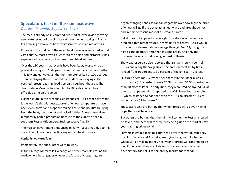# **Speculators feast on Russian heat wave**

### *Deirdre Griswold, August 11, 2010*

The race is already on in commodities markets worldwide to wring new fortunes out of the climate catastrophe now raging in Russia. It's a chilling example of how capitalism works in a time of crisis.

Russia is in the middle of the worst heat wave ever recorded in that vast country, most of which lies far to the north and historically has experienced relatively cool summers and frigid winters.

Over the 130 years that records have been kept, Moscow had a pleasant average of 75 degrees Fahrenheit in the summer months. This July and early August the thermometer spiked at 100 degrees — and is staying there. Hundreds of wildfires are raging in the parched forests, causing deadly smog throughout the area. The death rate in Moscow has doubled to 700 a day, which health officials blame on the smog.

Further south, in the breadbasket steppes of Russia that have made it the world's third-largest exporter of wheat, temperatures have been even hotter and crops are failing. Cattle and poultry are dying from the heat, the drought and lack of fodder. Some automakers temporarily halted production because of the extreme heat in southern Russia. (Bloomberg BusinessWeek, Aug. 5)

The Russian government announced in early August that, due to this crisis, it would not be exporting any more wheat this year.

#### **Capitalist vultures feast**

Immediately, the speculators went to work.

In the Chicago Mercantile Exchange and other markets around the world where betting goes on over the future of crops, huge sums

began changing hands as capitalists gamble over how high the price of wheat will go if the devastating heat wave and drought do not end in time to rescue most of this year's harvest.

Relief does not appear to be in sight. The state weather service predicted that temperatures in most parts of central Russia would run about 14 degrees above average through Aug. 12, rising to as high as 108 degrees Fahrenheit in some areas. And only the privileged have air conditioning in most of Russia.

The weather service also reported that rainfall in July in central Russia and along the Volga River, the areas hardest hit by fires, ranged from 10 percent to 30 percent of the long-term average.

"Futures prices [of U.S. wheat] fell sharply in the financial crisis, from nearly \$13 a bushel in early 2008 to around \$4.50 a bushel less than 10 months later. In early June, they were trading around \$4.28 due to an apparent glut," reported the Wall Street Journal on Aug. 9, which hastened to add that, with the Russian disaster, "Prices surged above \$7 last week."

Speculators who are betting that wheat prices will go even higher hope there will be no rain.

But others are betting that the rains will come, the Russian crop will be saved, and there will consequently be a glut on the market next year, causing prices to fall.

Farmers in grain-exporting countries all over the world, especially the U.S., Canada and Australia, are trying to figure out whether wheat will be making money next year or prices will continue to be low. If the latter, they are likely to plant corn instead of wheat, figuring they can sell it to the energy market for ethanol.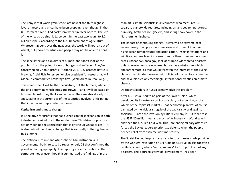The irony is that world grain stocks are now at the third-highest level on record and prices have been dropping, even though in the U.S. farmers have pulled back from wheat in favor of corn. The size of the wheat crop shrank 11 percent in the past two years, to 2.2 billion bushels, according to the U.S. Department of Agriculture. Whatever happens over the next year, the world will not run out of wheat, but poorer countries and people may not be able to afford it.

The speculators and exploiters of human labor don't look at the problem from the point of view of hunger and suffering. They're concerned only about profits. "A titanic 2011 U.S. acreage battle is brewing," said Rich Feltes, senior vice president for research at MF Global, a commodities brokerage firm. (Wall Street Journal, Aug. 9)

This means that it will be the speculators, not the farmers, who in the end determine which crops are grown — and it will be based on how much profit they think can be made. They are also already speculating in the currencies of the countries involved, anticipating that inflation will depreciate the money.

#### **Capitalism and climate change**

It is the drive for profits that has pushed capitalist expansion in both industry and agriculture in the modern age. This drive for profits is not only behind the speculation that is driving up wheat prices — it is also behind the climate change that is so cruelly buffeting Russia this summer.

The National Oceanic and Atmospheric Administration, a U.S. governmental body, released a report on July 28 that confirmed the planet is heating up rapidly. The report got scant attention in the corporate media, even though it summarized the findings of more

than 300 climate scientists in 48 countries who measured 10 separate planetwide features, including air and sea temperatures, humidity, Arctic sea ice, glaciers, and spring snow cover in the Northern hemisphere.

The impact of continuing change, it says, will be extreme heat waves, heavy downpours in some areas and drought in others, rising ocean temperatures and acidification, insect infestations and wildfires, and sea level increases of more than three feet in some areas. (noaanews.noaa.gov) It all adds up to widespread disasters unless governments rein in greenhouse gas emissions — which appears remote, as that would threaten the interests of the ruling classes that dictate the economic policies of the capitalist countries and have blocked any meaningful international treaties on climate change.

Do today's leaders in Russia acknowledge this problem?

After all, Russia used to be part of the Soviet Union, which developed its industry according to a plan, not according to the whims of the capitalist markets. That economic plan was of course damaged by the vicious struggle of the capitalist world against socialism — both the invasion by Hitler Germany in 1939 that cost the USSR 20 million lives and much of its industry in World War II, and then the U.S.-led Cold War. This unrelenting military offensive forced the Soviet leaders to prioritize defense when the people needed relief from extreme wartime scarcity.

The Soviet Union, despite many gains for the masses made possible by the workers' revolution of 1917, did not survive. Russia today is a capitalist country where "entrepreneurs" look to profit out of any disasters. This bourgeois view of "development" has been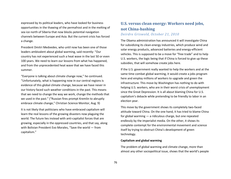expressed by its political leaders, who have looked for business opportunities in the thawing of the permafrost and in the melting of sea ice north of Siberia that now blocks potential navigation channels between Europe and Asia. But the current crisis has forced a change.

President Dmitri Medvedev, who until now has been one of those leaders ambivalent about global warming, said recently: "Our country has not experienced such a heat wave in the last 50 or even 100 years. We need to learn our lessons from what has happened, and from the unprecedented heat wave that we have faced this summer.

"Everyone is talking about climate change now," he continued. "Unfortunately, what is happening now in our central regions is evidence of this global climate change, because we have never in our history faced such weather conditions in the past. This means that we need to change the way we work, change the methods that we used in the past." ("Russian fires prompt Kremlin to abruptly embrace climate change," Christian Science Monitor, Aug. 9)

It is not likely that politicians who have embraced capitalism will learn the real lessons of the growing disasters now plaguing the world. The future lies instead with anti-capitalist forces that are growing, especially in the oppressed countries, and that say, along with Bolivian President Evo Morales, "Save the world — from capitalism."

## **U.S. versus clean energy: Workers need jobs, not China-bashing** *Deirdre Griswold, October 21, 2010*

The Obama administration has announced it will investigate China for subsidizing its clean-energy industries, which produce wind and solar energy products, advanced batteries and energy-efficient vehicles. This is supposed to be a move for "free trade" and to help U.S. workers, the logic being that if China is forced to give up these subsidies, that will somehow create jobs here.

If the U.S. government really wanted to help the workers and at the same time combat global warming, it would create a jobs program here and employ millions of workers to upgrade and green the infrastructure. This move by Washington has nothing to do with helping U.S. workers, who are in their worst crisis of unemployment since the Great Depression. It is all about blaming China for U.S. capitalism's debacle while pretending to be friendly to labor in an election year.

This move by the government shows its completely two-faced attitude toward China. On the one hand, it has tried to blame China for global warming — a ridiculous charge, but one repeated endlessly by the imperialist media. On the other, it shows its complete contempt for the environmental movement and science itself by trying to obstruct China's development of green technology.

#### **Capitalism and global warming**

The problem of global warming and climate change, more than almost any other sociopolitical issue, shows that the world's people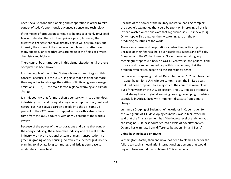need socialist economic planning and cooperation in order to take control of today's enormously advanced science and technology.

If the means of production continue to belong to a highly privileged few who develop them for their private profit, however, the disastrous changes that have already begun will only multiply and intensify the misery of the masses of people — no matter how many spectacular breakthroughs are made in the fields of physics, chemistry and biology.

There cannot be a turnaround in this dismal situation until the rule of capital has been broken.

It is the people of the United States who most need to grasp this concept, because it is the U.S. ruling class that has done far more than any other to sabotage the setting of limits on greenhouse gas emissions (GGEs) — the main factor in global warming and climate change.

It is this country that for more than a century, with its tremendous industrial growth and its equally huge consumption of oil, coal and natural gas, has spewed carbon dioxide into the air. Some 25 percent of the CO2 presently trapped in the earth's atmosphere came from the U.S., a country with only 5 percent of the world's people.

Because of the power of the corporations and banks that control the energy industry, the automobile industry and the real estate industry, we have no rational system of mass transportation, no green upgrading of city housing, no efficient electrical grid, no city planning to alleviate long commutes, and little green space to moderate summer heat.

Because of the power of the military-industrial-banking complex, the people's tax money that could be spent on improving all this is instead wasted on vicious wars that big businesses — especially Big Oil — hope will strengthen their weakening grip on the oilproducing countries of the world.

These same banks and corporations control the political system. Because of their financial hold over legislators, judges and officials, Congress and the White House can't even consider taking any meaningful steps to cut back on GGEs. Even worse, the political field is more and more dominated by politicians who deny that the problem even exists, despite all the scientific evidence.

So it was not surprising that last December, when 192 countries met in Copenhagen for a U.N. climate summit, even the limited goals that had been proposed by a majority of the countries were blown out of the water by the U.S. delegation. The U.S. rejected attempts to set strong limits on global warming, leaving developing countries, especially in Africa, faced with imminent disasters from climate change.

Lumumba Di-Aping of Sudan, chief negotiator in Copenhagen for the G77 group of 131 developing countries, was in tears when he said that the final agreement had "the lowest level of ambition you can imagine. ... It locks countries into a cycle of poverty forever. Obama has eliminated any difference between him and Bush."

#### **China-bashing based on myths**

Washington's tactic, then and now, has been to blame China for the failure to reach a meaningful international agreement that would begin to turn around the problem of CO2 emissions.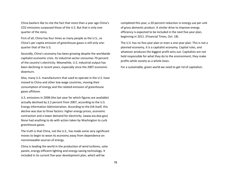China bashers like to cite the fact that more than a year ago China's CO2 emissions surpassed those of the U.S. But that is only onequarter of the story.

First of all, China has four times as many people as the U.S., so China's per capita emission of greenhouse gases is still only onequarter that of the U.S.

Secondly, China's economy has been growing despite the worldwide capitalist economic crisis. Its industrial sector consumes 70 percent of the country's electricity. Meanwhile, U.S. industrial output has been declining in recent years, especially since the 2007 economic downturn.

Also, many U.S. manufacturers that used to operate in the U.S. have moved to China and other low-wage countries, moving their consumption of energy and the related emission of greenhouse gases offshore.

U.S. emissions in 2008 (the last year for which figures are available) actually declined by 2.2 percent from 2007, according to the U.S. Energy Information Administration. According to the EIA itself, this decline was due to three factors: higher energy prices, economic contraction and a lower demand for electricity. (www.eia.doe.gov) None had anything to do with action taken by Washington to curb greenhouse gases.

The truth is that China, not the U.S., has made some very significant moves to begin to wean its economy away from dependence on nonrenewable sources of energy.

China is leading the world in the production of wind turbines, solar panels, energy-efficient lighting and energy-saving technology. It included in its current five-year development plan, which will be

completed this year, a 20-percent reduction in energy use per unit of gross domestic product. A similar drive to improve energy efficiency is expected to be included in the next five-year plan, beginning in 2011. (Financial Times, Oct. 18)

The U.S. has no five-year plan or even a one-year plan. This is not a planned economy, it is a capitalist economy. Capital rules, and whatever produces the biggest profit wins out. Capitalists are not held responsible for what they do to the environment; they make profits while society as a whole loses.

For a sustainable, green world we need to get rid of capitalism.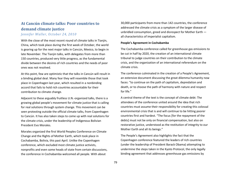# **At Cancún climate talks: Poor countries to demand climate justice**

*Jennifer Waller, October 24, 2010*

With the close of the most recent round of climate talks in Tianjin, China, which took place during the first week of October, the world is gearing up for the next major talks in Cancún, Mexico, to begin in late November. The Tianjin talks, with delegates from more than 150 countries, produced very little progress, as the fundamental divide between the desires of rich countries and the needs of poor ones was not resolved.

At this point, few are optimistic that the talks in Cancún will result in a binding global deal. Many fear they will resemble those that took place in Copenhagen last year, which resulted in a nonbinding accord that fails to hold rich countries accountable for their contribution to climate change.

Adjacent to these arguably fruitless U.N.-organized talks, there is a growing global people's movement for climate justice that is calling for real solutions through system change. This movement can be seen protesting outside the official climate talks, from Copenhagen to Cancún. It has also taken steps to come up with real solutions for the climate crisis, under the leadership of Indigenous Bolivian President Evo Morales.

Morales organized the first World Peoples Conference on Climate Change and the Rights of Mother Earth, which took place in Cochabamba, Bolivia, this past April. Unlike the Copenhagen conference, which excluded most climate justice activists, nonprofits and even some heads of state from certain discussions, the conference in Cochabamba welcomed all people. With about

30,000 participants from more than 142 countries, the conference addressed the climate crisis as a symptom of the larger disease of unbridled consumption, greed and disrespect for Mother Earth all characteristics of imperialist capitalism.

#### **People's Agreement in Cochabamba**

The Cochabamba conference called for greenhouse gas emissions to be cut in half by 2020, the creation of an international climate tribunal to judge countries on their contribution to the climate crisis, and the organization of an international referendum on the climate crisis.

The conference culminated in the creation of a People's Agreement, an extensive document discussing the great dilemma humanity now faces: "to continue on the path of capitalism, depredation and death, or to choose the path of harmony with nature and respect for life."

A central theme of the text is the concept of climate debt: The attendees of the conference united around the idea that rich countries must assume their responsibility for creating this colossal environmental crisis that is and will continue to be hitting poorer countries first and hardest. "The focus [for the repayment of the debts] must not be only on financial compensation, but also on restorative justice, understood as the restitution of integrity to our Mother Earth and all its beings."

The People's Agreement also highlights the fact that the Copenhagen conference featured the leaders of rich countries (under the leadership of President Barack Obama) attempting to undermine the steps taken in the Kyoto Protocol, the only legally binding agreement that addresses greenhouse gas emissions by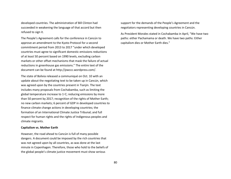developed countries. The administration of Bill Clinton had succeeded in weakening the language of that accord but then refused to sign it.

The People's Agreement calls for the conference in Cancún to approve an amendment to the Kyoto Protocol for a second commitment period from 2013 to 2017 "under which developed countries must agree to significant domestic emissions reductions of at least 50 percent based on 1990 levels, excluding carbon markets or other offset mechanisms that mask the failure of actual reductions in greenhouse gas emissions." The entire text of the document can be found at http://pwccc.wordpress.com/.

The state of Bolivia released a communiqué on Oct. 10 with an update about the negotiating text to be taken up in Cancún, which was agreed upon by the countries present in Tianjin. The text includes many proposals from Cochabamba, such as limiting the global temperature increase to 1◦C; reducing emissions by more than 50 percent by 2017; recognition of the rights of Mother Earth; no new carbon markets; 6 percent of GDP in developed countries to finance climate change actions in developing countries; the formation of an International Climate Justice Tribunal; and full respect for human rights and the rights of Indigenous peoples and climate migrants.

#### **Capitalism vs. Mother Earth**

However, the road ahead to Cancún is full of many possible dangers. A document could be imposed by the rich countries that was not agreed upon by all countries, as was done at the last minute in Copenhagen. Therefore, those who hold to the beliefs of the global people's climate justice movement must show serious

support for the demands of the People's Agreement and the negotiators representing developing countries in Cancún.

As President Morales stated in Cochabamba in April, "We have two paths: either Pachamama or death. We have two paths: Either capitalism dies or Mother Earth dies."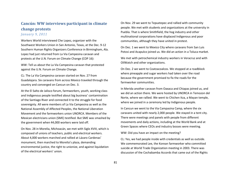# **Cancún: WW interviews participant in climate change protests**

*January 9, 2011*

Workers World interviewed Che Lopez, organizer with the Southwest Workers Union in San Antonio, Texas, at the Dec. 9-12 Southern Human Rights Organizers Conference in Birmingham, Ala. Lopez had just returned from La Via Campesina caravan and protests at the U.N. Forum on Climate Change (COP 16):

WW: Tell us about the La Via Campesina caravan that protested against the U.N. Forum on Climate Change.

CL: The La Via Campesina caravan started on Nov. 27 from Guadalajara. Six caravans from across Mexico traveled through the country and converged on Cancun on Dec. 3.

At the El Salto de Jalisco forum, farmworkers, youth, working class and Indigenous people testified about big business' contamination of the Santiago River and connected it to the struggle for food sovereignty. All were members of La Via Campesina as well as the National Assembly of Affected Peoples, the National Liberation Movement and the farmworkers union UNORCA. Members of the Mexican electricians union (SME) testified. But SME was smashed by the government when 44,000 workers were laid off.

On Nov. 28 in Morelia, Michoacán, we met with Siglo XVIII, which is composed of unions of teachers, public and electrical workers. About 4,000 workers marched and rallied at Lázaro Cardenas' monument, then marched to Morelia's plaza, demanding environmental justice, the right to unionize, and against liquidation of the electrical workers' union.

On Nov. 29 we went to Tepuxtepec and rallied with community people. We met with students and organizations at the university in Puebla. That is where Smithfield, the hog industry and other multinational corporations have displaced Indigenous and poor communities, although they have united in protest.

On Dec. 1 we went to Mexico City where caravans from San Luis Potosi and Acapulco joined us. We did an action in a Toluca market.

We met with petrochemical industry workers in Veracruz and with OilWatch and other organizations.

On Dec. 2 we went to Coatzacoalcos. We stopped at a roadblock where pineapple and sugar workers had taken over the road because the government promised to fix the roads for the farmworker communities.

In Merida another caravan from Oaxaca and Chiapas joined us, and we did an action there. We were hosted by UNORCA in Temozon del Norte, where we rallied. We went to Chichen Itza, a Mayan temple, where we joined in a ceremony led by Indigenous people.

In Cancun we went to the Via Campasina Camp, where the six caravans united with nearly 2,000 people. We stayed in a tent city. There were meetings and panels with people from different movements and daily actions, including at the World Bank and at Green Spaces where CEOs and industry bosses were meeting.

WW: Did you have an impact on the meeting?

CL: Yes, we had people inside with credentials as well as outside. We commemorated Lee, the Korean farmworker who committed suicide at World Trade Organization meeting in 2003. There was discussion of the Cochabamba Accords that came out of the Rights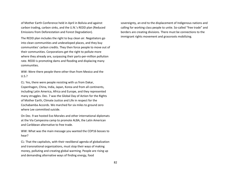of Mother Earth Conference held in April in Bolivia and against carbon trading, carbon sinks, and the U.N.'s REDD plan (Reduced Emissions from Deforestation and Forest Degradation).

The REDD plan includes the right to buy clean air. Negotiators go into clean communities and undeveloped places, and they buy communities' carbon credits. They then force people to move out of their communities. Corporations get the right to pollute more where they already are, surpassing their parts-per-million pollution rate. REDD is promoting dams and flooding and displacing many communities.

WW: Were there people there other than from Mexico and the U.S.?

CL: Yes, there were people resisting with us from Dakar, Copenhagen, China, India, Japan, Korea and from all continents, including Latin America, Africa and Europe, and they represented many struggles. Dec. 7 was the Global Day of Action for the Rights of Mother Earth, Climate Justice and Life in respect for the Cochabamba Accords. We marched for six miles to ground zero where Lee committed suicide.

On Dec. 9 we hosted Evo Morales and other international diplomats at the Via Campesina camp to promote ALBA, the Latin American and Caribbean alternative to free trade.

WW: What was the main message you wanted the COP16 bosses to hear?

CL: That the capitalists, with their neoliberal agenda of globalization and transnational organizations, must stop their ways of making money, polluting and creating global warming. People are rising up and demanding alternative ways of finding energy, food

sovereignty, an end to the displacement of Indigenous nations and calling for working class people to unite. So-called "free trade" and borders are creating divisions. There must be connections to the immigrant rights movement and grassroots mobilizing.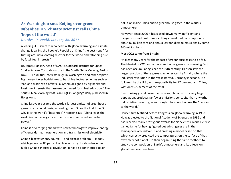# **As Washington sues Beijing over green subsidies, U.S. climate scientist calls China 'hope of the world'**

### *Deirdre Griswold, January 26, 2011*

A leading U.S. scientist who deals with global warming and climate change is calling the People's Republic of China "the best hope" for turning around a looming disaster for the world and "stopping rule by fossil fuel interests."

Dr. James Hansen, head of NASA's Goddard Institute for Space Studies in New York, also wrote in the South China Morning Post on Nov. 3, "Fossil fuel interests reign in Washington and other capitals. Big money forces legislatures to hatch ineffectual schemes such as 'cap-and-trade-with-offsets,' a system designed by big banks and fossil fuel interests that assures continued fossil fuel addiction." The South China Morning Post is an English-language daily published in Hong Kong.

China last year became the world's largest emitter of greenhouse gases on an annual basis, exceeding the U.S. for the first time. So why is it the world's "best hope"? Hansen says, "China leads the world in clean energy investments — nuclear, wind and solar power."

China is also forging ahead with new technology to improve energy efficiency during the generation and transmission of electricity.

China's biggest energy source  $-$  and biggest problem  $-$  is coal, which generates 80 percent of its electricity. Its abundance has fueled China's industrial revolution. It has also contributed to air pollution inside China and to greenhouse gases in the world's atmosphere.

However, since 2006 it has closed down many inefficient and dangerous small coal mines, cutting annual coal consumption by about 82 million tons and annual carbon dioxide emissions by some 165 million tons.

#### **Most CO2 came from Britain**

It takes many years for the impact of greenhouse gases to be felt. The blanket of CO2 and other greenhouse gases now warming Earth has been accumulating since the 19th century. Hansen says the largest portion of these gases was generated by Britain, where the industrial revolution in the West started. Germany is second. It is followed by the U.S., with responsibility for 27 percent, and China, with only 9.5 percent of the total.

Even looking just at current emissions, China, with its very large population, produces far fewer emissions per capita than any other industrialized country, even though it has now become the "factory to the world."

Hansen first testified before Congress on global warming in 1988. He was elected to the National Academy of Sciences in 1996 and has received many prestigious awards for his scientific work. He first gained fame for having figured out which gases are in the atmosphere around Venus and creating a model based on that which correctly predicted the temperatures on the surface of that extremely hot planet. He then began using the same methods to study the composition of Earth's atmosphere and its effects on global temperatures here.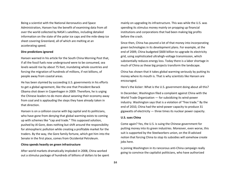Being a scientist with the National Aeronautics and Space Administration, Hansen has the benefit of examining data from all over the world collected by NASA's satellites, including detailed information on the state of the polar ice caps and the mile-deep ice sheet covering Greenland, all of which are melting at an accelerating speed.

#### **Dire predictions ignored**

Hansen warned in his article for the South China Morning Post that, if all the fossil fuels now underground were to be consumed, sea levels would rise by about 75 feet, inundating whole countries and forcing the migration of hundreds of millions, if not billions, of people away from coastal areas.

He has been stymied by succeeding U.S. governments in his efforts to get a global agreement, like the one that President Barack Obama shot down in Copenhagen in 2009. Therefore, he is urging the Chinese leaders to do more about weaning their economy away from coal and is applauding the steps they have already taken in that direction.

Hansen is on a collision course with big capital and its politicians, who have gone from denying that global warming exists to coming up with schemes like "cap and trade." This supposed solution, pushed by Al Gore, does nothing but shift around the responsibility for atmospheric pollution while creating a profitable market for the traders. By the way, the Gore family fortune, which got him into the Senate in the first place, comes from Occidental Petroleum.

#### **China spends heavily on green infrastructure**

After world markets dramatically imploded in 2008, China worked out a stimulus package of hundreds of billions of dollars to be spent mainly on upgrading its infrastructure. This was while the U.S. was spending its stimulus money mainly on propping up financial institutions and corporations that had been making big profits before the crash.

Since then, China has poured a lot of that money into incorporating green technologies in its development plans. For example, at the end of 2009, China budgeted \$600 billion to upgrade its electricity grid, using sophisticated ultrahigh-voltage transmission, which substantially reduces energy loss. Today there is a labor shortage in much of China as these big projects transform the landscape.

China has shown that it takes global warming seriously by putting its money where its mouth is. That is why scientists like Hansen are encouraged.

Here's the kicker: What is the U.S. government doing about all this?

In December, Washington filed a complaint against China with the World Trade Organization — for subsidizing its wind-power industry. Washington says that is a violation of "free trade." By the end of 2010, China had the wind-power capacity to produce 31 gigawatts of electricity — three times its nuclear power capacity.

#### **U.S. sues China**

Come again? Yes, the U.S. is suing the Chinese government for putting money into its green industries. Moreover, even worse, this suit is supported by the Steelworkers union, on the ill-advised notion that forcing China to stop its subsidies will somehow create jobs here.

Is joining Washington in its rancorous anti-China campaign really going to convince the capitalist politicians, who have authorized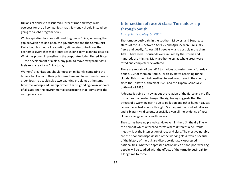trillions of dollars to rescue Wall Street firms and wage wars overseas for the oil companies, that this money should instead be going for a jobs program here?

While capitalism has been allowed to grow in China, widening the gap between rich and poor, the government and the Communist Party, both born out of revolution, still retain control over the economic levers that make large-scale, long-term planning possible. What has proven impossible in the corporate-ridden United States — the development of a plan, any plan, to move away from fossil fuels — is a reality in China today.

Workers' organizations should focus on militantly combating the bosses, bankers and their politicians here and force them to create green jobs that could solve two daunting problems at the same time: the widespread unemployment that is grinding down workers of all ages and the environmental catastrophe that looms over the next generation.

### **Intersection of race & class: Tornadoes rip through South** *Larry Hales, May 5, 2011*

The tornado outbreaks in the southern Midwest and Southeast states of the U.S. between April 25 and April 27 were unusually fierce and deadly. At least 339 people — and possibly more than 400 — have died. Thousands were injured by the storms and hundreds are missing. Many are homeless as whole areas were razed and completely devastated.

There are reports of over 425 tornadoes occurring over a four-day period, 259 of them on April 27, with 16 states reporting funnel clouds. This is the third deadliest tornado outbreak in the country since the Tristate outbreak of 1925 and the Tupelo-Gainesville outbreak of 1936.

A debate is going on now about the relation of the fierce and prolific tornadoes to climate change. The right-wing suggests that the effects of a warming earth due to pollution and other human causes cannot be as bad as once thought. Such a position is full of fallacies and is blatantly ridiculous, especially given all the evidence of how climate change affects earthquakes.

The storms have no prejudice. However, in the U.S., the dry line the point at which a tornado forms where different air currents meet — is at the intersection of race and class. The most vulnerable are the poor and dispossessed of the working class, which because of the history of the U.S. are disproportionately oppressed nationalities. Whether oppressed nationalities or not, poor working people will be saddled with the effects of the tornado outbreak for a long time to come.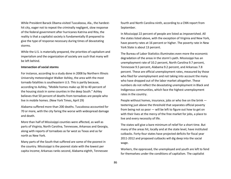While President Barack Obama visited Tuscaloosa, Ala., the hardesthit city, eager not to repeat the criminally negligent, slow response of the federal government after hurricanes Katrina and Rita, the reality is that a capitalist society is fundamentally ill prepared to give the type of response necessary during times of devastating storms.

While the U.S. is materially prepared, the priorities of capitalism and imperialism and the organization of society are such that many will be left behind.

#### **Intersection of social storms**

For instance, according to a study done in 2008 by Northern Illinois University meteorologist Walker Ashley, the area with the most tornado fatalities is southeastern U.S. This is partly because, according to Ashley, "Mobile homes make up 30 to 40 percent of the housing stock in some counties in the deep South." Ashley believes that 50 percent of deaths from tornadoes are people who live in mobile homes. (New York Times, April 29)

Alabama suffered more than 200 deaths. Tuscaloosa accounted for 70 or more, with the city faring the worse with widespread damage and death.

More than half of Mississippi counties were affected, as well as parts of Virginia, North Carolina, Tennessee, Arkansas and Georgia, along with reports of tornadoes as far west as Texas and as far north as New York.

Many parts of the South that suffered are some of the poorest in the country. Mississippi is the poorest state with the lowest per capita income; Arkansas ranks second, Alabama eighth, Tennessee fourth and North Carolina ninth, according to a CNN report from September.

In Mississippi 22 percent of people are listed as impoverished. All the states listed above, with the exception of Virginia and New York, have poverty rates at 16 percent or higher. The poverty rate in New York State is about 13 percent.

The Bureau of Labor Statistics illuminates even more the economic degradation of the areas in the storm's path. Mississippi has an unemployment rate of 10.2 percent, North Carolina 9.7 percent, Tennessee 9.5 percent, Alabama 9.2 percent, and Arkansas 7.8 percent. These are official unemployment rates, measured by those who filed for unemployment and not taking into account the many who have dropped out of the labor market altogether. These numbers do not reflect the devastating unemployment in Black and Indigenous communities, which face the highest unemployment rates in the country.

People without homes, insurance, jobs or who live on the brink teetering just above the threshold that separates official poverty from being not so poor — will be left to figure out how to get on with their lives at the mercy of the free market for jobs, a place to live and every necessity of life.

The states will give a bare minimum of relief for a short time. But many of the areas hit, locally and at the state level, have instituted cutbacks. Forty-four states have projected deficits for fiscal year 2011-2012 and proposed cutbacks will dig deep into the social wage.

Workers, the oppressed, the unemployed and youth are left to fend for themselves under the conditions of capitalism. The capitalist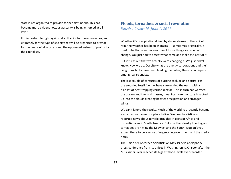state is not organized to provide for people's needs. This has become more evident now, as austerity is being enforced at all levels.

It is important to fight against all cutbacks, for more resources, and ultimately for the type of society that will be organized to provide for the needs of all workers and the oppressed instead of profits for the capitalists.

### **Floods, tornadoes & social revolution**

*Deirdre Griswold, June 1, 2011*

Whether it's precipitation driven by strong storms or the lack of rain, the weather has been changing — sometimes drastically. It used to be that weather was one of those things you couldn't change. You just had to accept what came and make the best of it.

But it turns out that we actually were changing it. We just didn't know. Now we do. Despite what the energy corporations and their lying think tanks have been feeding the public, there is no dispute among real scientists.

The last couple of centuries of burning coal, oil and natural gas the so-called fossil fuels — have surrounded the earth with a blanket of heat-trapping carbon dioxide. This in turn has warmed the oceans and the land masses, meaning more moisture is sucked up into the clouds creating heavier precipitation and stronger winds.

We can't ignore the results. Much of the world has recently become a much more dangerous place to live. We hear fatalistically reported news about terrible droughts in parts of Africa and torrential rains in South America. But now that deadly flooding and tornadoes are hitting the Midwest and the South, wouldn't you expect there to be a sense of urgency in government and the media here?

The Union of Concerned Scientists on May 19 held a telephone press conference from its offices in Washington, D.C., soon after the Mississippi River reached its highest flood levels ever recorded.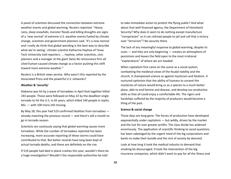A panel of scientists discussed the connection between extreme weather events and global warming. Reuters reported: "Heavy rains, deep snowfalls, monster floods and killing droughts are signs of a 'new normal' of extreme U.S. weather events fueled by climate change, scientists and government planners said. 'It's a new normal and I really do think that global weirding is the best way to describe what we're seeing,' climate scientist Katharine Hayhoe of Texas Tech University told reporters. ... Hayhoe, other scientists, civic planners and a manager at the giant Swiss Re reinsurance firm all cited human-caused climate change as a factor pushing this shift toward more extreme weather."

Reuters is a British news service. Why wasn't this reported by the Associated Press and the powerful U.S. networks?

#### **Weather & 'security'**

Alabama was hit by a wave of tornadoes in April that together killed 243 people. Those were followed on May 22 by the deadliest single tornado to hit the U.S. in 65 years, which killed 140 people in Joplin, Mo. — with 100 more still missing.

By May 28, this year had 519 confirmed fatalities from tornadoes already matching the previous record — and there's still a month to go in tornado season.

Scientists are cautiously saying that global warming causes more tornadoes. While the number of tornadoes reported has been increasing, more accurate reporting of these storms could have contributed to that. But better records have long been kept of actual tornado deaths, and these are definitely on the rise.

If 519 people had died in plane crashes this year, wouldn't there be a huge investigation? Wouldn't the responsible authorities be told

to take immediate action to protect the flying public? And what about that well-financed agency, the Department of Homeland Security? Why does it seem to do nothing except manufacture "conspiracies" so it can railroad people to jail and call that a victory over "terrorism"? No security there.

The lack of any meaningful response to global warming, despite its costs — and they are only beginning — creates an atmosphere of pessimism and leaves the field open to the most irrational "explanations" of where we are headed.

When capitalism first came on the scene as a social system, combatting the medieval views of the feudal nobility and the church, it championed science as against mysticism and fatalism. It nurtured optimism that the ability of humans to unravel the mysteries of nature would bring us as a species to a much better place, able to end famine and disease, and develop our productive skills so that all could enjoy a comfortable life. The rigors and hardships suffered by the majority of producers would become a thing of the past.

#### **Science & social change**

Those days are long gone. The forces of production have developed exponentially under capitalism — but wildly, driven by the market and the lust for ever greater profits. The class divide has widened enormously. The application of scientific thinking to social questions has been sabotaged by the urgent need of the big corporations and banks to make their bundle and the rest of society be damned.

Look at how long it took the medical industry to demand that smoking be discouraged. It took the intervention of the big insurance companies, which didn't want to pay for all the illness and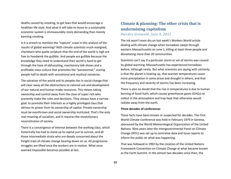deaths caused by smoking, to get laws that would encourage a healthier life style. And what it will take to move to a sustainable economic system is immeasurably more demanding than merely banning smoking.

Is it a stretch to mention the "rapture" craze in this analysis of the results of global warming? With climate scientists much maligned, charlatans who quote scripture that the end of the world is nigh are free to hoodwink the gullible. And people are gullible because the knowledge they need to understand their world is hard to get through the haze of obfuscating, reactionary talk shows and a profitable mass culture that promotes the "paranormal," scaring people half to death with sensational and mystical nonsense.

The salvation of the world and its peoples lies in social change that will clear away all the obstructions to rational use and development of our natural and human-made resources. This means taking ownership and control away from the class of super-rich who presently make the rules and decisions. They always have a narrow goal: to promote their interests as a highly privileged class that derives its power from its ownership of capital. Private ownership must be overthrown and social ownership instituted. That's the only real meaning of socialism, and it requires the revolutionary reconstitution of society.

There is a convergence of interest between the working class, which historically has had to stand up to capital just to survive, and all those intermediate strata who are deeply concerned about the freight train of climate change bearing down on us. All progressive struggles are lifted once the workers are in motion. What once seemed impossible becomes possible at last.

# **Climate & planning: The other crisis that is undermining capitalism** *Deirdre Griswold, June 9, 2011*

The ink wasn't even dry on last week's Workers World article dealing with climate change when tornadoes swept through western Massachusetts on June 1, killing at least three people and devastating more than 20 communities.

Scientists can't say if a particular storm or set of storms was caused by global warming. Massachusetts has experienced tornadoes before, although rarely. But what scientists are saying with certainty is that the planet is heating up, that warmer temperatures cause more precipitation in some areas and drought in others, and that the frequency and severity of storms has been increasing.

There is also no doubt that the rise in temperatures is due to human burning of fossil fuels, which causes greenhouse gases (GHGs) to collect in the atmosphere and trap heat that otherwise would radiate away from the earth.

#### **Three decades of conferences**

These facts have been known or suspected for decades. The First World Climate Conference was held in February 1979 in Geneva, sponsored by the World Meteorological Organization of the United Nations. Nine years later the Intergovernmental Panel on Climate Change (IPCC) was set up to centralize data and issue reports to inform the public on what was happening.

That was followed in 1992 by the creation of the United Nations Framework Convention on Climate Change at what became known as the Earth Summit. In the almost two decades since then, the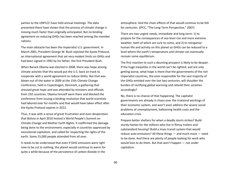parties to the UNFCCC have held annual meetings. The data presented there have shown that the process of climate change is moving much faster than originally anticipated. But no binding agreement on reducing GHGs has been reached among the member nations.

The main obstacle has been the imperialist U.S. government. In March 2001, President George W. Bush rejected the Kyoto Protocol, an international agreement that set very modest limits on GHGs and had been signed in 1992 by his father, the first President Bush.

When Barack Obama was elected in 2008, there was hope among climate activists that this would put the U.S. back on track to cooperate with a world agreement to reduce GHGs. But that was blown out of the water in 2009 at the 15th Climate Change Conference, held in Copenhagen, Denmark, a gathering that aroused great hope and was attended by ministers and officials from 192 countries. Obama himself went there and blocked the conference from issuing a binding resolution that world scientists had labored over for months and that would have taken effect after the Kyoto Protocol expires in 2012.

Thus, it was with a sense of great frustration and even desperation that Bolivia in April 2010 hosted a World People's Summit on Climate Change and Mother Earth Rights. It reaffirmed the damage being done to the environment, especially in countries oppressed by neocolonial capitalism, and called for respecting the rights of the earth. Some 15,000 people attended from all over.

It needs to be understood that even if GHG emissions were right now to be cut to nothing, the planet would continue to warm for quite a while because of the persistence of carbon dioxide in the

atmosphere. And the chain effects of that would continue to be felt for centuries. (IPCC, "The Long-Term Perspective," 2007)

There are two urgent needs, immediate and long-term: 1) to prepare for the consequences of sea-level rise and more extreme weather, both of which are sure to come, and 2) to reorganize human life and activity on this planet so GHGs can be reduced to a level where the earth's temperature and climate can eventually recover some equilibrium.

The first reaction to such a daunting prospect is likely to be despair. If the huge inequities in the world can't be righted, and are only getting worse, what hope is there that the governments of the rich imperialist countries, the ones responsible for the vast majority of the GHGs emitted over the last two centuries, will shoulder the burden of rectifying global warming and rebuild their societies accordingly?

No, there is no chance of that happening. The capitalist governments are already in chaos over the irrational workings of their economic system, and won't even address the severe social problems of unemployment, ballooning health costs and the education crisis.

Prepare better shelters for when a deadly storm strikes? Build sturdy homes for the millions who live in flimsy trailers and substandard housing? Build a mass transit system that would reduce auto emissions? All these things — and much more — need to be done. And there are plenty of people looking for work who would love to do them. But that won't happen — not under capitalism.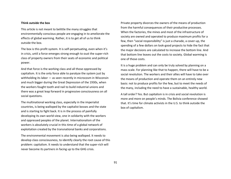#### **Think outside the box**

This article is not meant to belittle the many struggles that environmentally conscious people are engaging in to ameliorate the effects of global warming. Rather, it is to get all of us to think outside the box.

The box is this profit system. It is self-perpetuating, even when it's in crisis, until a force emerges strong enough to oust the super-rich class of property owners from their seats of economic and political power.

And that force is the working class and all those oppressed by capitalism. It is the only force able to paralyze the system just by withholding its labor — as seen recently in microcosm in Wisconsin and much bigger during the Great Depression of the 1930s, when the workers fought tooth and nail to build industrial unions and there was a great leap forward in progressive consciousness on all social questions.

The multinational working class, especially in the imperialist countries, is being walloped by the capitalist bosses and the state and is starting to fight back. It is in the process of painfully developing its own world view, one in solidarity with the workers and oppressed peoples of the planet. Internationalism of the workers is absolutely crucial in this time of a global network of exploitation created by the transnational banks and corporations.

The environmental movement is also being walloped. It needs to develop class consciousness, to identify clearly the root cause of this problem: capitalism. It needs to understand that the super-rich will never become its partners in facing up to the GHG crisis.

Private property divorces the owners of the means of production from the harmful consequences of their productive processes. When the factories, the mines and most of the infrastructure of society are owned and operated to produce maximum profits for a few, then "social responsibility" is just a charade, a cover-up, the spending of a few dollars on look-good projects to hide the fact that the major decisions are calculated to increase the bottom line. And that bottom line leaves out the costs to society. Global warming is one of those costs.

It is a huge problem and can only be truly solved by planning on a mass scale. For planning like that to happen, there will have to be a social revolution. The workers and their allies will have to take over the means of production and operate them on an entirely new basis: not to produce profits for the few, but to meet the needs of the many, including the need to have a sustainable, healthy world.

A tall order? Yes. But capitalism is in crisis and social revolution is more and more on people's minds. The Bolivia conference showed that. It's time for climate activists in the U.S. to think outside the box of capitalism.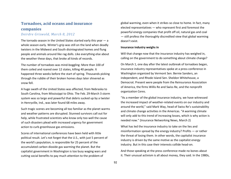# **Tornadoes, acid oceans and insurance companies**

### *Deirdre Griswold, March 8, 2012*

The tornado season in the United States started early this year  $-$  a whole season early. Winter's grip was still on the land when deadly twisters in the Midwest and South disintegrated homes and flung people and animals around like rag dolls. Like everything else about the weather these days, that broke all kinds of records.

The number of tornadoes was mind-boggling: More than 100 of them coiled and roared over 12 states, killing 40 people. It happened three weeks before the start of spring. Thousands picking through the rubble of their broken homes days later shivered as snow fell.

A huge swath of the United States was affected, from Nebraska to South Carolina, from Mississippi to Ohio. The Feb. 29-March 3 storm system was so large and powerful that debris sucked up by a twister in Henryville, Ind., was later found 68 miles away.

Such tragic scenes are becoming all too familiar as the planet warms and weather patterns are disrupted. Stunned survivors call out for help, while frustrated scientists who know only too well the cause of such disasters plead with increased urgency for government action to curb greenhouse gas emissions.

Scores of international conferences have been held with little political result. Let's not forget that the U.S., with just 5 percent of the world's population, is responsible for 25 percent of the accumulated carbon dioxide gas warming the planet. But the capitalist government in Washington is too busy waging wars and cutting social benefits to pay much attention to the problem of

global warming, even when it strikes so close to home. In fact, many elected representatives — who represent first and foremost the powerful energy companies that profit off oil, natural gas and coal — still profess the thoroughly discredited view that global warming doesn't exist.

#### **Insurance industry weighs in**

Will that change now that the insurance industry has weighed in, calling on the government to do something about climate change?

On March 1, one day after the latest outbreak of tornadoes began, insurance industry representatives spoke at a press conference in Washington organized by Vermont Sen. Bernie Sanders, an independent, and Rhode Island Sen. Sheldon Whitehouse, a Democrat. Present were people from the Reinsurance Association of America, the firms Willis Re and Swiss Re, and the nonprofit organization Ceres.

"As a member of the global insurance industry, we have witnessed the increased impact of weather-related events on our industry and around the world," said Mark Way, head of Swiss Re's sustainability and climate change activities in the Americas. "A warming climate will only add to this trend of increasing losses, which is why action is needed now." (Insurance Networking News, March 2)

What has led the insurance industry to take on the lies and misinformation spread by the energy industry? Profits — or rather the threat of losing them. In other words, the capitalist insurance industry is driven by the same motive as the capitalist energy industry. But in this case their interests collide head-on.

And those speaking at the press conference made no bones about it. Their unusual activism is all about money, they said. In the 1980s,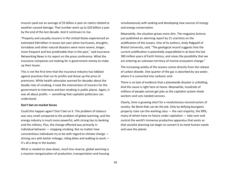insurers paid out an average of \$3 billion a year on claims related to weather-caused damage. That number went up to \$20 billion a year by the end of the last decade. And it continues to rise.

"Property and casualty insurers in the United States experienced an estimated \$44 billion in losses last year when hurricanes, droughts, tornadoes and other natural disasters were more severe, longer, more frequent and less predictable than in the past," said Insurance Networking News in its report on the press conference. What the insurance companies are looking for is government money to make up their losses.

This is not the first time that the insurance industry has lobbied against practices that cut its profits and drove up the price of premiums. While health advocates warned for decades about the deadly risks of smoking, it took the intervention of insurers for the government to intervene and ban smoking in public places. Again, it was all about profits — something that capitalist politicians can understand.

#### **Don't bet on market forces**

Could this happen again? Don't bet on it. The problem of tobacco was very small compared to the problem of global warming, and the energy industry is much more powerful, with strong ties to banking and the military. Plus, the change effected was primarily in individual behavior — stopping smoking. But no matter how conscientious individuals try to be with regard to climate change driving cars with better mileage, riding bikes and walking to work it's all a drop in the bucket.

What is needed to slow down, much less reverse, global warming is a massive reorganization of production, transportation and housing

simultaneously with seeking and developing new sources of energy and energy conservation.

Meanwhile, the situation grows more dire. The magazine Science just published an alarming report by 21 scientists on the acidification of the oceans. One of its authors, Andy Ridgwell of Bristol University, said, "The geological record suggests that the current acidification is potentially unparalleled in at least the last 300 million years of Earth history, and raises the possibility that we are entering an unknown territory of marine ecosystem change."

The increasing acidity of the oceans comes directly from the release of carbon dioxide. One quarter of the gas is absorbed by sea water, where it is converted into carbonic acid.

There is no lack of evidence that a planetwide disaster is unfolding. And the cause is right here at home. Meanwhile, hundreds of millions of people cannot get jobs as the capitalist system sheds workers and cuts needed services.

Clearly, time is growing short for a revolutionary reconstruction of society. No Band-Aids can do the job. Only by defying bourgeois property rules can the working class — the vast majority, the 99%, many of whom have no future under capitalism — take over and control the world's immense productive apparatus that exists so that socialist planning can begin to convert it to meet human needs and save the planet.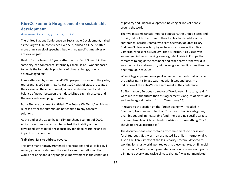# **Rio+20 Summit: No agreement on sustainable development**

### *Abayomi Azikiwe, June 27, 2012*

The United Nations Conference on Sustainable Development, hailed as the largest U.N. conference ever held, ended on June 22 after more than a week of speeches, but with no specific timetables or achievable goals.

Held in Rio de Janeiro 20 years after the first Earth Summit in the same city, the conference, informally called Rio+20, was supposed to tackle the formidable problems of climate change, now an acknowledged fact.

It was attended by more than 45,000 people from around the globe, representing 190 countries. At least 100 heads of state articulated their views on the environment, economic development and the balance of power between the industrialized capitalist states and the so-called developing countries.

But a 49-page document entitled "The Future We Want," which was released after the summit, did not commit to any concrete solutions.

At the end of the Copenhagen climate-change summit of 2009, African countries walked out to protest the inability of the developed states to take responsibility for global warming and its impact on the continent.

#### **'Talk shop' fails to address poverty**

This time many nongovernmental organizations and so-called civil society groups condemned the event as another talk shop that would not bring about any tangible improvement in the conditions of poverty and underdevelopment inflicting billions of people around the world.

The two most militaristic imperialist powers, the United States and Britain, did not bother to send their top leaders to address the conference. Barack Obama, who sent Secretary of State Hillary Rodham Clinton, was busy trying to assure his reelection. David Cameron, who sent his Deputy Prime Minister, Nick Clegg, was submerged in the worsening sovereign debt crisis in Europe that threatens to engulf the continent and other parts of the world in another capitalist downturn, with even graver implications than the one from 2007 to 2009.

When Clegg appeared on a giant screen at the food court outside the gathering, his image was met with hisses and boos — an indication of the anti-Western sentiment at the conference.

Bo Normander, European director of Worldwatch Institute, said, "I want more of the future than this agreement's long list of platitudes and feeling-good rhetoric." (Irish Times, June 25)

In regard to the section on the "green economy" included in Chapter 3, Normander noted that "the description is ambiguous, unambitious and immeasurable [and] there are no specific targets or commitments which can bind countries to do something. The EU should not have accepted it."

The document does not contain any commitments to phase out fossil fuel subsidies, worth an estimated \$1 trillion internationally. Justin Kilcullen, director of the Irish charity Trocaire, devoted to working for a just world, pointed out that levying taxes on financial transactions, "which could generate billions in revenue each year to eliminate poverty and tackle climate change," was not mandated.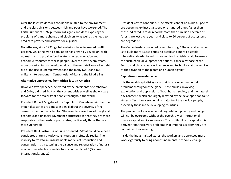Over the last two decades conditions related to the environment and the class divisions between rich and poor have worsened. The Earth Summit of 1992 put forward significant ideas exposing the problems of climate change and biodiversity as well as the need to eradicate poverty and achieve social justice.

Nonetheless, since 1992, global emissions have increased by 48 percent, while the world population has grown by 1.6 billion, with no real plans to provide food, water, shelter, education and economic resources for these people. Over the last several years, more uncertainty has developed due to the multi-trillion-dollar debt crisis, the rise in unemployment and the many NATO and U.S. military interventions in Central Asia, Africa and the Middle East.

#### **Alternative approaches from Africa & Latin America**

However, two speeches, delivered by the presidents of Zimbabwe and Cuba, did shed light on the current crisis as well as show a way forward for the majority of people throughout the world.

President Robert Mugabe of the Republic of Zimbabwe said that the imperialist states are almost in denial about the severity of the current situation. He called for "the complete overhaul of the global economic and financial governance structures so that they are more responsive to the needs of poor states, particularly those that are more vulnerable."

President Raul Castro Ruz of Cuba observed: "What could have been considered alarmist, today constitutes an irrefutable reality. The inability to transform unsustainable models of production and consumption is threatening the balance and regeneration of natural mechanisms which sustain life forms on the planet." (Granma International, June 22)

President Castro continued, "The effects cannot be hidden. Species are becoming extinct at a speed one hundred times faster than those indicated in fossil records; more than 5 million hectares of forests are lost every year; and close to 60 percent of ecosystems are degraded."

The Cuban leader concluded by emphasizing, "The only alternative is to build more just societies; to establish a more equitable international order based on respect for the rights of all; to ensure the sustainable development of nations, especially those of the South; and place advances in science and technology at the service of the salvation of the planet and human dignity."

#### **Capitalism is unsustainable**

It is the world capitalist system that is causing monumental problems throughout the globe. These abuses, involving exploitation and oppression of both human society and the natural environment, which are largely dictated by the developed capitalist states, affect the overwhelming majority of the world's people, especially those in the developing countries.

The problems of environmental degradation, poverty and hunger will not be overcome without the overthrow of international finance capital and its surrogates. The profitability of capitalism is derived from these very problems that imperialists claim they are committed to alleviating.

Inside the industrialized states, the workers and oppressed must work vigorously to bring about fundamental economic change.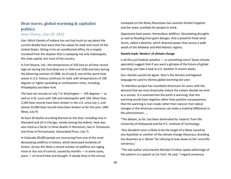# **Heat waves, global warming & capitalist politics**

*Gene Clancy, July 18, 2012*

Gov. Mitch Daniels of Indiana has not had much to say about the current deadly heat wave that has swept his state and much of the United States. Sitting in his air-conditioned office, he is largely insulated from the disaster that is sweeping not only Indianapolis, the state capital, but most of the country.

In Fort Wayne, Ind., the temperature of 103 tied an all-time record high set during the Dust Bowl era in 1934 and 1936 and later during the blistering summer of 1988. As of July 8, one of the worst heat waves in U.S. history continues its hold, with temperatures of 100 degrees or higher spreading to northeastern cities, including Philadelphia and New York.

The heat set records on July 7 in Washington  $-105$  degrees  $-$  as well as in St. Louis with 106 and Indianapolis with 104. More than 2,500 heat records have been broken in the U.S. since July 1, and almost 25,000 heat records have been broken so far this year. (ABC News, July 9)

At least 30 deaths are being blamed on the heat, including nine in Maryland and 10 in Chicago, mostly among the elderly. Heat was also cited as a factor in three deaths in Wisconsin, two in Tennessee and three in Pennsylvania. (Associated Press, July 7)

In Colorado 30,000 people are recovering from one of the most devastating wildfires in history, which destroyed hundreds of homes. Across the West a record number of wildfires are raging more or less out of control, caused by months — in some cases, years — of record heat and drought. A steady drop in the annual snowpack on the Rocky Mountains has severely limited irrigation and the water available for people to drink.

Oppressive heat waves. Horrendous wildfires. Devastating droughts as well as flooding from giant deluges. And a powerful freak wind storm, called a derecho, which downed power lines across a wide swath of the Midwest and Mid-Atlantic regions.

#### **Daniels leads 'deniers' of climate change**

Is all this just freakish weather — or something more? Some climate specialists suggest that if you want a glimpse of the future of global warming, just take a look at U.S. weather in recent weeks.

Gov. Daniels would not agree. Here's the derisive and bigoted language he used to dismiss global warming last year:

"A relentless project has inundated Americans for years with the demand that we must drastically reduce the carbon dioxide we emit as a society. It is asserted that the earth is warming; that this warming would have negative rather than positive consequences; that the warming is man-made rather than natural; that radical changes in the American economy can make a material difference in this phenomenon. …

"The debate, so far, has been dominated by 'experts' from the University of Hollywood and the P.C. Institute of Technology.

"Any dissident voice is likely to be the target of a fatwa issued by one Ayatollah or another of the climate change theocracy, branding the dissenter as a 'denier' for refusing to bow down to the 'scientific consensus.'

"The late author and scientist Michael Crichton spoke witheringly of this pattern in a speech at Cal Tech. He said, 'I regard consensus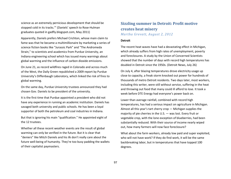science as an extremely pernicious development that should be stopped cold in its tracks.'" (Daniels' speech to Rose-Hulman graduates quoted in gadfly.blogspot.com, May 2011)

Apparently, Daniels prefers Michael Crichton, whose main claim to fame was that he became a multimillionaire by marketing a series of science fiction books like "Jurassic Park" and "The Andromeda Strain," to scientists and academics from Purdue University, an Indiana engineering school which has issued many warnings about global warming and the influence of carbon dioxide emissions.

On June 21, as record wildfires raged in Colorado and across much of the West, the Daily Green republished a 2009 report by Purdue University's Diffenbaugh Laboratory, which linked the risk of fires to global warming.

On the same day, Purdue University trustees announced they had chosen Gov. Daniels to be president of the university.

It is the first time that Purdue appointed a president who did not have any experience in running an academic institution. Daniels has savaged both university and public schools. He has been a loyal supporter of both the petroleum and coal industries in Indiana.

But that is ignoring his main "qualification." He appointed eight of the 12 trustees.

Whether all these recent weather events are the result of global warming can only be verified in the future. But it is clear that "deniers" like Mitch Daniels and his ilk don't really care about the future well-being of humanity. They're too busy padding the wallets of their capitalist paymasters.

### **Sizzling summer in Detroit: Profit motive creates heat misery** *Martha Grevatt, August 2, 2012*

#### **Detroit**

The recent heat waves have had a devastating effect in Michigan, which already suffers from high rates of unemployment, poverty and foreclosures. A study by the Union of Concerned Scientists showed that the number of days with record high temperatures has doubled in Detroit since the 1950s. (Detroit News, July 26)

On July 4, after blazing temperatures drove electricity usage up close to capacity, a freak storm knocked out power for hundreds of thousands of metro Detroit residents. Two days later, most workers, including this writer, were still without service, suffering in the heat and throwing out food that many could ill afford to lose. It took a week before DTE Energy had everyone's power back on.

Lower than average rainfall, combined with record high temperatures, has had a serious impact on agriculture in Michigan. Almost all this year's tart cherry crop — Michigan supplies the majority of pie cherries in the U.S. — was lost. Every fruit or vegetable crop, with the lone exception of blueberries, had been substantially reduced. With their source of income nearly wiped out, how many farmers will now face foreclosure?

What about the farm workers, already low paid and super exploited, who will not have work? If they do find work, it will be the same backbreaking labor, but in temperatures that have topped 100 degrees.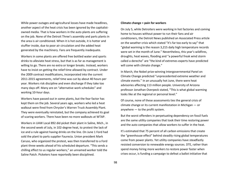While power outages and agricultural losses have made headlines, another aspect of the heat crisis has been ignored by the capitalistowned media. That is how workers in the auto plants are suffering on the job. None of the Detroit Three's assembly and parts plants in the area is air conditioned. When it is hot outside, it is hotter and stuffier inside, due to poor air circulation and the added heat generated by the machinery. Fans are frequently inadequate.

Workers in some plants are offered free bottled water and sports drinks to alleviate heat stress, but that is as far as management is willing to go. There are no extra or longer breaks. Instead, workers have to insist on getting the relief time allowed by contract. Under the 2009 contract modifications, incorporated into the current 2011-2015 agreements, relief time was cut by about 40 hours per year. Workers risk discipline and even discharge if they take too many days off. Many are on "alternative work schedules" and working 10-hour days.

Workers have passed out in some plants, but the fear factor has kept them on the job. Several years ago, workers who led a heat walkout were fired from Chrysler's Warren Truck Assembly Plant. They were eventually reinstated, but the company achieved its goal of scaring workers. There have been no more walkouts at WTAP.

Workers in UAW Local 892 did picket their plant in Saline, Mich., in the second week of July, in 102-degree heat, to protest the lack of ice and a rule against having drinks on the line. On June 1 Ford had sold the plant to parts supplier Faurecia. Union president Mark Caruso, who organized the protest, was then transferred to a Ford plant three weeks ahead of his scheduled departure. "This sends a chilling effect to us regular workers," an unnamed worker told the Saline Patch. Picketers have reportedly been disciplined.

#### **Climate change = pain for workers**

On July 5, while Detroiters were working in hot factories and coming home to houses without power to run their fans and air conditioners, the Detroit News published an Associated Press article on the weather crisis which stated "it's far too early to say" that "global warming is the reason 3,215 daily high temperature records were set in the month of June." Nevertheless, this year's wildfires, droughts, heat waves, flooding and "a powerful freak wind storm called a derecho" are "the kind of extremes experts have predicted will come with climate change."

In March, the Nobel prize-winning Intergovernmental Panel on Climate Change predicted "unprecedented extreme weather and climate events." In an unusually hot June, there were heat advisories affecting 113 million people. University of Arizona professor Jonathan Overpeck stated, "This is what global warming looks like at the regional or personal level."

Of course, none of these assessments ties the general crisis of climate change or its current manifestation in Michigan — or anywhere — to the profit system.

But the worst offenders in perpetuating dependency on fossil fuels are the same utility companies that took their time restoring power and the auto companies that allow workers to suffer in the heat.

It's estimated that 75 percent of all carbon emissions that create the "greenhouse effect" behind steadily rising global temperatures come from power plants. Yet utility companies have steadfastly resisted conversion to renewable energy sources. DTE, rather than spend money hiring more workers to restore power faster when crises occur, is funding a campaign to defeat a ballot initiative that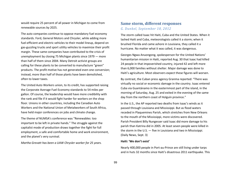would require 25 percent of all power in Michigan to come from renewable sources by 2025.

The auto companies continue to oppose mandatory fuel economy standards. Ford, General Motors and Chrysler, while adding more fuel-efficient and electric vehicles to their model lineup, depend on gas-guzzling trucks and sport utility vehicles to maximize their profit margin. These same companies have contributed to the crisis of unemployment by closing 75 Michigan plants since 1979 — more than half of them since 2004. Many Detroit activist groups are calling for these plants to be converted to manufacture "green" products. The profit motive has not generated even one conversion; instead, more than half of those plants have been demolished, often to lower taxes.

The United Auto Workers union, to its credit, has supported raising the Corporate Average Fuel Economy standards to 54 miles per gallon. Of course, the leadership would have more credibility with the rank and file if it would fight harder for workers on the shop floor. Unions in other countries, including the Canadian Auto Workers and the National Union of Metalworkers of South Africa, have held major conferences on jobs and climate change.

The theme of NUMSA's conference was "Renewables: too important to be left in private hands." The struggle against the capitalist mode of production draws together the fight for full employment, a safe and comfortable home and work environment, and the planet's very survival.

*Martha Grevatt has been a UAW Chrysler worker for 25 years.*

### **Same storm, different responses** *G. Dunkel, September 10, 2012*

The storm called Isaac hit Haiti, Cuba and the United States. When it lashed Haiti and Cuba, meteorologists called it a storm; when it brushed Florida and came ashore in Louisiana, they called it a hurricane. No matter what it was called, it was dangerous.

Georges Ngwa Anuongong, spokesperson for the United Nations' humanitarian mission in Haiti, reported Aug. 30 that Isaac had killed 24 people in that impoverished country, injured 42 and left more than 6,000 families without shelter. Major damage was done to Haiti's agriculture. Most observers expect these figures will worsen.

By contrast, the Cuban press agency Granma reported: "There was virtually no social or economic damage in the country. Isaac entered Cuba via Guantánamo in the easternmost part of the island, in the morning of Saturday, Aug. 25 and exited in the evening of the same day from the northern coast of Holguín province."

In the U.S., the AP reported two deaths from Isaac's winds as it passed through Louisiana and Mississippi. But as flood waters receded in Plaquemines Parish, which stretches from New Orleans to the mouth of the Mississippi, more victims were discovered. Parish President Billy Nungesser said Isaac did more damage to his parish than Katrina did in 2005. At least seven people were killed in the storm in the U.S. — five in Louisiana and two in Mississippi. (Daily News, Sept. 3)

#### **Haiti: 'We don't exist'**

Nearly 400,000 people in Port-au-Prince are still living under tarps and in huts 32 months since Haiti's disastrous 2011 earthquake. This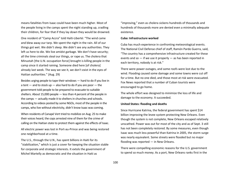means fatalities from Isaac could have been much higher. Most of the people living in the camps spent the night standing up, cradling their children, for fear that if they lay down they would be drowned.

One resident of "Camp Accra" told Haïti-Liberté: "The wind came and blew away our tarp. We spent the night in the rain. All of our things got wet. We didn't sleep. We didn't see any authorities. They left us here to die. We live amidst garbage. We don't have security; all the time criminals steal our things, or rape us. The cholera that Minustah [the U.N. occupation force] brought is killing people in the camp since it started raining. Someone died here [of cholera] already last week. The way we see it, we don't exist in the eyes of Haitian authorities." (Aug. 29)

Besides urging people to tape their windows — hard to do if you live in a tent  $-$  and to stock up  $-$  also hard to do if you are poor  $-$  the government told people to be prepared to evacuate to suitable shelters. About 15,000 people — less than 4 percent of the people in the camps — actually made it to shelters in churches and schools. According to videos posted by some NGOs, most of the people in the camps, who live without electricity, didn't know Isaac was coming.

When residents of Canapé Vert tried to mobilize on Aug. 25 to make their voices heard, the cops arrested nine of them for the crime of calling on the Haitian state to protect them against the effects of Isaac.

All electric power was lost in Port-au-Prince and was being restored one neighborhood at a time.

The U.S., through the U.N., has spent billions in Haiti for its "stabilization," which is just a cover for keeping the situation stable for corporate and strategic interests. It extols the government of Michel Martelly as democratic and the situation in Haiti as

"improving," even as cholera sickens hundreds of thousands and hundreds of thousands more are denied even a minimally adequate existence.

#### **Cuba: Infrastructure worked**

Cuba has much experience in confronting meteorological events. The National Civil Defense chief of staff, Ramón Pardo Guerra, said, "The country has a comprehensive infrastructure created for these events and so  $-$  if we use it properly  $-$  as has been reported in each territory, nobody is at risk."

There were power outages, and some roofs were lost due to the wind. Flooding caused some damage and some towns were cut off for a time. But no one died, and those most at risk were evacuated. Fox News reported that a number of Cuban tourists were encouraged to go home.

The whole effort was designed to minimize the loss of life and damage to the economy. It succeeded.

#### **United States: flooding and deaths**

Since Hurricane Katrina, the federal government has spent \$14 billion improving the levee system protecting New Orleans. Even though the system is not complete, New Orleans escaped relatively unscathed. Power was out for most of the city and as of Sept. 3 still has not been completely restored. By some measures, even though Isaac was much less powerful than Katrina in 2005, the storm surge was nearly equivalent. Some streets were flooded but no major flooding was reported — in New Orleans.

There were compelling economic reasons for the U.S. government to spend so much money. As a port, New Orleans ranks first in the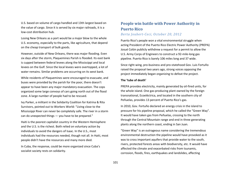U.S. based on volume of cargo handled and 13th largest based on the value of cargo. Since it is served by six major railroads, it is a low-cost distribution hub.

Losing New Orleans as a port would be a major blow to the whole U.S. economy, especially to the parts, like agriculture, that depend on the cheap transport of bulk goods.

However, outside of New Orleans, there was major flooding. Even six days after the storm, Plaquemines Parish is flooded. Its east bank is cupped between federal levees along the Mississippi and local levees on the Gulf. Since the local levees were overtopped, a lot of water remains. Similar problems are occurring on its west bank.

While residents of Plaquemines were encouraged to evacuate, and buses were provided by the parish for the poor, there doesn't appear to have been any major mandatory evacuation. The cops organized some large convoys of cars going north out of the flood zone. A large number of people had to be rescued.

Ivy Parker, a militant in the Solidarity Coalition for Katrina & Rita Survivors, pointed out to Workers World: "Living close to the Mississippi River can never be completely safe. The river in a storm can do unexpected things — you have to be prepared."

Haiti is the poorest capitalist country in the Western Hemisphere and the U.S. is the richest. Both relied on voluntary action by individuals to avoid the dangers of Isaac. In the U.S., most individuals had the resources needed, though not all. In Haiti, most people didn't have the resources and many more died.

In Cuba, the response, could be more organized since Cuba's socialist society rests on solidarity.

# **People win battle with Power Authority in Puerto Rico**

### *Berta Joubert-Ceci, October 20, 2012*

Puerto Rico's people won a vital environmental struggle when acting President of the Puerto Rico Electric Power Authority (PREPA) Josué Colón publicly withdrew a request for a permit to allow the U.S. Army Corps of Engineers to construct a 92-mile-long gas pipeline. Puerto Rico is barely 106 miles long and 37 wide.

Since right-wing, pro-business and pro-statehood Gov. Luis Fortuño raised the proposal two years ago, strong voices opposing the project immediately began organizing to defeat the project.

#### **The 'tube of death'**

PREPA provides electricity, mainly generated by oil-fired units, for the whole island. One gas-producing plant owned by the foreign transnational, Ecoeléctrica, and located in the southern city of Peñuelas, provides 13 percent of Puerto Rico's gas.

In 2010, Gov. Fortuño declared an energy crisis in the island to pressure for his pipeline proposal, which he called the "Green Way". It would have taken gas from Peñuelas, crossing to the north through the Central Mountain range and end in three generating plants along the northern coast, ending in San Juan.

"Green Way" is an outrageous name considering the tremendous environmental destruction the pipeline would have provoked as it was to cross important aquifers that provide water to the south, rivers, protected forests areas with biodiversity, etc. It would have affected the climate and exacerbated risks from tsunamis, corrosion, floods, fires, earthquakes and landslides, affecting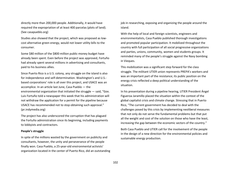directly more than 200,000 people. Additionally, it would have required the expropriation of at least 400 parcelas (plots of land). (See casapueblo.org)

Studies also showed that the project, which was proposed as lowcost alternative green energy, would not lower utility bills to the consumer.

Some \$80 million of the \$800 million public-money budget have already been spent. Even before the project was approved, Fortuño had already spent several millions in advertising and consultants, paid to his business allies.

Since Puerto Rico is a U.S. colony, any struggle on the island is also for independence and self-determination. Washington's and U.S. based corporations' role is all over this project, and USACE was an accomplice. In an article last June, Casa Pueblo — the environmental organization that initiated the struggle — said, "Gov. Luis Fortuño told a newspaper this week that his administration will not withdraw the application for a permit for the pipeline because USACE has recommended not to stop obtaining such approval." (pr.indymedia.org)

The project has also underscored the corruption that has plagued the Fortuño administration since its beginning, including payments to lobbyists and contractors.

#### **People's struggle**

In spite of the millions wasted by the government on publicity and consultants, however, the unity and perseverance of the people finally won. Casa Pueblo, a 25-year-old environmental activists' organization located in the center of Puerto Rico, did an outstanding job in researching, exposing and organizing the people around the island.

With the help of local and foreign scientists, engineers and environmentalists, Casa Pueblo published thorough investigations and promoted popular participation. It mobilized throughout the country with full participation of all social progressive organizations and parties, unions, community, women and students groups. It reminded many of the people's struggle against the Navy bombing in Vieques.

This mobilization was a significant step forward for the class struggle. The militant UTIER union represents PREPA's workers and was an important part of the resistance; its public position on the energy crisis reflected a deep political understanding of the situation.

In his presentation during a pipeline hearing, UTIER President Ángel Figueroa Jaramillo placed the situation within the context of the global capitalist crisis and climate change. Stressing that in Puerto Rico, "The current government has decided to deal with the challenges posed by this crisis by implementing neoliberal measures that not only do not serve the fundamental problems but that put all the weight and cost of the solution on those who have the least, increasing the gap between the economic sectors of the country."

Both Casa Pueblo and UTIER call for the involvement of the people in the design of a new direction for the environmental policies and sustainable energy production.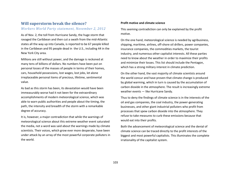# **Will superstorm break the silence?**

### *Workers World Party statement, November 2, 2012*

As of Nov. 2, the toll from Hurricane Sandy, the huge storm that ravaged the Caribbean and then cut a swath from the mid-Atlantic states all the way up into Canada, is reported to be 67 people killed in the Caribbean and 95 people dead in the U.S., including 44 in the New York City area.

Millions are still without power, and the damage is reckoned at many tens of billions of dollars. No numbers have been put on personal losses of the masses of people in terms of their homes, cars, household possessions, lost wages, lost jobs, let alone irreplaceable personal items of precious, lifetime, sentimental value.

As bad as this storm has been, its devastation would have been immeasurably worse had it not been for the extraordinary accomplishments of modern meteorological science, which was able to warn public authorities and people about the timing, the path, the intensity and breadth of the storm with a remarkable degree of accuracy.

It is, however, a major contradiction that while the warnings of meteorological science about this extreme weather event saturated the media, not a word was said about the warnings made by climate scientists. Their voices, which grow ever more desperate, have been under attack by an array of the most powerful corporate polluters in the world.

#### **Profit motive and climate science**

This seeming contradiction can only be explained by the profit motive.

On the one hand, meteorological science is needed by agribusiness, shipping, maritime, airlines, off-shore oil drillers, power companies, insurance companies, the commodities markets, the tourist industry, and numerous other capitalist interests. All these parties need to know about the weather in order to maximize their profits and minimize their losses. This list should include the Pentagon, which has a strong military interest in climate prediction.

On the other hand, the vast majority of climate scientists around the world concur and have proven that climate change is produced by global warming, which in turn is caused by the accumulation of carbon dioxide in the atmosphere. The result is increasingly extreme weather events — like Hurricane Sandy.

Thus to deny the findings of climate science is in the interests of the oil and gas companies, the coal industry, the power-generating businesses, and other giant industrial polluters who profit from processes that spew carbon dioxide into the atmosphere. They refuse to take measures to curb these emissions because that would eat into their profits.

Both the advancement of meteorological science and the denial of climate science can be traced directly to the profit interests of the biggest and most powerful capitalists. This illuminates the complete irrationality of the capitalist system.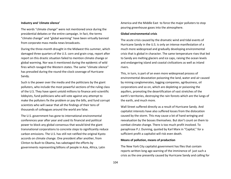#### **Industry and 'climate silence'**

The words "climate change" were not mentioned once during the presidential debates or the entire campaign. In fact, the terms "climate change" and "global warming" have been virtually banned from corporate mass media news broadcasts.

During the three-month drought in the Midwest this summer, which damaged three quarters of the U.S. corn and grain crop, report after report on this drastic situation failed to mention climate change or global warming. Nor was it mentioned during the epidemic of wild fires which ravaged the Western states. The same "climate silence" has prevailed during the round-the-clock coverage of Hurricane Sandy.

Such is the power over the media and the politicians by the giant polluters, who include the most powerful sections of the ruling class of the U.S. They have spent untold millions to finance anti-scientific lobbyists, fund politicians who will vote against any attempt to make the polluters fix the problem or pay the bills, and fund corrupt scientists who will swear that all the findings of their tens of thousands of colleagues around the world are false.

The U.S. government has gone to international environmental conferences year after year and used its financial and political power to block any global consensus that would bind the giant transnational corporations to concrete steps to significantly reduce carbon emissions. The U.S. has still not ratified the original Kyoto accords on climate change. One president after another, from Clinton to Bush to Obama, has sabotaged the efforts by governments representing billions of people in Asia, Africa, Latin

America and the Middle East to force the major polluters to stop pouring greenhouse gases into the atmosphere.

#### **Global environmental crisis**

The acute crisis caused by the dramatic wind and tidal events of Hurricane Sandy in the U.S. is only an intense manifestation of a much more widespread and gradually developing environmental crisis that is global in character. The same temperature rises that led to Sandy are melting glaciers and ice caps, raising the ocean levels and endangering island and coastal civilizations as well as inland rivers.

This, in turn, is part of an even more widespread process of environmental devastation poisoning the land, water and air caused by mining conglomerates, logging companies, agribusiness, oil corporations and so on, which are depleting or poisoning the aquifers, promoting the desertification of vast stretches of the earth's territories, destroying the rain forests which are the lungs of the earth, and much more.

Wall Street suffered directly as a result of Hurricane Sandy. And capitalist interests have also suffered losses from the dislocation caused by the storm. This may cause a lot of hand wringing and reevaluation by the bosses themselves. But don't count on them to combat climate change. There is too much profit involved. To paraphrase P.J. Dunning, quoted by Karl Marx in "Capital," for a sufficient profit a capitalist will risk even death.

#### **Means of pollution, means of production**

The New York City capitalist government has files that contain reports written long ago warning of the imminence of just such a crisis as the one presently caused by Hurricane Sandy and calling for